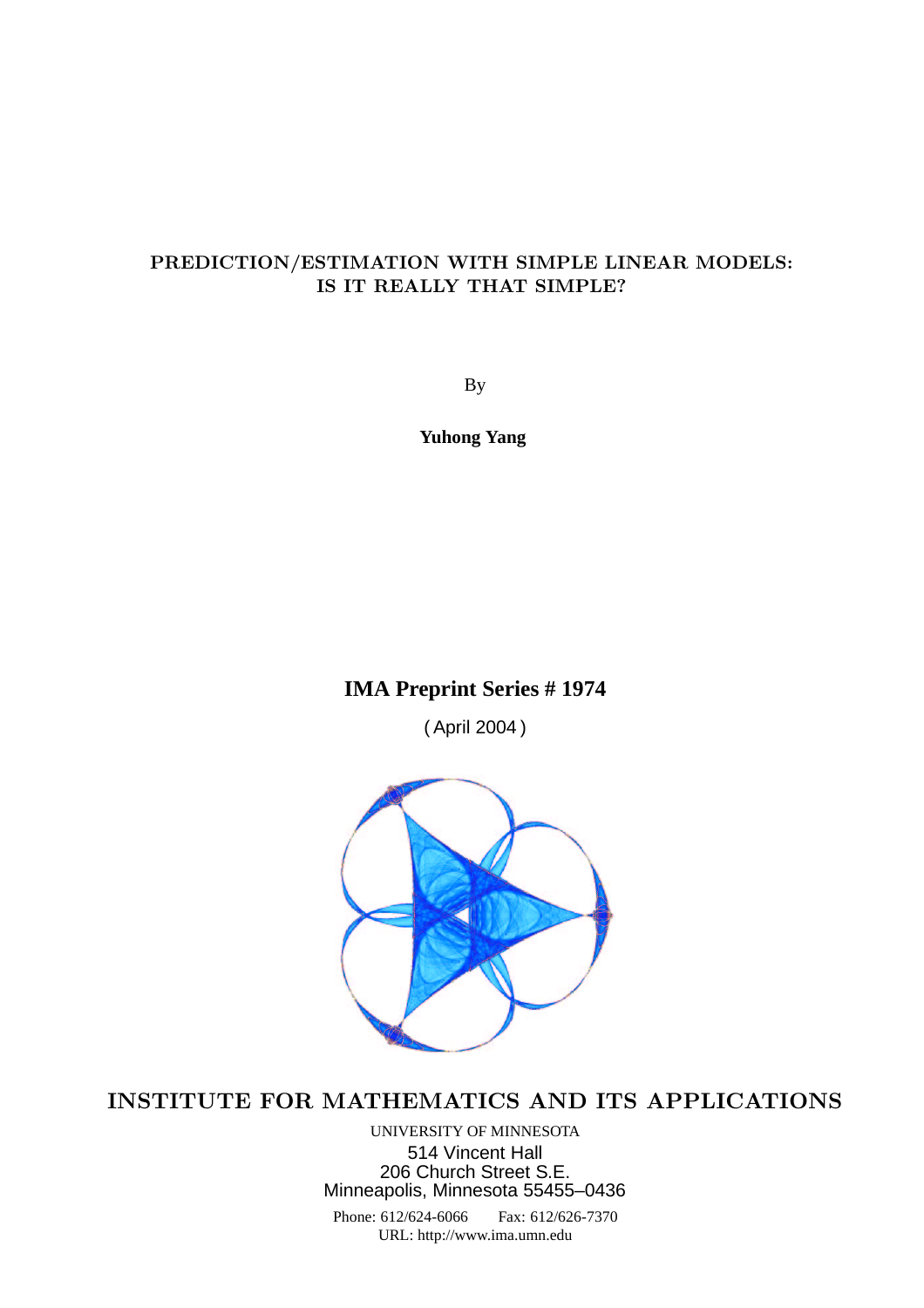## PREDICTION/ESTIMATION WITH SIMPLE LINEAR MODELS: IS IT REALLY THAT SIMPLE?

By

**Yuhong Yang**

# **IMA Preprint Series # 1974**

( April 2004 )



# INSTITUTE FOR MATHEMATICS AND ITS APPLICATIONS

UNIVERSITY OF MINNESOTA 514 Vincent Hall 206 Church Street S.E. Minneapolis, Minnesota 55455–0436

Phone: 612/624-6066 Fax: 612/626-7370 URL: http://www.ima.umn.edu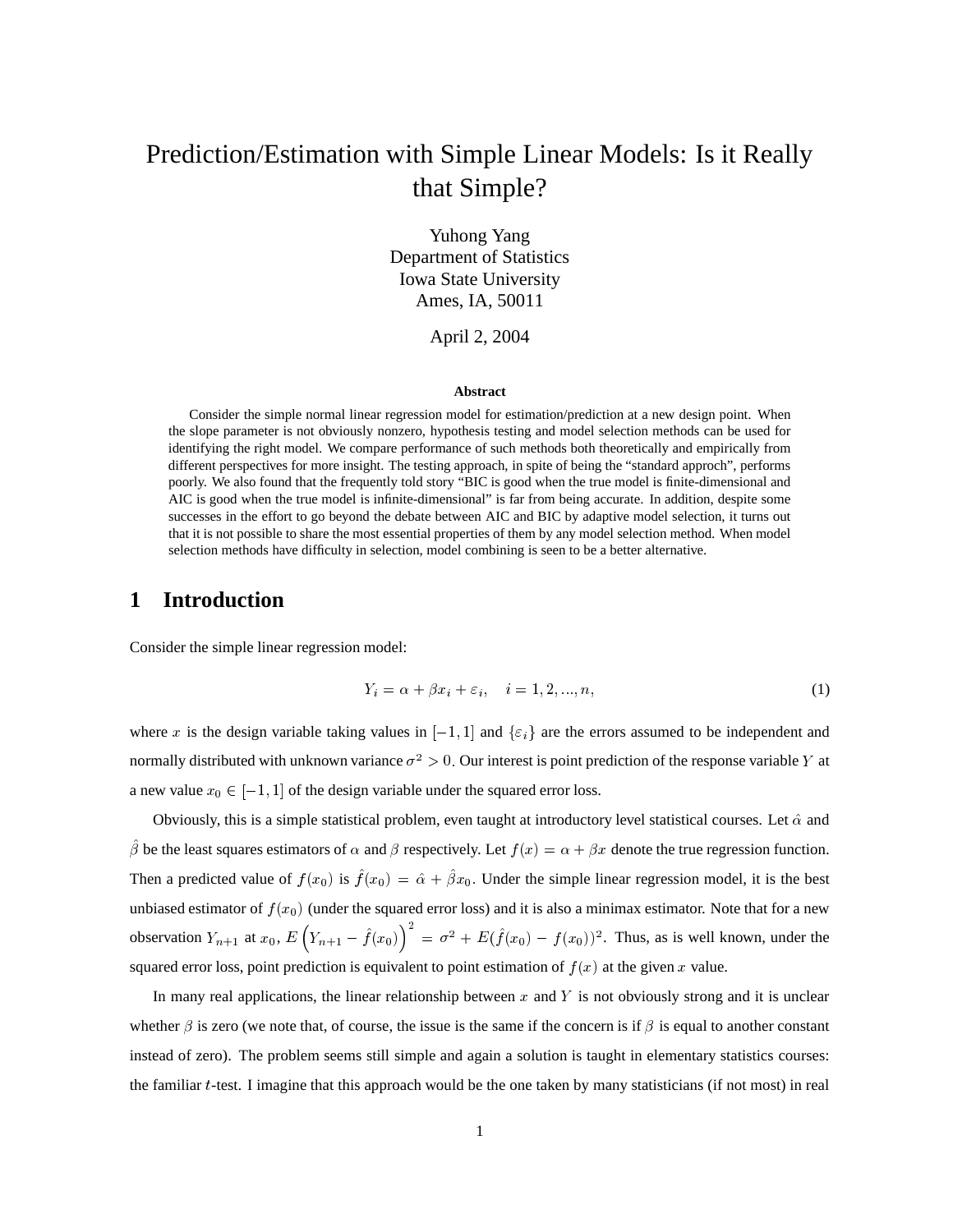# Prediction/Estimation with Simple Linear Models: Is it Really that Simple?

Yuhong Yang Department of Statistics Iowa State University Ames, IA, 50011

April 2, 2004

#### **Abstract**

Consider the simple normal linear regression model for estimation/prediction at a new design point. When the slope parameter is not obviously nonzero, hypothesis testing and model selection methods can be used for identifying the right model. We compare performance of such methods both theoretically and empirically from different perspectives for more insight. The testing approach, in spite of being the "standard approch", performs poorly. We also found that the frequently told story "BIC is good when the true model is finite-dimensional and AIC is good when the true model is infinite-dimensional" is far from being accurate. In addition, despite some successes in the effort to go beyond the debate between AIC and BIC by adaptive model selection, it turns out that it is not possible to share the most essential properties of them by any model selection method. When model selection methods have difficulty in selection, model combining is seen to be a better alternative.

### **1 Introduction**

Consider the simple linear regression model:

$$
Y_i = \alpha + \beta x_i + \varepsilon_i, \quad i = 1, 2, \dots, n,
$$
\n<sup>(1)</sup>

where x is the design variable taking values in  $[-1,1]$  and  $\{\varepsilon_i\}$  are the errors assumed to be independent and normally distributed with unknown variance  $\sigma^2 > 0$ . Our interest is point prediction of the response variable Y at a new value  $x_0 \in [-1, 1]$  of the design variable under the squared error loss.

Obviously, this is a simple statistical problem, even taught at introductory level statistical courses. Let  $\hat{\alpha}$  and  $\beta$  be the least squares estimators of  $\alpha$  and  $\beta$  respectively. Let  $f(x) = \alpha + \beta x$  denote the true regression function. Then a predicted value of  $f(x_0)$  is  $f(x_0) = \hat{\alpha} + \beta x_0$ . Under the simple linear regression model, it is the best unbiased estimator of  $f(x_0)$  (under the squared error loss) and it is also a minimax estimator. Note that for a new observation  $Y_{n+1}$  at  $x_0$ ,  $E(Y_{n+1} - f(x_0)) = \sigma^2 + E(f(x_0) - f(x_0))^2$ . Thus, as is well known, under the squared error loss, point prediction is equivalent to point estimation of  $f(x)$  at the given x value.

In many real applications, the linear relationship between x and Y is not obviously strong and it is unclear whether  $\beta$  is zero (we note that, of course, the issue is the same if the concern is if  $\beta$  is equal to another constant instead of zero). The problem seems still simple and again a solution is taught in elementary statistics courses: the familiar  $t$ -test. I imagine that this approach would be the one taken by many statisticians (if not most) in real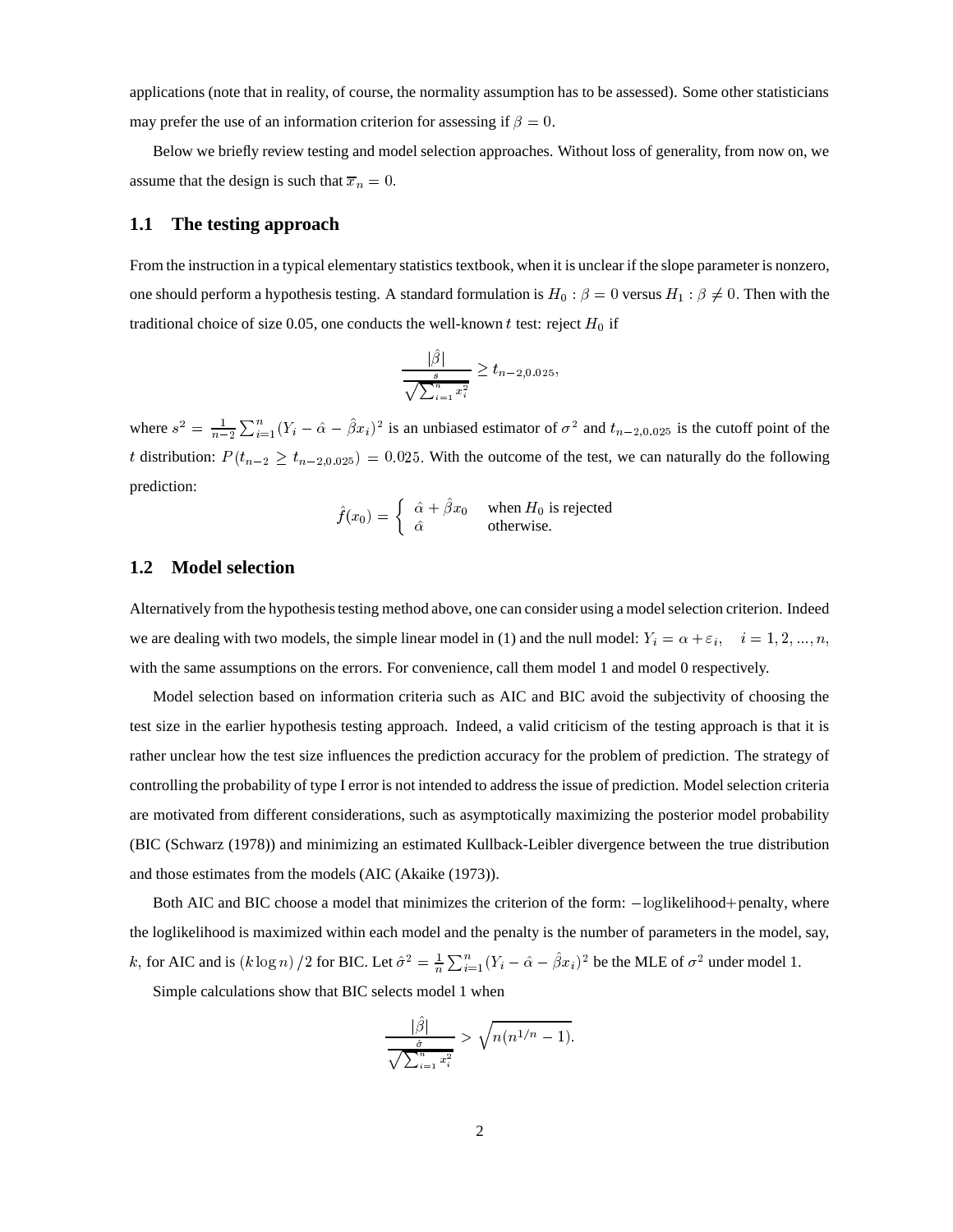applications (note that in reality, of course, the normality assumption has to be assessed). Some other statisticians may prefer the use of an information criterion for assessing if  $\beta = 0$ .

Below we briefly review testing and model selection approaches. Without loss of generality, from now on, we assume that the design is such that  $\overline{x}_n = 0$ .

#### **1.1 The testing approach**

From the instruction in a typical elementary statistics textbook, when it is unclear if the slope parameter is nonzero, one should perform a hypothesis testing. A standard formulation is  $H_0$ :  $\beta = 0$  versus  $H_1$ :  $\beta \neq 0$ . Then with the traditional choice of size 0.05, one conducts the well-known  $t$  test: reject  $H_0$  if

$$
\frac{|\hat{\beta}|}{\sqrt{\sum_{i=1}^{n} x_i^2}} \ge t_{n-2,0.025},
$$

where  $s^2 = \frac{1}{n-2} \sum_{i=1}^{n} (Y_i - \hat{\alpha} - \hat{\beta} x_i)^2$  is an unbiased estimator of  $\sigma^2$  and  $t_{n-2,0.025}$  is the cutoff point of the t distribution:  $P(t_{n-2} \ge t_{n-2,0.025}) = 0.025$ . With the outcome of the test, we can naturally do the following prediction:

$$
\hat{f}(x_0) = \begin{cases} \hat{\alpha} + \hat{\beta}x_0 & \text{when } H_0 \text{ is rejected} \\ \hat{\alpha} & \text{otherwise.} \end{cases}
$$

### **1.2 Model selection**

Alternatively from the hypothesis testing method above, one can consider using a model selection criterion. Indeed we are dealing with two models, the simple linear model in (1) and the null model:  $Y_i = \alpha + \varepsilon_i$ ,  $i = 1, 2, ..., n$ , with the same assumptions on the errors. For convenience, call them model 1 and model 0 respectively.

Model selection based on information criteria such as AIC and BIC avoid the subjectivity of choosing the test size in the earlier hypothesis testing approach. Indeed, a valid criticism of the testing approach is that it is rather unclear how the test size influences the prediction accuracy for the problem of prediction. The strategy of controlling the probability of type I error is not intended to address the issue of prediction. Model selection criteria are motivated from different considerations, such as asymptotically maximizing the posterior model probability (BIC (Schwarz (1978)) and minimizing an estimated Kullback-Leibler divergence between the true distribution and those estimates from the models (AIC (Akaike (1973)).

Both AIC and BIC choose a model that minimizes the criterion of the form:  $-\text{loglikelihood} + \text{penalty}$ , where the loglikelihood is maximized within each model and the penalty is the number of parameters in the model, say, k, for AIC and is  $(k \log n) / 2$  for BIC. Let  $\hat{\sigma}^2 = \frac{1}{n} \sum_{i=1}^n (Y_i \int_{i=1}^{n} (Y_i - \hat{\alpha} - \beta x_i)^2$  be the MLE of  $\sigma^2$  under model 1.

Simple calculations show that BIC selects model 1 when

$$
\frac{|\hat{\beta}|}{\sqrt{\sum_{i=1}^n x_i^2}} > \sqrt{n(n^{1/n} - 1)}.
$$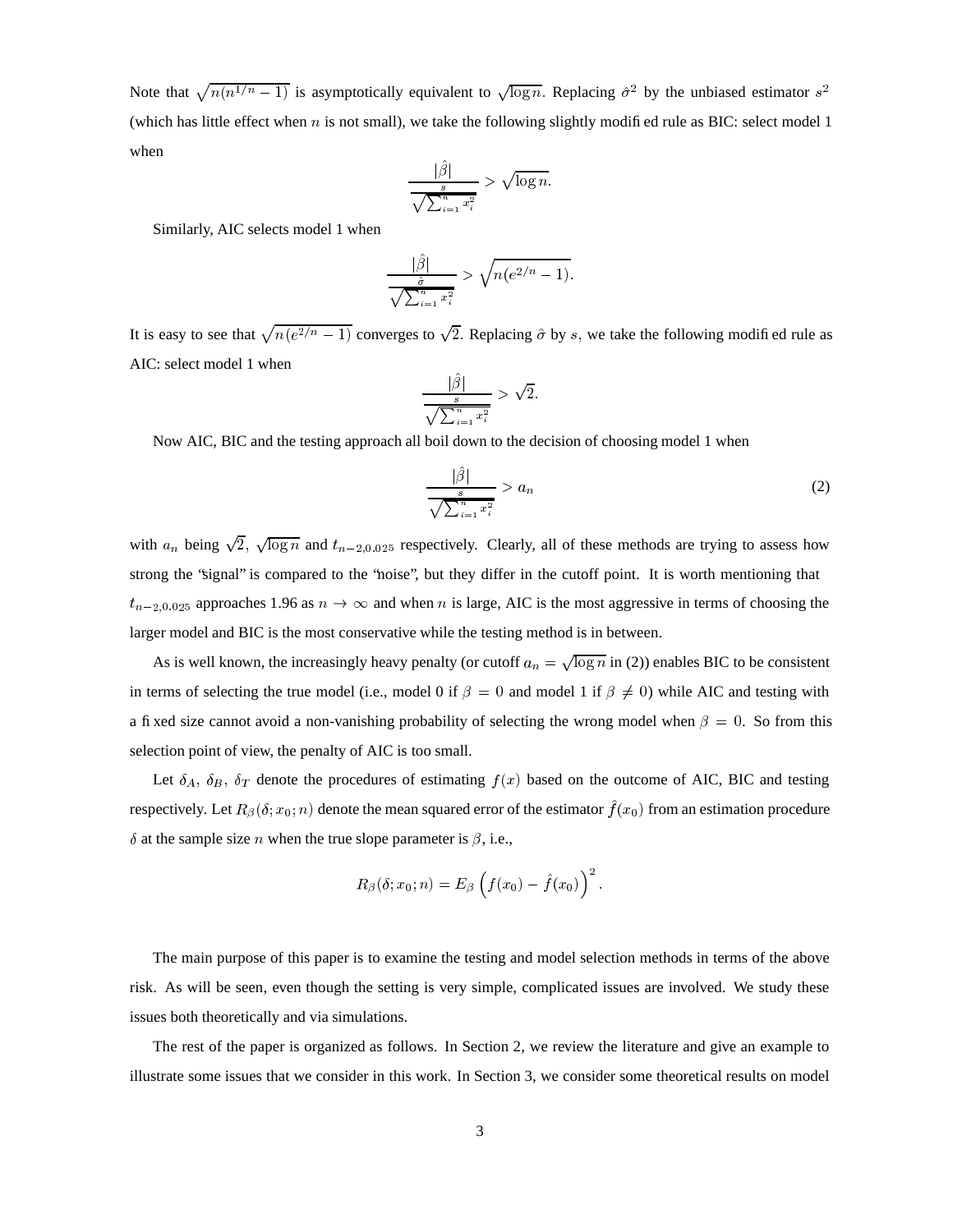Note that  $\sqrt{n(n^{1/n}-1)}$  is  $(-1)$  is asymptotically equivalent to  $\sqrt{\log n}$ . Replacing  $\hat{\sigma}^2$  by the unbiased estimator  $s^2$ (which has little effect when  $n$  is not small), we take the following slightly modified rule as BIC: select model 1 when

$$
\frac{|\hat{\beta}|}{\sqrt{\sum_{i=1}^{n} x_i^2}} > \sqrt{\log n}.
$$

Similarly, AIC selects model 1 when

$$
\frac{|\hat{\beta}|}{\sqrt{\sum_{i=1}^{n} x_i^2}} > \sqrt{n(e^{2/n} - 1)}.
$$

It is easy to see that  $\sqrt{n(e^{2/n} - 1)}$  $-1$ ) converges to  $\sqrt{2}$ . Replacing  $\hat{\sigma}$  by s, we take the following modified rule as AIC: select model 1 when

$$
\frac{|\hat{\beta}|}{\sqrt{\sum_{i=1}^{n} x_i^2}} > \sqrt{2}.
$$

Now AIC, BIC and the testing approach all boil down to the decision of choosing model 1 when

$$
\frac{|\hat{\beta}|}{\sqrt{\sum_{i=1}^{n} x_i^2}} > a_n \tag{2}
$$

with  $a_n$  being  $\sqrt{2}$ ,  $\sqrt{\log n}$  and  $t_{n-2,0.025}$  respectively. Clearly, all of these methods are trying to assess how strong the "signal" is compared to the "noise", but they differ in the cutoff point. It is worth mentioning that  $t_{n-2,0.025}$  approaches 1.96 as  $n \to \infty$  and when n is large, AIC is the most aggressive in terms of choosing the larger model and BIC is the most conservative while the testing method is in between.

As is well known, the increasingly heavy penalty (or cutoff  $a_n = \sqrt{\log n}$  in (2)) enables BIC to be consistent in terms of selecting the true model (i.e., model 0 if  $\beta = 0$  and model 1 if  $\beta \neq 0$ ) while AIC and testing with a fixed size cannot avoid a non-vanishing probability of selecting the wrong model when  $\beta = 0$ . So from this selection point of view, the penalty of AIC is too small.

Let  $\delta_A$ ,  $\delta_B$ ,  $\delta_T$  denote the procedures of estimating  $f(x)$  based on the outcome of AIC, BIC and testing respectively. Let  $R_\beta(\delta; x_0; n)$  denote the mean squared error of the estimator  $f(x_0)$  from an estimation procedure  $\delta$  at the sample size *n* when the true slope parameter is  $\beta$ , i.e.,

$$
R_{\beta}(\delta;x_{0};n)=E_{\beta}\left(f(x_{0})-\hat{f}(x_{0})\right)^{2}.
$$

The main purpose of this paper is to examine the testing and model selection methods in terms of the above risk. As will be seen, even though the setting is very simple, complicated issues are involved. We study these issues both theoretically and via simulations.

The rest of the paper is organized as follows. In Section 2, we review the literature and give an example to illustrate some issues that we consider in this work. In Section 3, we consider some theoretical results on model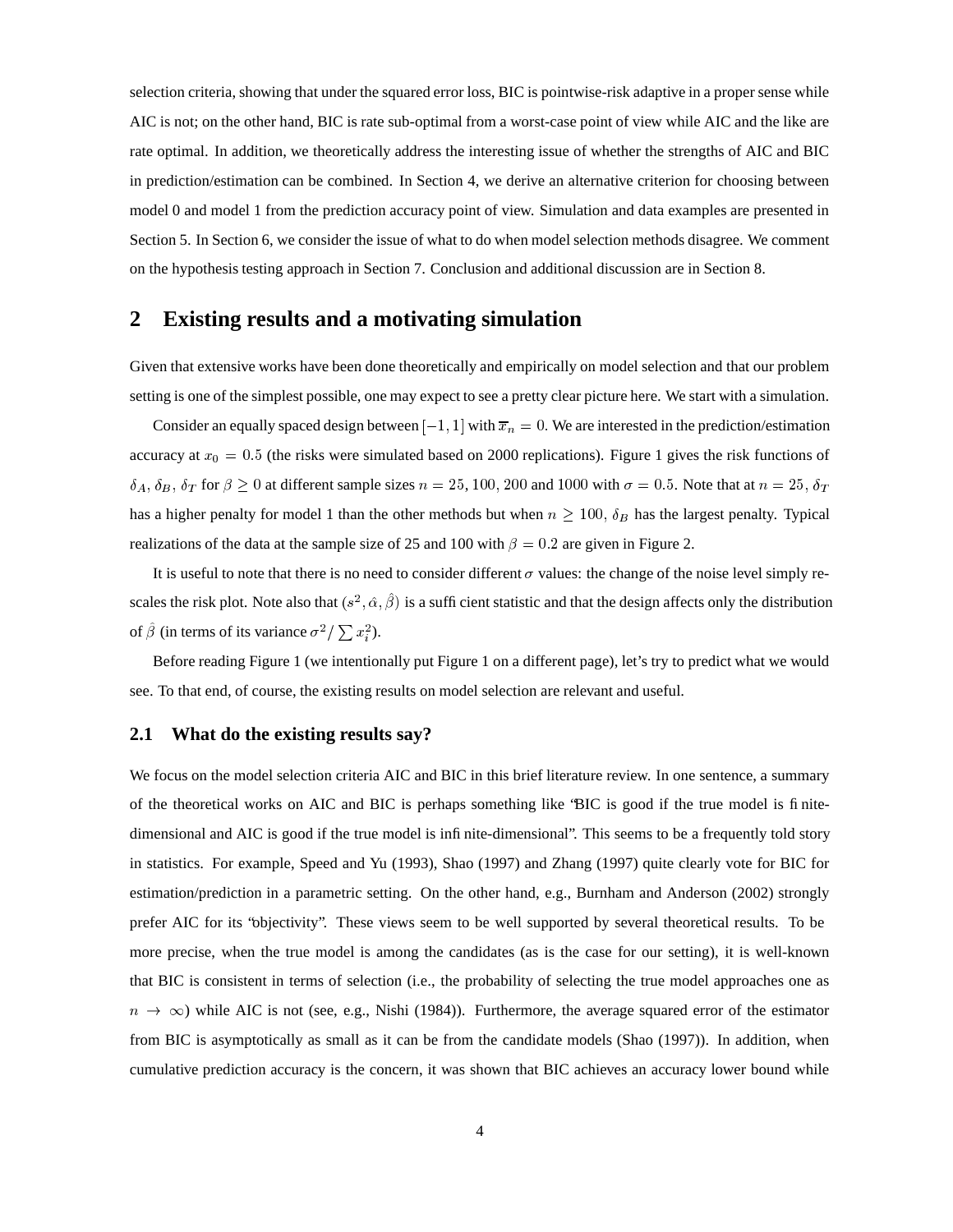selection criteria, showing that under the squared error loss, BIC is pointwise-risk adaptive in a proper sense while AIC is not; on the other hand, BIC is rate sub-optimal from a worst-case point of view while AIC and the like are rate optimal. In addition, we theoretically address the interesting issue of whether the strengths of AIC and BIC in prediction/estimation can be combined. In Section 4, we derive an alternative criterion for choosing between model 0 and model 1 from the prediction accuracy point of view. Simulation and data examples are presented in Section 5. In Section 6, we consider the issue of what to do when model selection methods disagree. We comment on the hypothesis testing approach in Section 7. Conclusion and additional discussion are in Section 8.

### **2 Existing results and a motivating simulation**

Given that extensive works have been done theoretically and empirically on model selection and that our problem setting is one of the simplest possible, one may expect to see a pretty clear picture here. We start with a simulation.

Consider an equally spaced design between  $[-1, 1]$  with  $\overline{x}_n = 0$ . We are interested in the prediction/estimation accuracy at  $x_0 = 0.5$  (the risks were simulated based on 2000 replications). Figure 1 gives the risk functions of  $\delta_A$ ,  $\delta_B$ ,  $\delta_T$  for  $\beta \ge 0$  at different sample sizes  $n = 25, 100, 200$  and  $1000$  with  $\sigma = 0.5$ . Note that at  $n = 25, \delta_T$ has a higher penalty for model 1 than the other methods but when  $n \geq 100$ ,  $\delta_B$  has the largest penalty. Typical realizations of the data at the sample size of 25 and 100 with  $\beta = 0.2$  are given in Figure 2.

It is useful to note that there is no need to consider different  $\sigma$  values: the change of the noise level simply rescales the risk plot. Note also that  $(s^2, \hat{\alpha}, \hat{\beta})$  is a sufficient statistic and that the design affects only the distribution of  $\hat{\beta}$  (in terms of its variance  $\sigma^2/\sum x_i^2$ ).

Before reading Figure 1 (we intentionally put Figure 1 on a different page), let's try to predict what we would see. To that end, of course, the existing results on model selection are relevant and useful.

#### **2.1 What do the existing results say?**

We focus on the model selection criteria AIC and BIC in this brief literature review. In one sentence, a summary of the theoretical works on AIC and BIC is perhaps something like "BIC is good if the true model is finitedimensional and AIC is good if the true model is infinite-dimensional". This seems to be a frequently told story in statistics. For example, Speed and Yu (1993), Shao (1997) and Zhang (1997) quite clearly vote for BIC for estimation/prediction in a parametric setting. On the other hand, e.g., Burnham and Anderson (2002) strongly prefer AIC for its "objectivity". These views seem to be well supported by several theoretical results. To be more precise, when the true model is among the candidates (as is the case for our setting), it is well-known that BIC is consistent in terms of selection (i.e., the probability of selecting the true model approaches one as  $(n \to \infty)$  while AIC is not (see, e.g., Nishi (1984)). Furthermore, the average squared error of the estimator from BIC is asymptotically as small as it can be from the candidate models (Shao (1997)). In addition, when cumulative prediction accuracy is the concern, it was shown that BIC achieves an accuracy lower bound while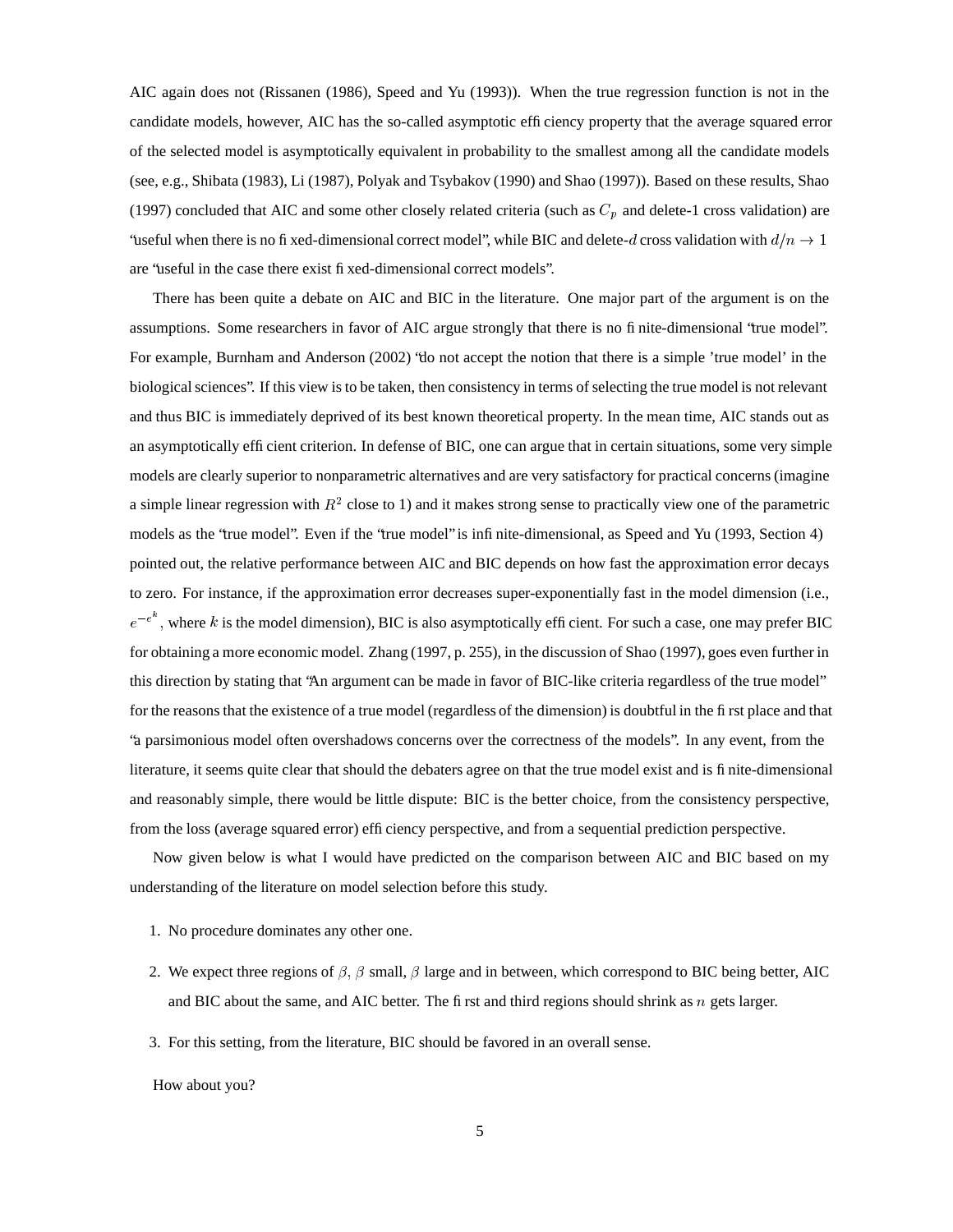AIC again does not (Rissanen (1986), Speed and Yu (1993)). When the true regression function is not in the candidate models, however, AIC has the so-called asymptotic efficiency property that the average squared error of the selected model is asymptotically equivalent in probability to the smallest among all the candidate models (see, e.g., Shibata (1983), Li (1987), Polyak and Tsybakov (1990) and Shao (1997)). Based on these results, Shao (1997) concluded that AIC and some other closely related criteria (such as  $C_p$  and delete-1 cross validation) are 'useful when there is no fixed-dimensional correct model'', while BIC and delete-d cross validation with  $d/n \to 1$ are "useful in the case there exist fixed-dimensional correct models".

There has been quite a debate on AIC and BIC in the literature. One major part of the argument is on the assumptions. Some researchers in favor of AIC argue strongly that there is no finite-dimensional "true model". For example, Burnham and Anderson (2002) "do not accept the notion that there is a simple 'true model' in the biological sciences". If this view is to be taken, then consistency in terms of selecting the true model is not relevant and thus BIC is immediately deprived of its best known theoretical property. In the mean time, AIC stands out as an asymptotically efficient criterion. In defense of BIC, one can argue that in certain situations, some very simple models are clearly superior to nonparametric alternatives and are very satisfactory for practical concerns (imagine a simple linear regression with  $R^2$  close to 1) and it makes strong sense to practically view one of the parametric models as the "true model". Even if the "true model" is infinite-dimensional, as Speed and Yu (1993, Section 4) pointed out, the relative performance between AIC and BIC depends on how fast the approximation error decays to zero. For instance, if the approximation error decreases super-exponentially fast in the model dimension (i.e.,  $e^{-e^{\alpha}}$ , where k is the model dimension), BIC is also asymptotically efficient. For such a case, one may prefer BIC for obtaining a more economic model. Zhang (1997, p. 255), in the discussion of Shao (1997), goes even further in this direction by stating that "An argument can be made in favor of BIC-like criteria regardless of the true model" for the reasons that the existence of a true model (regardless of the dimension) is doubtful in the first place and that "a parsimonious model often overshadows concerns over the correctness of the models". In any event, from the literature, it seems quite clear that should the debaters agree on that the true model exist and is finite-dimensional and reasonably simple, there would be little dispute: BIC is the better choice, from the consistency perspective, from the loss (average squared error) efficiency perspective, and from a sequential prediction perspective.

Now given below is what I would have predicted on the comparison between AIC and BIC based on my understanding of the literature on model selection before this study.

- 1. No procedure dominates any other one.
- 2. We expect three regions of  $\beta$ ,  $\beta$  small,  $\beta$  large and in between, which correspond to BIC being better, AIC and BIC about the same, and AIC better. The first and third regions should shrink as  $n$  gets larger.
- 3. For this setting, from the literature, BIC should be favored in an overall sense.

How about you?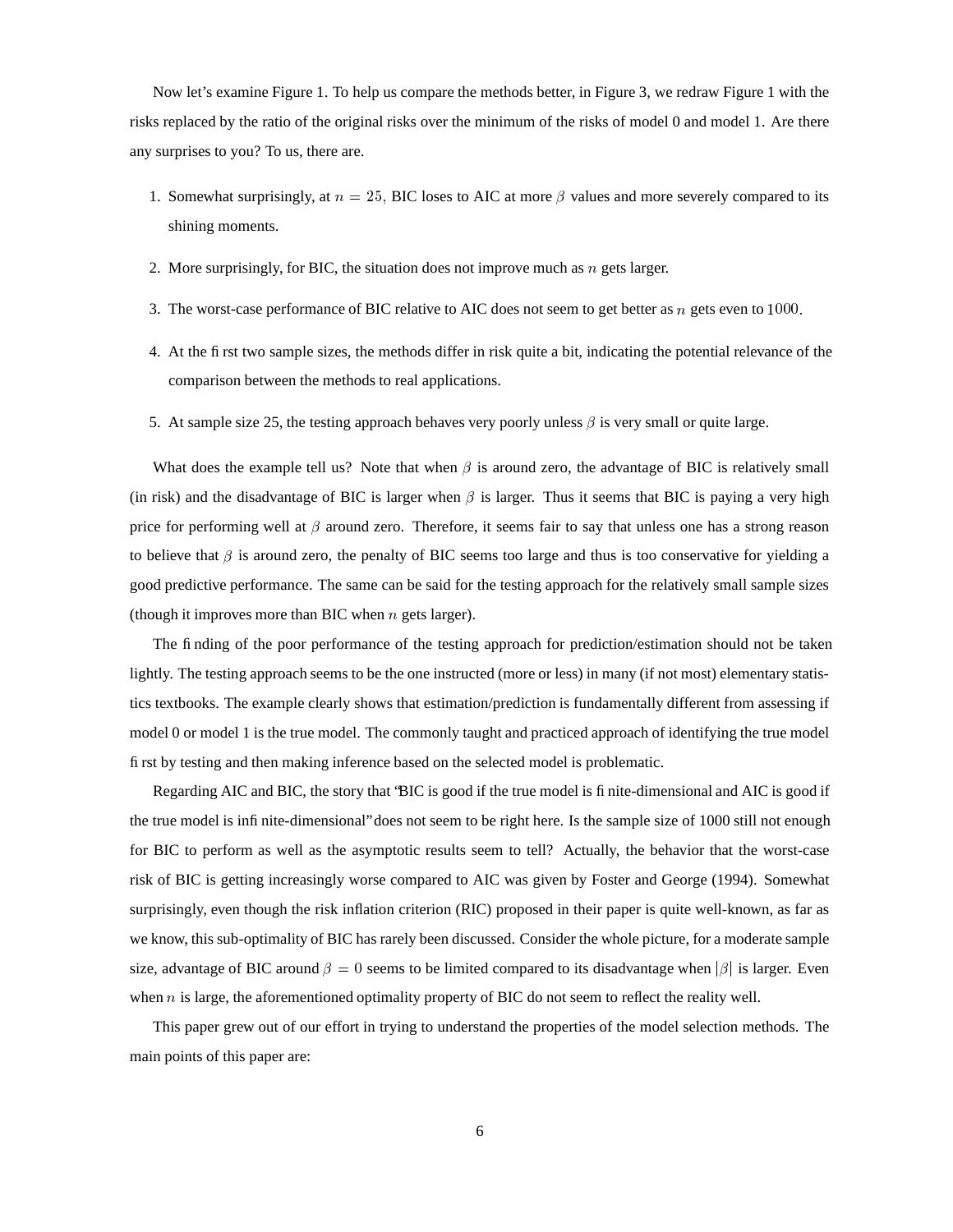Now let's examine Figure 1. To help us compare the methods better, in Figure 3, we redraw Figure 1 with the risks replaced by the ratio of the original risks over the minimum of the risks of model 0 and model 1. Are there any surprises to you? To us, there are.

- 1. Somewhat surprisingly, at  $n = 25$ , BIC loses to AIC at more  $\beta$  values and more severely compared to its shining moments.
- 2. More surprisingly, for BIC, the situation does not improve much as  $n$  gets larger.
- 3. The worst-case performance of BIC relative to AIC does not seem to get better as  $n$  gets even to 1000.
- 4. At the first two sample sizes, the methods differ in risk quite a bit, indicating the potential relevance of the comparison between the methods to real applications.
- 5. At sample size 25, the testing approach behaves very poorly unless  $\beta$  is very small or quite large.

What does the example tell us? Note that when  $\beta$  is around zero, the advantage of BIC is relatively small (in risk) and the disadvantage of BIC is larger when  $\beta$  is larger. Thus it seems that BIC is paying a very high price for performing well at  $\beta$  around zero. Therefore, it seems fair to say that unless one has a strong reason to believe that  $\beta$  is around zero, the penalty of BIC seems too large and thus is too conservative for yielding a good predictive performance. The same can be said for the testing approach for the relatively small sample sizes (though it improves more than BIC when  $n$  gets larger).

The finding of the poor performance of the testing approach for prediction/estimation should not be taken lightly. The testing approach seems to be the one instructed (more or less) in many (if not most) elementary statistics textbooks. The example clearly shows that estimation/prediction is fundamentally different from assessing if model 0 or model 1 is the true model. The commonly taught and practiced approach of identifying the true model first by testing and then making inference based on the selected model is problematic.

Regarding AIC and BIC, the story that "BIC is good if the true model is finite-dimensional and AIC is good if the true model is infinite-dimensional" does not seem to be right here. Is the sample size of 1000 still not enough for BIC to perform as well as the asymptotic results seem to tell? Actually, the behavior that the worst-case risk of BIC is getting increasingly worse compared to AIC was given by Foster and George (1994). Somewhat surprisingly, even though the risk inflation criterion (RIC) proposed in their paper is quite well-known, as far as we know, this sub-optimality of BIC has rarely been discussed. Consider the whole picture, for a moderate sample size, advantage of BIC around  $\beta = 0$  seems to be limited compared to its disadvantage when  $|\beta|$  is larger. Even when  $n$  is large, the aforementioned optimality property of BIC do not seem to reflect the reality well.

This paper grew out of our effort in trying to understand the properties of the model selection methods. The main points of this paper are: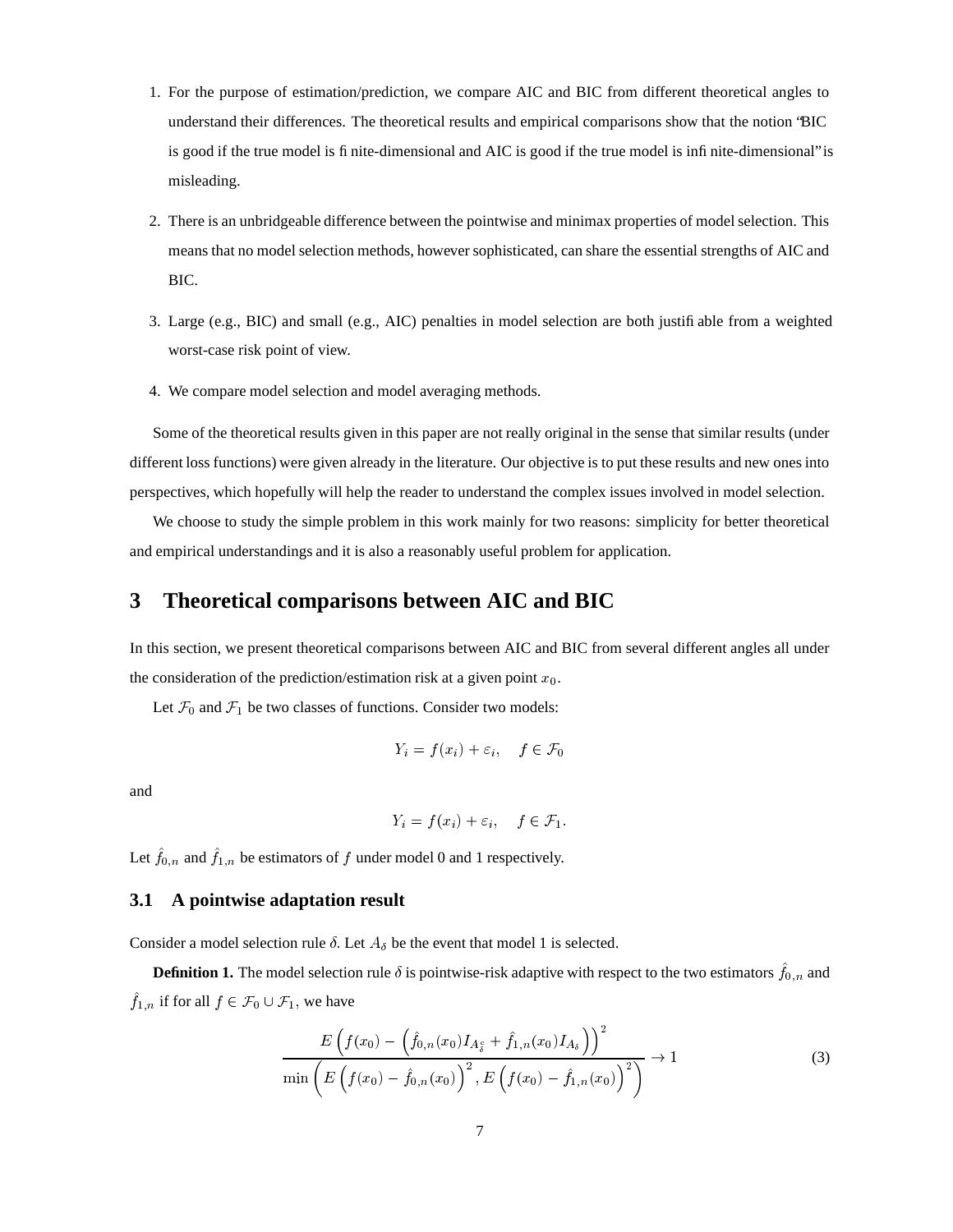- 1. For the purpose of estimation/prediction, we compare AIC and BIC from different theoretical angles to understand their differences. The theoretical results and empirical comparisons show that the notion "BIC is good if the true model is finite-dimensional and AIC is good if the true model is infinite-dimensional" is misleading.
- 2. There is an unbridgeable difference between the pointwise and minimax properties of model selection. This means that no model selection methods, however sophisticated, can share the essential strengths of AIC and BIC.
- 3. Large (e.g., BIC) and small (e.g., AIC) penalties in model selection are both justifiable from a weighted worst-case risk point of view.
- 4. We compare model selection and model averaging methods.

Some of the theoretical results given in this paper are not really original in the sense that similar results (under different loss functions) were given already in the literature. Our objective is to put these results and new ones into perspectives, which hopefully will help the reader to understand the complex issues involved in model selection.

We choose to study the simple problem in this work mainly for two reasons: simplicity for better theoretical and empirical understandings and it is also a reasonably useful problem for application.

### **3 Theoretical comparisons between AIC and BIC**

In this section, we present theoretical comparisons between AIC and BIC from several different angles all under the consideration of the prediction/estimation risk at a given point  $x_0$ .

Let  $\mathcal{F}_0$  and  $\mathcal{F}_1$  be two classes of functions. Consider two models:

$$
Y_i = f(x_i) + \varepsilon_i, \quad f \in \mathcal{F}_0
$$

and

$$
Y_i = f(x_i) + \varepsilon_i, \quad f \in \mathcal{F}_1.
$$

Let  $f_{0,n}$  and  $f_{1,n}$  be estimators of f under model 0 and 1 respectively.

#### **3.1 A pointwise adaptation result**

Consider a model selection rule  $\delta$ . Let  $A_{\delta}$  be the event that model 1 is selected.

**Definition 1.** The model selection rule  $\delta$  is pointwise-risk adaptive with respect to the two estimators  $f_{0,n}$  and  $f_{1,n}$  if for all  $f \in \mathcal{F}_0 \cup \mathcal{F}_1$ , we have

$$
\frac{E\left(f(x_0) - \left(\hat{f}_{0,n}(x_0)I_{A_s^c} + \hat{f}_{1,n}(x_0)I_{A_s}\right)\right)^2}{\min\left(E\left(f(x_0) - \hat{f}_{0,n}(x_0)\right)^2, E\left(f(x_0) - \hat{f}_{1,n}(x_0)\right)^2\right)} \to 1
$$
\n(3)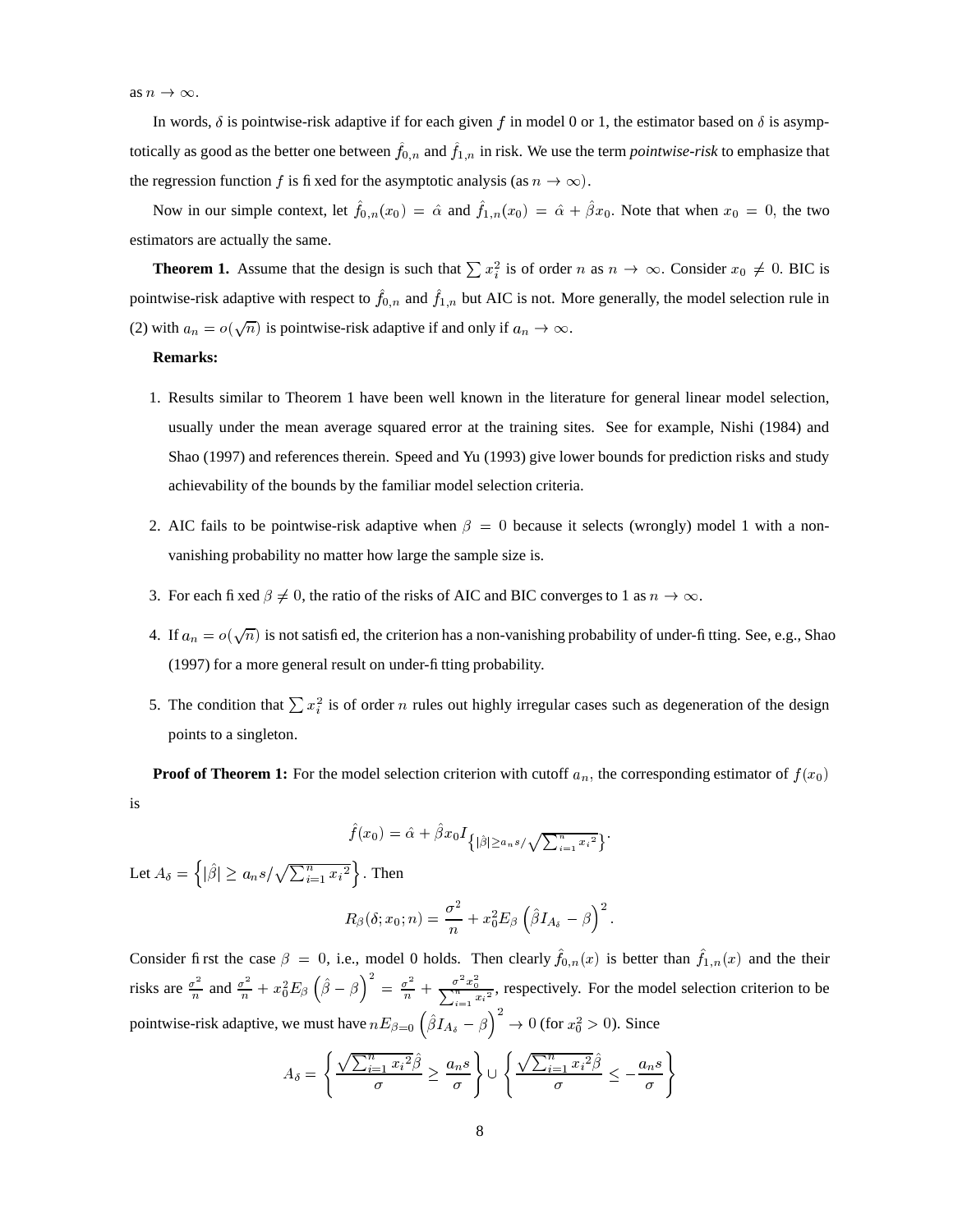In words,  $\delta$  is pointwise-risk adaptive if for each given f in model 0 or 1, the estimator based on  $\delta$  is asymptotically as good as the better one between  $f_{0,n}$  and  $f_{1,n}$  in risk. We use the term *pointwise-risk* to emphasize that the regression function f is fixed for the asymptotic analysis (as  $n \to \infty$ ).

Now in our simple context, let  $f_{0,n}(x_0) = \hat{\alpha}$  and  $f_{1,n}(x_0) = \hat{\alpha} + \beta x_0$ . Note that when  $x_0 = 0$ , the two estimators are actually the same.

**Theorem 1.** Assume that the design is such that  $\sum x_i^2$  is of order n as  $n \to \infty$ . Consider  $x_0 \neq 0$ . BIC is pointwise-risk adaptive with respect to  $f_{0,n}$  and  $f_{1,n}$  but AIC is not. More generally, the model selection rule in (2) with  $a_n = o(\sqrt{n})$  is pointwise-risk adaptive if and only if  $a_n \to \infty$ .

#### **Remarks:**

- 1. Results similar to Theorem 1 have been well known in the literature for general linear model selection, usually under the mean average squared error at the training sites. See for example, Nishi (1984) and Shao (1997) and references therein. Speed and Yu (1993) give lower bounds for prediction risks and study achievability of the bounds by the familiar model selection criteria.
- 2. AIC fails to be pointwise-risk adaptive when  $\beta = 0$  because it selects (wrongly) model 1 with a nonvanishing probability no matter how large the sample size is.
- 3. For each fixed  $\beta \neq 0$ , the ratio of the risks of AIC and BIC converges to 1 as  $n \to \infty$ .
- 4. If  $a_n = o(\sqrt{n})$  is not satisfied, the criterion has a non-vanishing probability of under-fitting. See, e.g., Shao (1997) for a more general result on under-fitting probability.
- 5. The condition that  $\sum x_i^2$  is of order *n* rules out highly irregular cases such as degeneration of the design points to a singleton.

**Proof of Theorem 1:** For the model selection criterion with cutoff  $a_n$ , the corresponding estimator of  $f(x_0)$ is

$$
\hat{f}(x_0) = \hat{\alpha} + \hat{\beta}x_0 I_{\{|\hat{\beta}| \ge a_n s/\sqrt{\sum_{i=1}^n x_i^2}\}}.
$$

Let  $A_{\delta} = \left\{ |\hat{\beta}| \ge a_n s / \sqrt{\sum_{i=1}^n x_i^2} \right\}$ . Then

$$
R_{\beta}(\delta;x_0;n)=\frac{\sigma^2}{n}+x_0^2E_{\beta}\left(\hat{\beta}I_{A_{\delta}}-\beta\right)^2.
$$

Consider first the case  $\beta = 0$ , i.e., model 0 holds. Then clearly  $f_{0,n}(x)$  is better than  $f_{1,n}(x)$  and the their risks are  $\frac{\sigma^2}{n}$  and  $\frac{\sigma^2}{n} + x_0^2 E_\beta \left(\hat{\beta} - \beta\right)^2 = \frac{\sigma^2}{n} + \frac{\sigma^2 x_0^2}{\sum_{n=2}^\infty n}$ , re  $\frac{\sigma}{\sqrt{n}}$ , respectively. For the model selection criterion to be pointwise-risk adaptive, we must have  $nE_{\beta=0}$   $(\beta I_{A_{\delta}} - \beta) \rightarrow 0$  (for  $x_0^2 > 0$ ). Since

$$
A_{\delta} = \left\{ \frac{\sqrt{\sum_{i=1}^{n} x_i^2} \hat{\beta}}{\sigma} \ge \frac{a_n s}{\sigma} \right\} \cup \left\{ \frac{\sqrt{\sum_{i=1}^{n} x_i^2} \hat{\beta}}{\sigma} \le -\frac{a_n s}{\sigma} \right\}
$$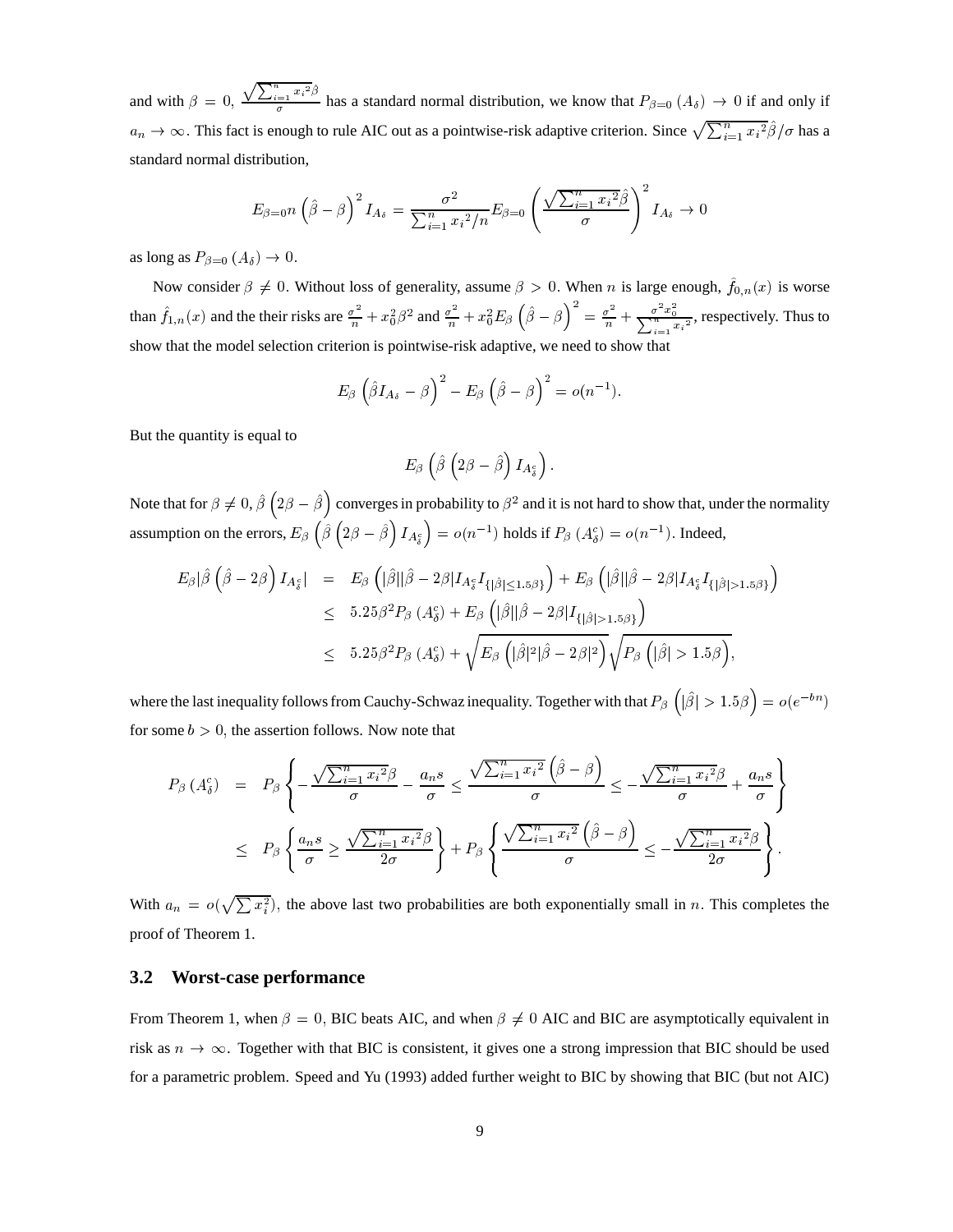and with  $\beta = 0$ ,  $\frac{\sqrt{\sum_{i=1}^{n} x_i^2} \hat{\beta}}{\sigma}$  has a standard normal distribution, we know that  $P_{\beta=0}(A_{\delta}) \to 0$  if and only if  $a_n \to \infty$ . This fact is enough to rule AIC out as a pointwise-risk adaptive criterion. Since  $\sqrt{\sum_{i=1}^n x_i^2} \hat{\beta}/\sigma$  has a standard normal distribution,

$$
E_{\beta=0}n\left(\hat{\beta}-\beta\right)^2I_{As}=\frac{\sigma^2}{\sum_{i=1}^nx_i^2/n}E_{\beta=0}\left(\frac{\sqrt{\sum_{i=1}^nx_i^2}\hat{\beta}}{\sigma}\right)^2I_{As}\to 0
$$

as long as  $P_{\beta=0}$   $(A_{\delta}) \rightarrow 0$ .

Now consider  $\beta \neq 0$ . Without loss of generality, assume  $\beta > 0$ . When *n* is large enough,  $f_{0,n}(x)$  is worse than  $\hat{f}_{1,n}(x)$  and the their risks are  $\frac{\sigma^2}{n} + x_0^2 \beta^2$  and  $\frac{\sigma^2}{n} + x_0^2 E_\beta \left(\hat{\beta} - \beta\right)^2 = \frac{\sigma^2}{n} + \frac{\sigma^2 x_0^2}{\sum_{n=1}^n x_i^2}$ , re  $\frac{\sigma}{\sqrt{n}}$ , respectively. Thus to show that the model selection criterion is pointwise-risk adaptive, we need to show that

$$
E_{\beta}\left(\hat{\beta}I_{A_{\delta}}-\beta\right)^2-E_{\beta}\left(\hat{\beta}-\beta\right)^2=o(n^{-1}).
$$

But the quantity is equal to

$$
E_{\beta}\left(\hat{\beta}\left(2\beta-\hat{\beta}\right)I_{A_{\delta}^{c}}\right).
$$

Note that for  $\beta \neq 0$ ,  $\beta$  ( $2\beta - \beta$ ) converges in probability to  $\beta^2$  and it is not hard to show that, under the normality assumption on the errors,  $E_\beta\left(\hat{\beta}\left(2\beta-\hat{\beta}\right)I_{A_s^c}\right)=o(n^{-1})$  holds if  $P_\beta\left(A_{{\delta}}^c\right)=o$  $) = o(n^{-1})$ . Indeed,

$$
E_{\beta}|\hat{\beta}\left(\hat{\beta}-2\beta\right)I_{A_{\delta}^{c}}| = E_{\beta}\left(|\hat{\beta}||\hat{\beta}-2\beta|I_{A_{\delta}^{c}}I_{\{|\hat{\beta}|\leq1.5\beta\}}\right) + E_{\beta}\left(|\hat{\beta}||\hat{\beta}-2\beta|I_{A_{\delta}^{c}}I_{\{|\hat{\beta}|>1.5\beta\}}\right)
$$
  

$$
\leq 5.25\beta^{2}P_{\beta}\left(A_{\delta}^{c}\right) + E_{\beta}\left(|\hat{\beta}||\hat{\beta}-2\beta|I_{\{|\hat{\beta}|>1.5\beta\}}\right)
$$
  

$$
\leq 5.25\beta^{2}P_{\beta}\left(A_{\delta}^{c}\right) + \sqrt{E_{\beta}\left(|\hat{\beta}|^{2}|\hat{\beta}-2\beta|^{2}\right)}\sqrt{P_{\beta}\left(|\hat{\beta}|>1.5\beta\right)},
$$

where the last inequality follows from Cauchy-Schwaz inequality. Together with that  $P_\beta$   $(|\beta| > 1.5\beta) = o(e^{-bn})$ **b**<sub>n</sub> (b) for some  $b > 0$ , the assertion follows. Now note that

$$
P_{\beta}\left(A_{\delta}^{c}\right) = P_{\beta}\left\{-\frac{\sqrt{\sum_{i=1}^{n}x_{i}^{2}}\beta}{\sigma} - \frac{a_{n}s}{\sigma} \leq \frac{\sqrt{\sum_{i=1}^{n}x_{i}^{2}}\left(\hat{\beta} - \beta\right)}{\sigma} \leq -\frac{\sqrt{\sum_{i=1}^{n}x_{i}^{2}}\beta}{\sigma} + \frac{a_{n}s}{\sigma}\right\}
$$

$$
\leq P_{\beta}\left\{\frac{a_{n}s}{\sigma} \geq \frac{\sqrt{\sum_{i=1}^{n}x_{i}^{2}}\beta}{2\sigma}\right\} + P_{\beta}\left\{\frac{\sqrt{\sum_{i=1}^{n}x_{i}^{2}}\left(\hat{\beta} - \beta\right)}{\sigma} \leq -\frac{\sqrt{\sum_{i=1}^{n}x_{i}^{2}}\beta}{2\sigma}\right\}.
$$

With  $a_n = o(\sqrt{\sum x_i^2})$ , the above last two probabilities are both exponentially small in n. This completes the proof of Theorem 1.

#### **3.2 Worst-case performance**

From Theorem 1, when  $\beta = 0$ , BIC beats AIC, and when  $\beta \neq 0$  AIC and BIC are asymptotically equivalent in risk as  $n \to \infty$ . Together with that BIC is consistent, it gives one a strong impression that BIC should be used for a parametric problem. Speed and Yu (1993) added further weight to BIC by showing that BIC (but not AIC)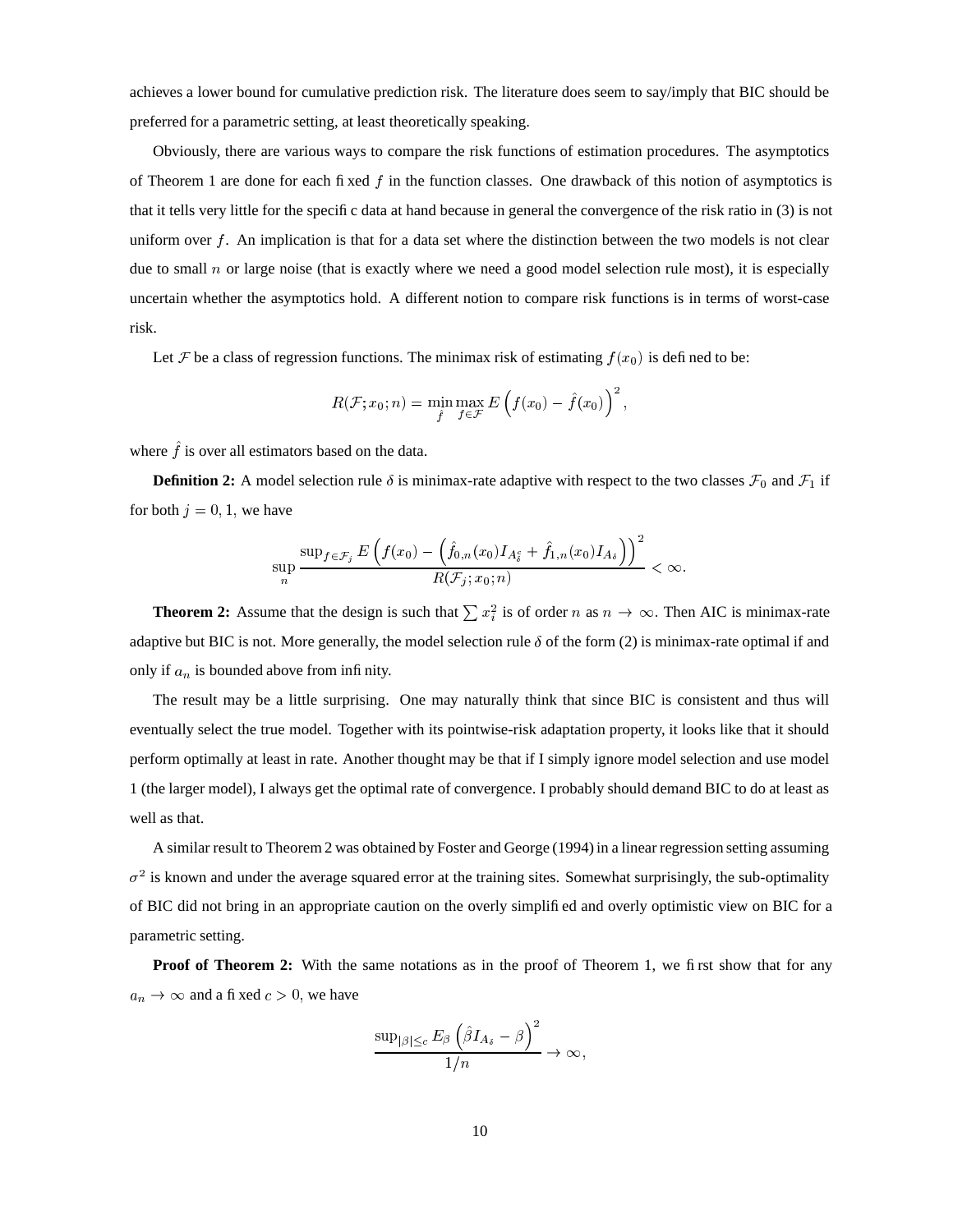achieves a lower bound for cumulative prediction risk. The literature does seem to say/imply that BIC should be preferred for a parametric setting, at least theoretically speaking.

Obviously, there are various ways to compare the risk functions of estimation procedures. The asymptotics of Theorem 1 are done for each fixed  $f$  in the function classes. One drawback of this notion of asymptotics is that it tells very little for the specific data at hand because in general the convergence of the risk ratio in (3) is not uniform over  $f$ . An implication is that for a data set where the distinction between the two models is not clear due to small  $n$  or large noise (that is exactly where we need a good model selection rule most), it is especially uncertain whether the asymptotics hold. A different notion to compare risk functions is in terms of worst-case risk.

Let F be a class of regression functions. The minimax risk of estimating  $f(x_0)$  is defined to be:

$$
R(\mathcal{F}; x_0; n) = \min_{\hat{f}} \max_{f \in \mathcal{F}} E\left(f(x_0) - \hat{f}(x_0)\right)^2,
$$

where  $\hat{f}$  is over all estimators based on the data.

**Definition 2:** A model selection rule  $\delta$  is minimax-rate adaptive with respect to the two classes  $\mathcal{F}_0$  and  $\mathcal{F}_1$  if for both  $j = 0, 1$ , we have

$$
\sup_n \frac{\sup_{f \in \mathcal{F}_j} E\left(f(x_0) - \left(\hat{f}_{0,n}(x_0)I_{A_{\delta}^c} + \hat{f}_{1,n}(x_0)I_{A_{\delta}}\right)\right)^2}{R(\mathcal{F}_j; x_0; n)} < \infty.
$$

**Theorem 2:** Assume that the design is such that  $\sum x_i^2$  is of order n as  $n \to \infty$ . Then AIC is minimax-rate adaptive but BIC is not. More generally, the model selection rule  $\delta$  of the form (2) is minimax-rate optimal if and only if  $a_n$  is bounded above from infinity.

The result may be a little surprising. One may naturally think that since BIC is consistent and thus will eventually select the true model. Together with its pointwise-risk adaptation property, it looks like that it should perform optimally at least in rate. Another thought may be that if I simply ignore model selection and use model 1 (the larger model), I always get the optimal rate of convergence. I probably should demand BIC to do at least as well as that.

A similar result to Theorem 2 was obtained by Foster and George (1994)in a linear regression setting assuming  $\sigma^2$  is known and under the average squared error at the training sites. Somewhat surprisingly, the sub-optimality of BIC did not bring in an appropriate caution on the overly simplified and overly optimistic view on BIC for a parametric setting.

**Proof of Theorem 2:** With the same notations as in the proof of Theorem 1, we first show that for any  $a_n \to \infty$  and a fixed  $c > 0$ , we have

$$
\frac{\sup_{|\beta|\leq c}E_{\beta}\left(\hat{\beta}I_{A_{\delta}}-\beta\right)^2}{1/n}\rightarrow\infty,
$$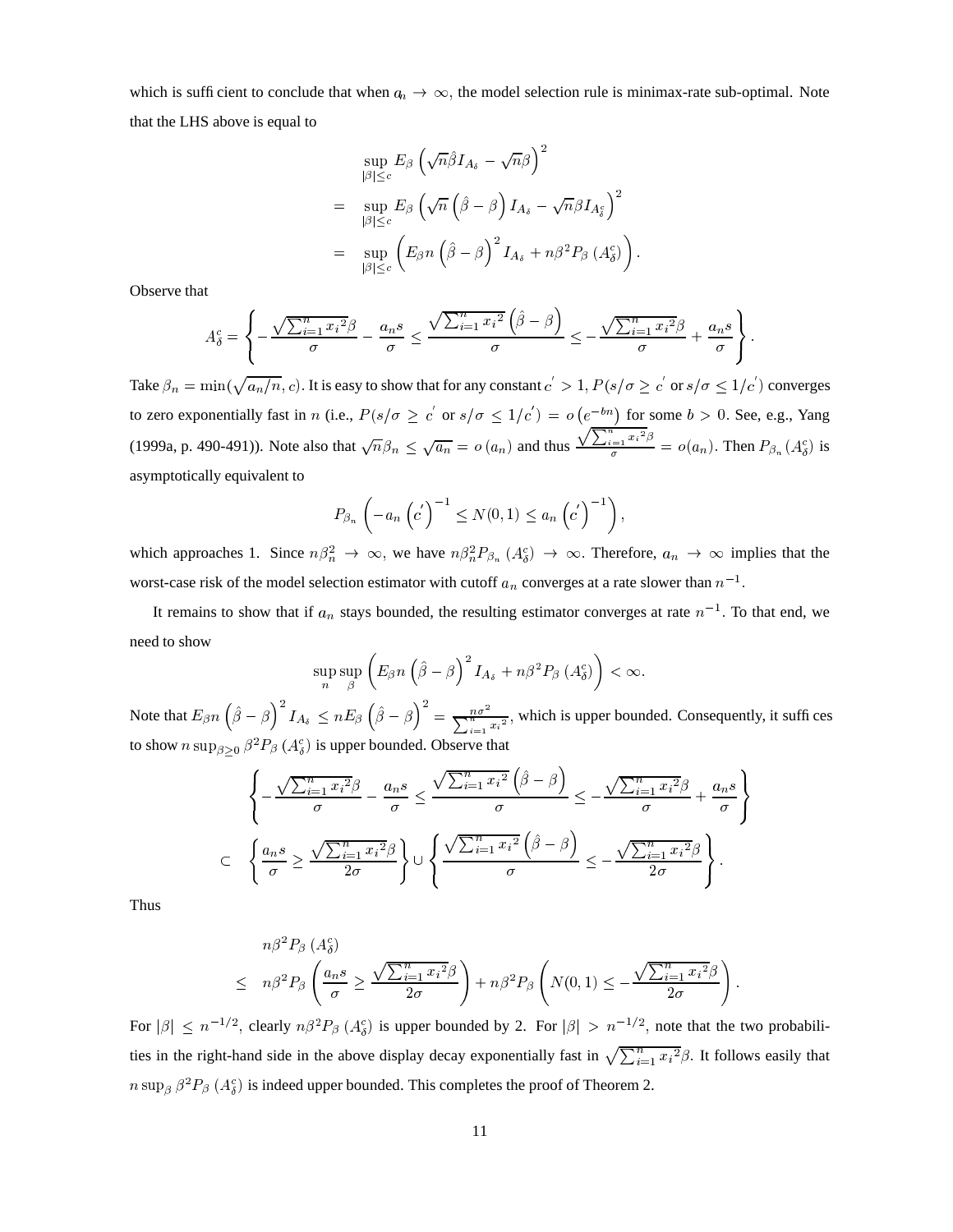which is sufficient to conclude that when  $a_n \to \infty$ , the model selection rule is minimax-rate sub-optimal. Note that the LHS above is equal to

$$
\sup_{|\beta| \leq c} E_{\beta} \left( \sqrt{n} \hat{\beta} I_{A_{\delta}} - \sqrt{n} \beta \right)^{2}
$$
\n
$$
= \sup_{|\beta| \leq c} E_{\beta} \left( \sqrt{n} \left( \hat{\beta} - \beta \right) I_{A_{\delta}} - \sqrt{n} \beta I_{A_{\delta}^{c}} \right)^{2}
$$
\n
$$
= \sup_{|\beta| \leq c} \left( E_{\beta} n \left( \hat{\beta} - \beta \right)^{2} I_{A_{\delta}} + n \beta^{2} P_{\beta} \left( A_{\delta}^{c} \right) \right).
$$

Observe that

$$
A_{\delta}^{c} = \left\{-\frac{\sqrt{\sum_{i=1}^{n} x_{i}^{2}}\beta}{\sigma} - \frac{a_{n}s}{\sigma} \leq \frac{\sqrt{\sum_{i=1}^{n} x_{i}^{2}}\left(\hat{\beta} - \beta\right)}{\sigma} \leq -\frac{\sqrt{\sum_{i=1}^{n} x_{i}^{2}}\beta}{\sigma} + \frac{a_{n}s}{\sigma}\right\}.
$$

Take  $\beta_n=\min(\sqrt{a_n/n},c)$ . It is easy to show that for any constant  $c^{'}>1$  ,  $P(s/\sigma\ge c^{'}$  or  $s/\sigma\le 1/c^{'})$  converges to zero exponentially fast in n (i.e.,  $P(s/\sigma \ge c'$  or  $s/\sigma \le 1/c') = o(e^{-bn})$  for some  $b > 0$ . See, e.g., Yang (1999a, p. 490-491)). Note also that  $\sqrt{n}\beta_n \leq \sqrt{a_n} = o(a_n)$  and thus  $\frac{\sqrt{\sum_{i=1}^n x_i^2 \beta}}{\sigma} = o(a_n)$ . Then  $P_{\beta_n}(A_{\delta}^c)$  is asymptotically equivalent to

$$
P_{\beta_n}\left(-a_n\left(c'\right)^{-1}\leq N(0,1)\leq a_n\left(c'\right)^{-1}\right),\,
$$

which approaches 1. Since  $n\beta_n^2 \rightarrow \infty$ , we have  $n\beta_n^2 P_{\beta_n}(A_{\delta}^c) \rightarrow \infty$ . Therefore,  $a_n \rightarrow \infty$  implies that the worst-case risk of the model selection estimator with cutoff  $a_n$  converges at a rate slower than  $n^{-1}$ .

It remains to show that if  $a_n$  stays bounded, the resulting estimator converges at rate  $n^{-1}$ . To that end, we need to show

$$
\sup_n \sup_{\beta} \left( E_{\beta} n \left( \hat{\beta} - \beta \right)^2 I_{A_{\delta}} + n \beta^2 P_{\beta} \left( A_{\delta}^c \right) \right) < \infty.
$$

Note that  $E_{\beta} n$   $(\beta - \beta)$   $I_{A_{\delta}} \leq nE_{\beta}$  $\leq nE_{\beta}\left(\hat{\beta}-\beta\right)^2=\frac{n\sigma^2}{\sum_{i=1}^nx_i^2},$  w  $\frac{n\sigma^2}{\sqrt{n}}$ , which is upper bounded. Consequently, it suffices to show  $n \sup_{\beta > 0} \beta^2 P_{\beta} (A_{\delta}^c)$  is upper bounded. Observe that

$$
\left\{ -\frac{\sqrt{\sum_{i=1}^{n} x_i^2 \beta}}{\sigma} - \frac{a_n s}{\sigma} \le \frac{\sqrt{\sum_{i=1}^{n} x_i^2} (\hat{\beta} - \beta)}{\sigma} \le -\frac{\sqrt{\sum_{i=1}^{n} x_i^2 \beta}}{\sigma} + \frac{a_n s}{\sigma} \right\}
$$
  

$$
\subset \left\{ \frac{a_n s}{\sigma} \ge \frac{\sqrt{\sum_{i=1}^{n} x_i^2 \beta}}{2\sigma} \right\} \cup \left\{ \frac{\sqrt{\sum_{i=1}^{n} x_i^2} (\hat{\beta} - \beta)}{\sigma} \le -\frac{\sqrt{\sum_{i=1}^{n} x_i^2 \beta}}{2\sigma} \right\}.
$$

Thus

$$
n\beta^{2} P_{\beta} (A_{\delta}^{c})
$$
  

$$
\leq n\beta^{2} P_{\beta} \left( \frac{a_{n}s}{\sigma} \geq \frac{\sqrt{\sum_{i=1}^{n} x_{i}^{2} \beta}}{2\sigma} \right) + n\beta^{2} P_{\beta} \left( N(0,1) \leq -\frac{\sqrt{\sum_{i=1}^{n} x_{i}^{2} \beta}}{2\sigma} \right).
$$

For  $|\beta| \leq n^{-1/2}$ , clea ties in the right-hand side in the above display decay exponentially fast in  $\sqrt{\sum_{i=1}^{n} x_i^2} \beta$ . It follows easily that <sup>2</sup>, clearly  $n\beta^2 P_\beta(A_\delta^c)$  is u ) is upper bounded by 2. For  $|\beta| > n^{-1/2}$ , not  $\alpha^2$ , note that the two probabili $n \sup_{\beta} \beta^2 P_{\beta} (A_{\delta}^c)$  is indeed upper bounded. This completes the proof of Theorem 2.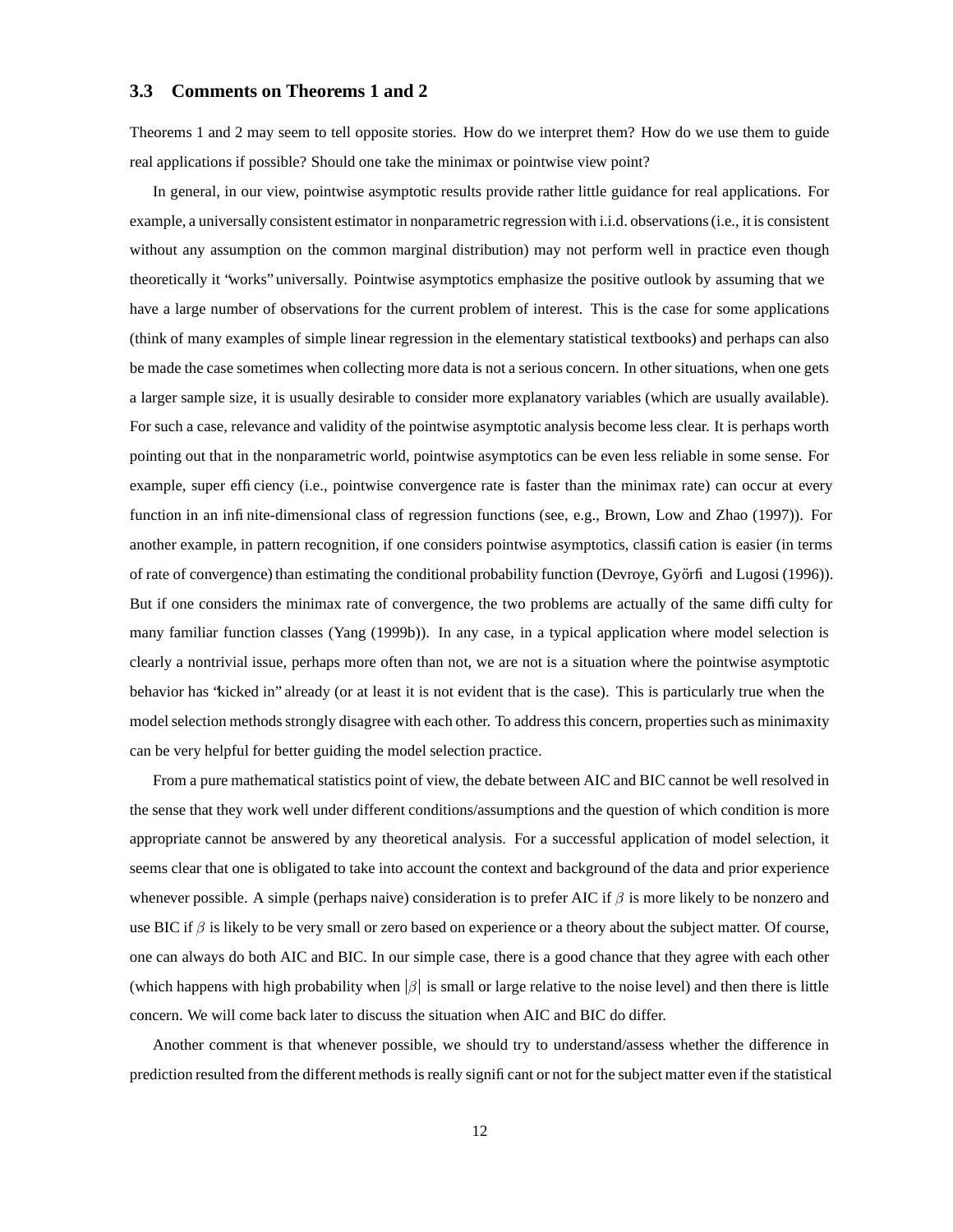#### **3.3 Comments on Theorems 1 and 2**

Theorems 1 and 2 may seem to tell opposite stories. How do we interpret them? How do we use them to guide real applications if possible? Should one take the minimax or pointwise view point?

In general, in our view, pointwise asymptotic results provide rather little guidance for real applications. For example, a universally consistent estimator in nonparametric regression with i.i.d. observations(i.e., it is consistent without any assumption on the common marginal distribution) may not perform well in practice even though theoretically it "works" universally. Pointwise asymptotics emphasize the positive outlook by assuming that we have a large number of observations for the current problem of interest. This is the case for some applications (think of many examples of simple linear regression in the elementary statistical textbooks) and perhaps can also be made the case sometimes when collecting more data is not a serious concern. In other situations, when one gets a larger sample size, it is usually desirable to consider more explanatory variables (which are usually available). For such a case, relevance and validity of the pointwise asymptotic analysis become less clear. It is perhaps worth pointing out that in the nonparametric world, pointwise asymptotics can be even less reliable in some sense. For example, super efficiency (i.e., pointwise convergence rate is faster than the minimax rate) can occur at every function in an infinite-dimensional class of regression functions (see, e.g., Brown, Low and Zhao (1997)). For another example, in pattern recognition, if one considers pointwise asymptotics, classification is easier (in terms of rate of convergence) than estimating the conditional probability function (Devroye, Gyo rfi and Lugosi (1996)). But if one considers the minimax rate of convergence, the two problems are actually of the same difficulty for many familiar function classes (Yang (1999b)). In any case, in a typical application where model selection is clearly a nontrivial issue, perhaps more often than not, we are not is a situation where the pointwise asymptotic behavior has "kicked in" already (or at least it is not evident that is the case). This is particularly true when the model selection methods strongly disagree with each other. To address this concern, properties such as minimaxity can be very helpful for better guiding the model selection practice.

From a pure mathematical statistics point of view, the debate between AIC and BIC cannot be well resolved in the sense that they work well under different conditions/assumptions and the question of which condition is more appropriate cannot be answered by any theoretical analysis. For a successful application of model selection, it seems clear that one is obligated to take into account the context and background of the data and prior experience whenever possible. A simple (perhaps naive) consideration is to prefer AIC if  $\beta$  is more likely to be nonzero and use BIC if  $\beta$  is likely to be very small or zero based on experience or a theory about the subject matter. Of course, one can always do both AIC and BIC. In our simple case, there is a good chance that they agree with each other (which happens with high probability when  $\beta$  is small or large relative to the noise level) and then there is little concern. We will come back later to discuss the situation when AIC and BIC do differ.

Another comment is that whenever possible, we should try to understand/assess whether the difference in prediction resulted from the different methodsis really significant or not for the subject matter even if the statistical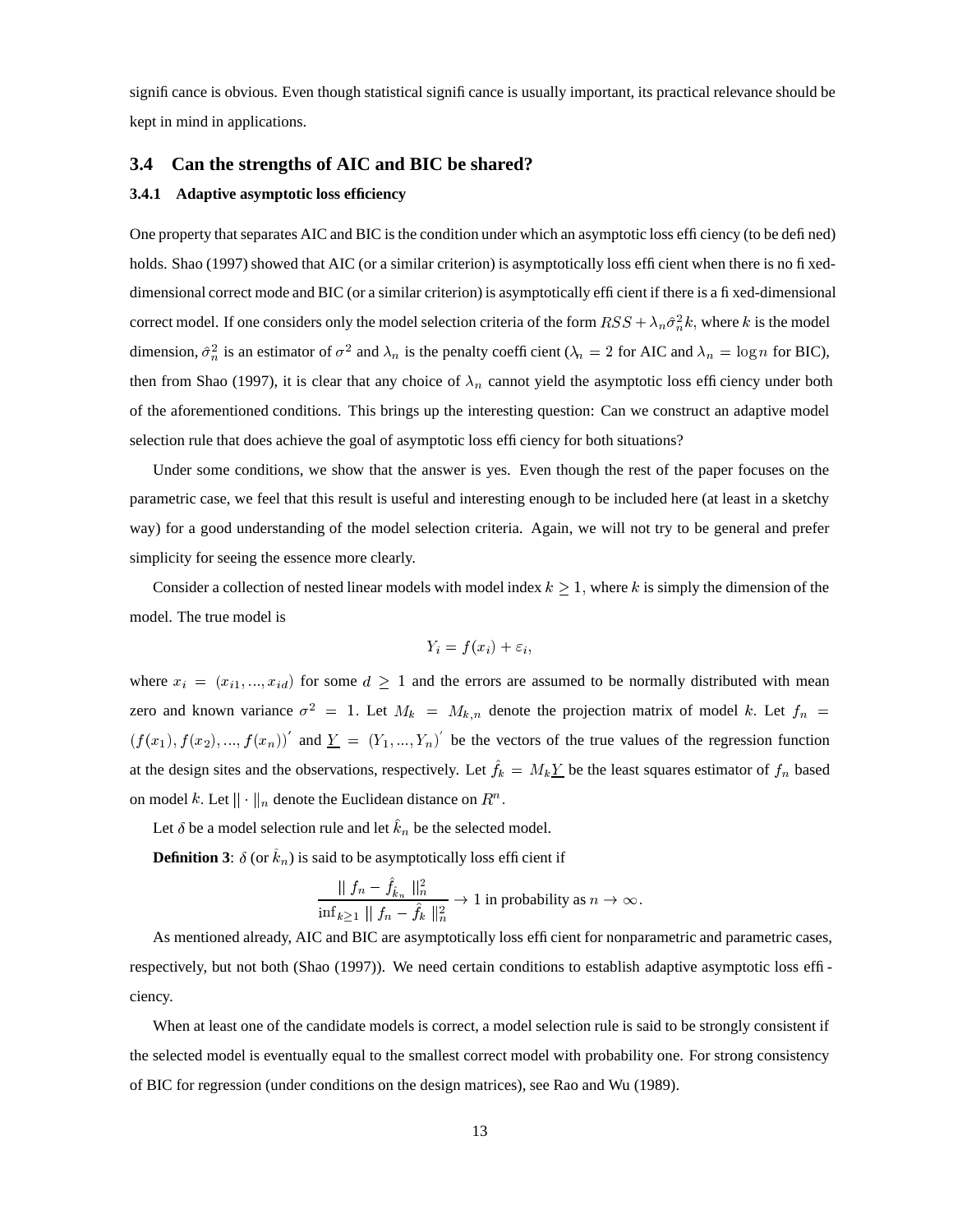significance is obvious. Even though statistical significance is usually important, its practical relevance should be kept in mind in applications.

#### **3.4 Can the strengths of AIC and BIC be shared?**

#### **3.4.1 Adaptive asymptotic loss efficiency**

One property that separates AIC and BIC is the condition under which an asymptotic loss efficiency (to be defined) holds. Shao (1997) showed that AIC (or a similar criterion) is asymptotically loss efficient when there is no fixeddimensional correct mode and BIC (or a similar criterion) is asymptotically efficient if there is a fixed-dimensional correct model. If one considers only the model selection criteria of the form  $RSS + \lambda_n \hat{\sigma}_n^2 k$ , where k is the model dimension,  $\hat{\sigma}_n^2$  is an estimator of  $\sigma^2$  and  $\lambda_n$  is the penalty coefficient ( $\lambda_n = 2$  for AIC and  $\lambda_n = \log n$  for BIC), then from Shao (1997), it is clear that any choice of  $\lambda_n$  cannot yield the asymptotic loss efficiency under both of the aforementioned conditions. This brings up the interesting question: Can we construct an adaptive model selection rule that does achieve the goal of asymptotic loss efficiency for both situations?

Under some conditions, we show that the answer is yes. Even though the rest of the paper focuses on the parametric case, we feel that this result is useful and interesting enough to be included here (at least in a sketchy way) for a good understanding of the model selection criteria. Again, we will not try to be general and prefer simplicity for seeing the essence more clearly.

Consider a collection of nested linear models with model index  $k \geq 1$ , where k is simply the dimension of the model. The true model is

$$
Y_i = f(x_i) + \varepsilon_i,
$$

where  $x_i = (x_{i1},...,x_{id})$  for some  $d \ge 1$  and the errors are assumed to be normally distributed with mean zero and known variance  $\sigma^2 = 1$ . Let  $M_k = M_{k,n}$  denote the projection matrix of model k. Let  $f_n =$  $(f(x_1), f(x_2),..., f(x_n))'$  and  $\underline{Y} = (Y_1,..., Y_n)'$  be the vectors of the true values of the regression function at the design sites and the observations, respectively. Let  $f_k = M_k Y$  be the least squares estimator of  $f_n$  based on model k. Let  $\|\cdot\|_n$  denote the Euclidean distance on  $R^n$ .

Let  $\delta$  be a model selection rule and let  $k_n$  be the selected model.

**Definition 3:**  $\delta$  (or  $k_n$ ) is said to be asymptotically loss efficient if

$$
\frac{\parallel f_n - \hat{f}_{\hat{k}_n} \parallel_n^2}{\inf_{k \ge 1} \parallel f_n - \hat{f}_k \parallel_n^2} \to 1
$$
 in probability as  $n \to \infty$ .

As mentioned already, AIC and BIC are asymptotically loss efficient for nonparametric and parametric cases, respectively, but not both (Shao (1997)). We need certain conditions to establish adaptive asymptotic loss efficiency.

When at least one of the candidate models is correct, a model selection rule is said to be strongly consistent if the selected model is eventually equal to the smallest correct model with probability one. For strong consistency of BIC for regression (under conditions on the design matrices), see Rao and Wu (1989).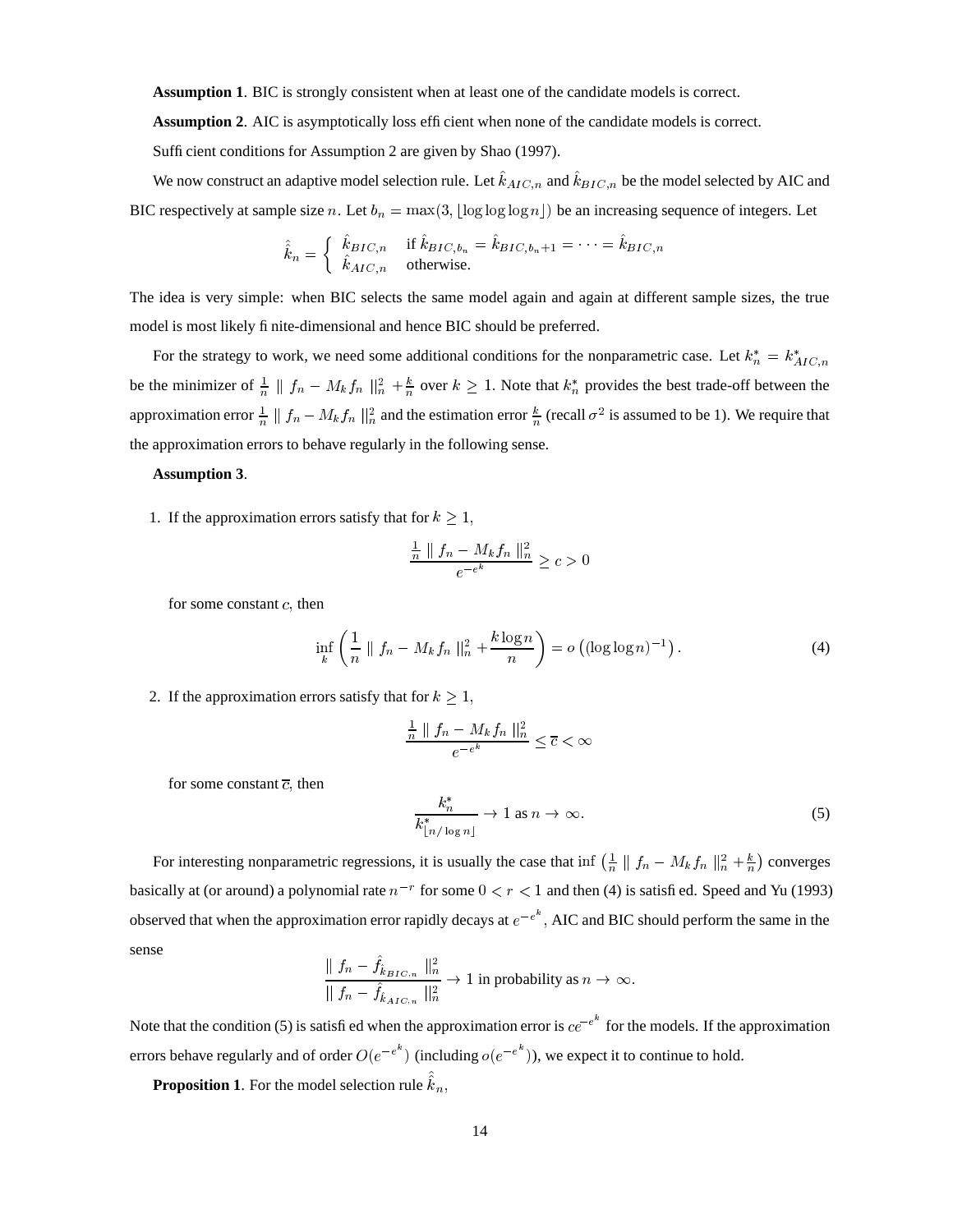**Assumption 1**. BIC is strongly consistent when at least one of the candidate models is correct.

**Assumption 2.** AIC is asymptotically loss efficient when none of the candidate models is correct.

Sufficient conditions for Assumption 2 are given by Shao (1997).

We now construct an adaptive model selection rule. Let  $k_{AIC,n}$  and  $k_{BIC,n}$  be the model selected by AIC and BIC respectively at sample size n. Let  $b_n = \max(3, \lfloor \log \log n \rfloor)$  be an increasing sequence of integers. Let

$$
\hat{k}_n = \begin{cases} \hat{k}_{BIC,n} & \text{if } \hat{k}_{BIC,b_n} = \hat{k}_{BIC,b_n+1} = \dots = \hat{k}_{BIC,n} \\ \hat{k}_{AIC,n} & \text{otherwise.} \end{cases}
$$

The idea is very simple: when BIC selects the same model again and again at different sample sizes, the true model is most likely finite-dimensional and hence BIC should be preferred.

For the strategy to work, we need some additional conditions for the nonparametric case. Let  $k_n^* = k_{AIC,n}^*$ be the minimizer of  $\frac{1}{n} \parallel f_n - M_k f_n \parallel^2_n + \frac{k}{n}$  over  $k \geq 1$ . Note that  $k_n^*$  provides the best trade-off between the approximation error  $\frac{1}{n} \parallel f_n - M_k f_n \parallel_n^2$  and the estimation error  $\frac{k}{n}$  (recall  $\sigma^2$  is assumed to be 1). We require that the approximation errors to behave regularly in the following sense.

#### **Assumption 3**.

1. If the approximation errors satisfy that for  $k \geq 1$ ,

$$
\frac{\frac{1}{n} \parallel f_n - M_k f_n \parallel_n^2}{e^{-e^k}} \ge c > 0
$$

for some constant  $c$ , then

$$
\inf_{k} \left( \frac{1}{n} \| f_n - M_k f_n \|_n^2 + \frac{k \log n}{n} \right) = o \left( (\log \log n)^{-1} \right). \tag{4}
$$

2. If the approximation errors satisfy that for  $k \geq 1$ ,

$$
\frac{\frac{1}{n}\parallel f_n - M_k f_n \parallel_n^2}{e^{-e^k}} \leq \overline{c} < \infty
$$

for some constant  $\overline{c}$ , then

$$
\frac{k_n^*}{k_{\lfloor n/\log n \rfloor}^*} \to 1 \text{ as } n \to \infty. \tag{5}
$$

For interesting nonparametric regressions, it is usually the case that inf  $\left(\frac{1}{n} \| f_n - M_k f_n \|_{n=1}^2 + \frac{k}{n}\right)$  converges basically at (or around) a polynomial rate  $n^{-r}$  for some  $0 < r < 1$  and then (4) is satisfied. Speed and Yu (1993) observed that when the approximation error rapidly decays at  $e^{-e^k}$ , AIC and BIC should perform the same in the sense ?

$$
\frac{\parallel f_n - \hat{f}_{\hat{k}_{BIC,n}}\parallel_n^2}{\parallel f_n - \hat{f}_{\hat{k}_{AIC,n}}\parallel_n^2} \to 1 \text{ in probability as } n \to \infty.
$$

Note that the condition (5) is satisfied when the approximation error is  $ce^{-e^k}$  for the models. If the approximation errors behave regularly and of order  $O(e^{-e^{\kappa}})$  (incl  $(e^{-e^{k}})$  (including  $o(e^{-e^{k}})$ ),  $(e^{k})$ ), we expect it to continue to hold.

**Proposition 1**. For the model selection rule  $k_n$ ,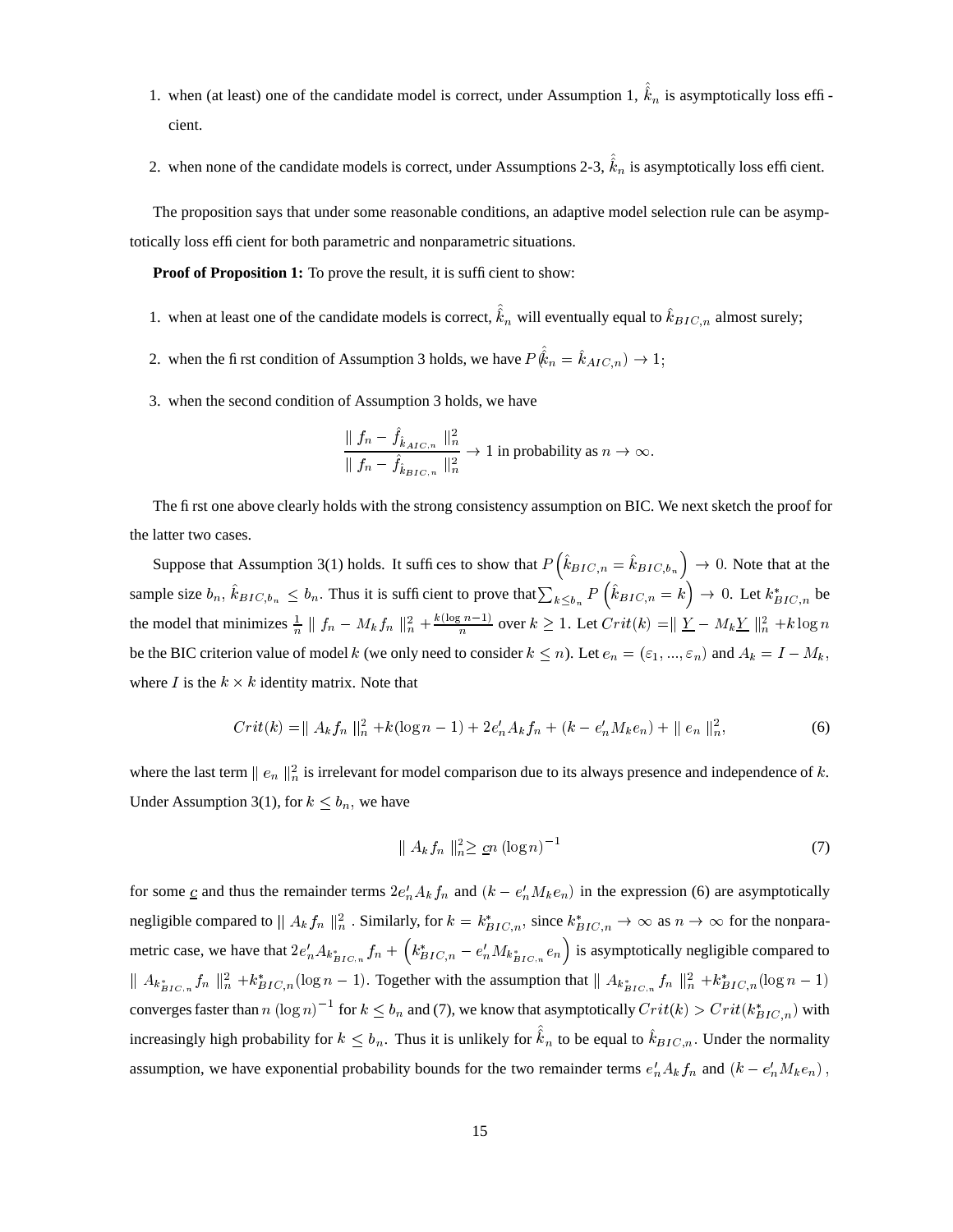- 1. when (at least) one of the candidate model is correct, under Assumption 1,  $k_n$  is asymptotically loss efficient.
- 2. when none of the candidate models is correct, under Assumptions 2-3,  $k_n$  is asymptotically loss efficient.

The proposition says that under some reasonable conditions, an adaptive model selection rule can be asymptotically loss efficient for both parametric and nonparametric situations.

**Proof of Proposition 1:** To prove the result, it is sufficient to show:

- 1. when at least one of the candidate models is correct,  $k_n$  will eventually equal to  $k_{BIC,n}$  almost surely;
- 2. when the first condition of Assumption 3 holds, we have  $P(k_n = k_{AIC,n}) \rightarrow 1$ ;
- 3. when the second condition of Assumption 3 holds, we have

$$
\frac{\parallel f_n - \hat{f}_{\hat{k}_{AIC,n}}\parallel_n^2}{\parallel f_n - \hat{f}_{\hat{k}_{BIC,n}}\parallel_n^2} \to 1
$$
 in probability as  $n \to \infty$ .

The first one above clearly holds with the strong consistency assumption on BIC. We next sketch the proof for the latter two cases.

Suppose that Assumption 3(1) holds. It suffices to show that  $P(k_{BIC,n} = k_{BIC,b_n}) \to 0$ . Note that at the sample size  $b_n$ ,  $\hat{k}_{BIC,b_n} \leq b_n$ . Thus it is sufficient to prove that  $\sum_{k \leq b_n} P(\hat{k}_{BIC,n} = k) \to 0$ . Let  $k_{BIC,n}^*$  be the model that minimizes  $\frac{1}{n} \parallel f_n - M_k f_n \parallel_n^2 + \frac{k(\log n - 1)}{n}$  over  $k \ge 1$ . Let  $Crit(k) = \parallel \underline{Y} - M_k \underline{Y} \parallel_n^2 + k \log n$ be the BIC criterion value of model k (we only need to consider  $k \le n$ ). Let  $e_n = (\varepsilon_1, ..., \varepsilon_n)$  and  $A_k = I - M_k$ , where *I* is the  $k \times k$  identity matrix. Note that

$$
Crit(k) = || A_k f_n ||_n^2 + k(\log n - 1) + 2e'_n A_k f_n + (k - e'_n M_k e_n) + || e_n ||_n^2,
$$
\n(6)

where the last term  $||e_n||_n^2$  is irrelevant for model comparison due to its always presence and independence of k. Under Assumption 3(1), for  $k \leq b_n$ , we have

$$
\|A_k f_n\|_{n}^2 \geq \underline{c} n \left(\log n\right)^{-1} \tag{7}
$$

for some  $\underline{c}$  and thus the remainder terms  $2e'_n A_k f_n$  and  $(k - e'_n M_k e_n)$  in the expression (6) are asymptotically negligible compared to  $||A_k f_n||_n^2$ . Similarly, for  $k = k_{BIC,n}^*$ , since  $k_{BIC,n}^* \to \infty$  as  $n \to \infty$  for the nonparametric case, we have that  $2e'_nA_{k_{BIC,n}^*}f_n + (k_{BIC,n}^* - e'_nM_{k_{BIC,n}^*}e_n)$  is asymptotically negligible compared to  $\|A_{k_{BIC,n}^*}f_n\|_n^2 + k_{BIC,n}^*(\log n - 1)$ . Together with the assumption that  $\|A_{k_{BIC,n}^*}f_n\|_n^2 + k_{BIC,n}^*(\log n - 1)$ converges faster than n  $(\log n)^{-1}$  for  $k \leq b_n$  and (7), we know that asymptotically  $Crit(k) > Crit(k_{BIC,n}^*)$  with increasingly high probability for  $k \leq b_n$ . Thus it is unlikely for  $k_n$  to be equal to  $k_{BIC,n}$ . Under the normality assumption, we have exponential probability bounds for the two remainder terms  $e'_n A_k f_n$  and  $(k - e'_n M_k e_n)$ ,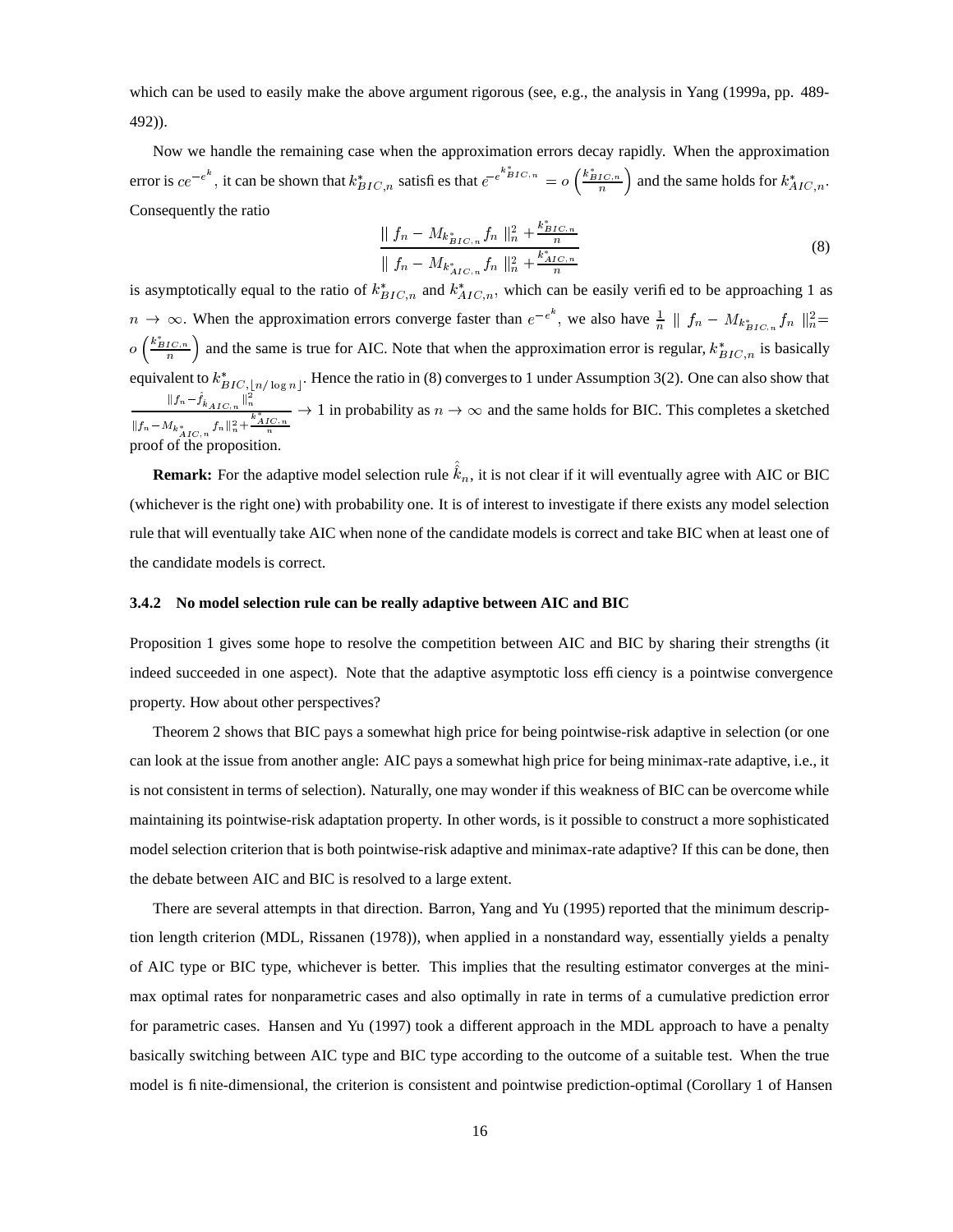which can be used to easily make the above argument rigorous (see, e.g., the analysis in Yang (1999a, pp. 489-492)).

Now we handle the remaining case when the approximation errors decay rapidly. When the approximation error is  $ce^{-e^k}$ , it can be shown that  $k_{BIC,n}^*$  satisfies that  $e^{-e^{k_{BIC,n}^*}} = o\left(\frac{k_{BIC,n}^*}{n}\right)$  and the same holds for  $k_{AIC,n}^*$ . Consequently the ratio

$$
\frac{\|f_n - M_{k_{BIC,n}^*} f_n\|_n^2 + \frac{k_{BIC,n}^*}{n}}{\|f_n - M_{k_{AIC,n}^*} f_n\|_n^2 + \frac{k_{AIC,n}^*}{n}}
$$
\n(8)

is asymptotically equal to the ratio of  $k_{BIC,n}^*$  and  $k_{AIC,n}^*$ , which can be easily verified to be approaching 1 as  $n \to \infty$ . When the approximation errors converge faster than  $e^{-e^k}$ , we also have  $\frac{1}{n} || f_n - M_{k_{RLO}^*} || f_n ||_n^2 =$  $o\left(\frac{k_{BIC,n}}{n}\right)$  and the same is true for AIC. Note that when the approximation error is regular,  $k_{BIC,n}^*$  is basically equivalent to  $k^*_{BIC, |n/\log n|}$ .  $|| f_n - \hat{f}_{\hat{k}}||_{\mathcal{F}_{\alpha}} ||_n^2$  $\vert n/\vert_{0.9}$  Hence the ratio in (8) converges to 1 under Assumption 3(2). One can also show that  $\frac{e^{i(n\pi)^n}}{\|f_n - M_{k^*_{n+1}}\|_n^2 + \frac{k^*_{AIC,n}}{n}} \to 1$  in probability as  $n \to \infty$  and the same holds for BIC. This completes a sketched proof of the proposition.

**Remark:** For the adaptive model selection rule  $k_n$ , it is not clear if it will eventually agree with AIC or BIC (whichever is the right one) with probability one. It is of interest to investigate if there exists any model selection rule that will eventually take AIC when none of the candidate models is correct and take BIC when at least one of the candidate models is correct.

#### **3.4.2 No model selection rule can be really adaptive between AIC and BIC**

Proposition 1 gives some hope to resolve the competition between AIC and BIC by sharing their strengths (it indeed succeeded in one aspect). Note that the adaptive asymptotic loss efficiency is a pointwise convergence property. How about other perspectives?

Theorem 2 shows that BIC pays a somewhat high price for being pointwise-risk adaptive in selection (or one can look at the issue from another angle: AIC pays a somewhat high price for being minimax-rate adaptive, i.e., it is not consistent in terms of selection). Naturally, one may wonder if this weakness of BIC can be overcome while maintaining its pointwise-risk adaptation property. In other words, is it possible to construct a more sophisticated model selection criterion that is both pointwise-risk adaptive and minimax-rate adaptive? If this can be done, then the debate between AIC and BIC is resolved to a large extent.

There are several attempts in that direction. Barron, Yang and Yu (1995) reported that the minimum description length criterion (MDL, Rissanen (1978)), when applied in a nonstandard way, essentially yields a penalty of AIC type or BIC type, whichever is better. This implies that the resulting estimator converges at the minimax optimal rates for nonparametric cases and also optimally in rate in terms of a cumulative prediction error for parametric cases. Hansen and Yu (1997) took a different approach in the MDL approach to have a penalty basically switching between AIC type and BIC type according to the outcome of a suitable test. When the true model is finite-dimensional, the criterion is consistent and pointwise prediction-optimal (Corollary 1 of Hansen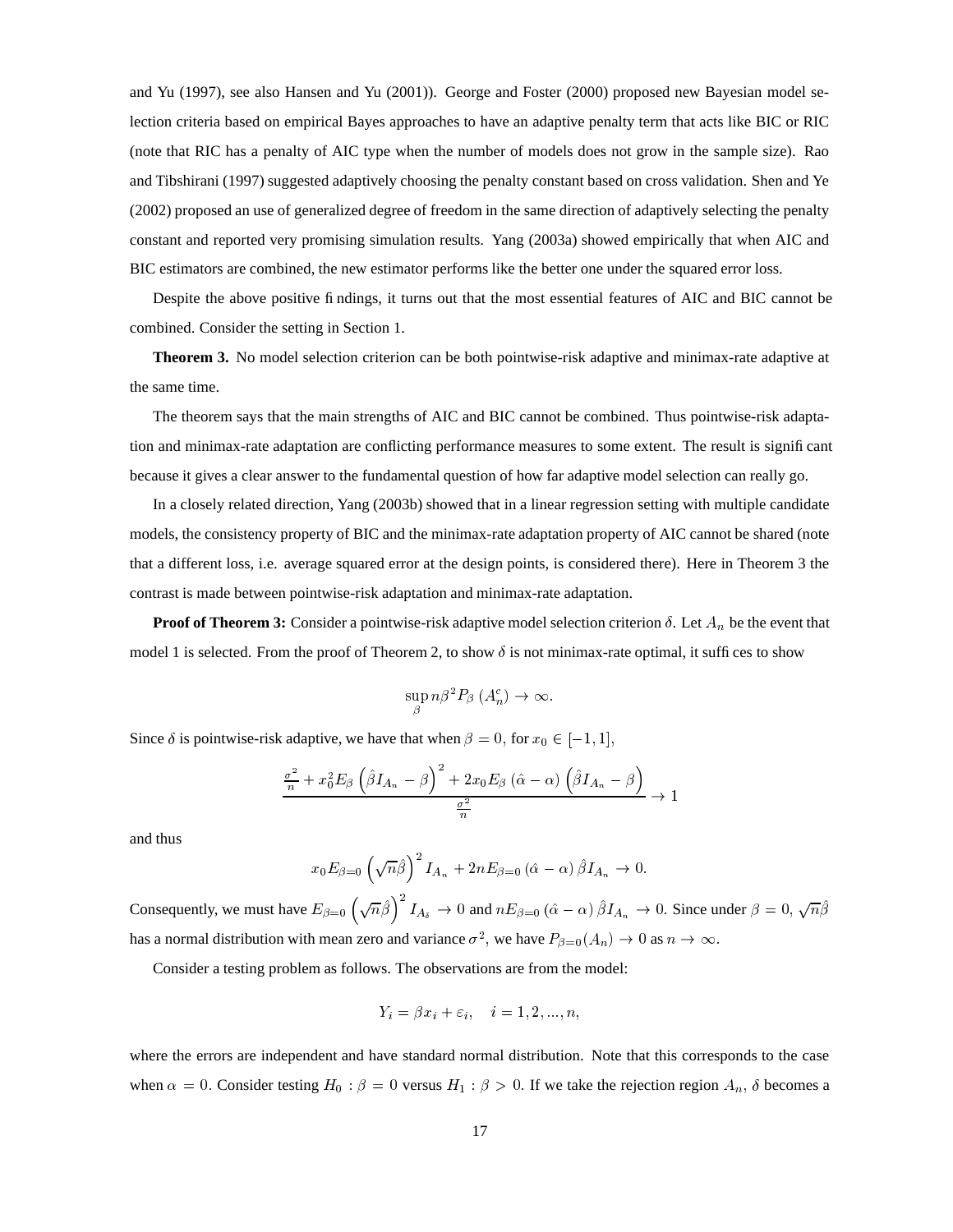and Yu (1997), see also Hansen and Yu (2001)). George and Foster (2000) proposed new Bayesian model selection criteria based on empirical Bayes approaches to have an adaptive penalty term that acts like BIC or RIC (note that RIC has a penalty of AIC type when the number of models does not grow in the sample size). Rao and Tibshirani (1997) suggested adaptively choosing the penalty constant based on cross validation. Shen and Ye (2002) proposed an use of generalized degree of freedom in the same direction of adaptively selecting the penalty constant and reported very promising simulation results. Yang (2003a) showed empirically that when AIC and BIC estimators are combined, the new estimator performs like the better one under the squared error loss.

Despite the above positive findings, it turns out that the most essential features of AIC and BIC cannot be combined. Consider the setting in Section 1.

**Theorem 3.** No model selection criterion can be both pointwise-risk adaptive and minimax-rate adaptive at the same time.

The theorem says that the main strengths of AIC and BIC cannot be combined. Thus pointwise-risk adaptation and minimax-rate adaptation are conflicting performance measures to some extent. The result is significant because it gives a clear answer to the fundamental question of how far adaptive model selection can really go.

In a closely related direction, Yang (2003b) showed that in a linear regression setting with multiple candidate models, the consistency property of BIC and the minimax-rate adaptation property of AIC cannot be shared (note that a different loss, i.e. average squared error at the design points, is considered there). Here in Theorem 3 the contrast is made between pointwise-risk adaptation and minimax-rate adaptation.

**Proof of Theorem 3:** Consider a pointwise-risk adaptive model selection criterion  $\delta$ . Let  $A_n$  be the event that model 1 is selected. From the proof of Theorem 2, to show  $\delta$  is not minimax-rate optimal, it suffices to show

$$
\sup_{\beta} n\beta^2 P_{\beta} (A_n^c) \to \infty.
$$

Since  $\delta$  is pointwise-risk adaptive, we have that when  $\beta = 0$ , for  $x_0 \in [-1, 1]$ ,

$$
\frac{\frac{\sigma^2}{n} + x_0^2 E_\beta \left(\hat{\beta} I_{A_n} - \beta\right)^2 + 2x_0 E_\beta \left(\hat{\alpha} - \alpha\right) \left(\hat{\beta} I_{A_n} - \beta\right)}{\frac{\sigma^2}{n}} \to 1
$$

and thus

$$
x_0 E_{\beta=0} \left(\sqrt{n}\hat{\beta}\right)^2 I_{A_n} + 2n E_{\beta=0} \left(\hat{\alpha} - \alpha\right) \hat{\beta} I_{A_n} \to 0.
$$

Consequently, we must have  $E_{\beta=0}$   $(\sqrt{n}\beta)$   $I_{A_{\delta}} \to 0$  and  $nE_{\beta=0}$   $(\hat{\alpha} - \alpha) \beta I_{A_n} \to 0$ . Since under  $\beta = 0$ ,  $\sqrt{n}\beta$ has a normal distribution with mean zero and variance  $\sigma^2$ , we have  $P_{\beta=0}(A_n) \to 0$  as  $n \to \infty$ .

Consider a testing problem as follows. The observations are from the model:

$$
Y_i = \beta x_i + \varepsilon_i, \quad i = 1, 2, ..., n,
$$

where the errors are independent and have standard normal distribution. Note that this corresponds to the case when  $\alpha = 0$ . Consider testing  $H_0$ :  $\beta = 0$  versus  $H_1$ :  $\beta > 0$ . If we take the rejection region  $A_n$ ,  $\delta$  becomes a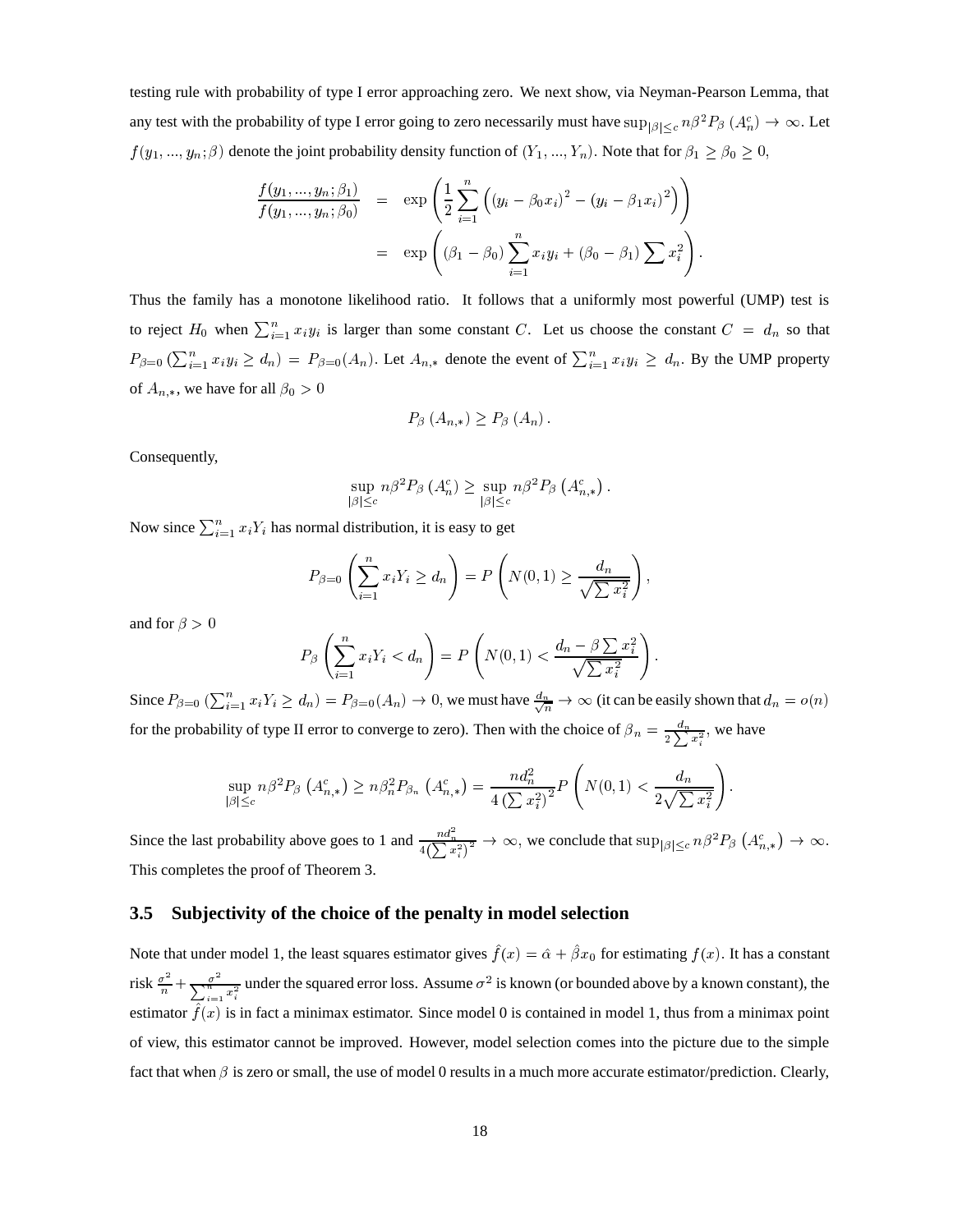testing rule with probability of type I error approaching zero. We next show, via Neyman-Pearson Lemma, that any test with the probability of type I error going to zero necessarily must have  $\sup_{|\beta|< c} n\beta^2$  $\int_{0} \leq c} n \beta^2 P_{\beta} (A_n^c) \rightarrow \infty$ . Let  $f(y_1,...,y_n;\beta)$  denote the joint probability density function of  $(Y_1,...,Y_n)$ . Note that for  $\beta_1 \ge \beta_0 \ge 0$ ,

$$
\frac{f(y_1, ..., y_n; \beta_1)}{f(y_1, ..., y_n; \beta_0)} = \exp\left(\frac{1}{2}\sum_{i=1}^n \left( (y_i - \beta_0 x_i)^2 - (y_i - \beta_1 x_i)^2 \right) \right)
$$
\n
$$
= \exp\left((\beta_1 - \beta_0) \sum_{i=1}^n x_i y_i + (\beta_0 - \beta_1) \sum x_i^2 \right).
$$

Thus the family has a monotone likelihood ratio. It follows that a uniformly most powerful (UMP) test is to reject  $H_0$  when  $\sum_{i=1}^n x_i y_i$  is larger than some constant C. Let us choose the constant  $C = d_n$  so that  $P_{\beta=0}$   $(\sum_{i=1}^n x_i y_i \ge d_n) = P_{\beta=0}(A_n)$ . Let  $A_{n,*}$  denote the event of  $\sum_{i=1}^n x_i y_i \ge d_n$ . By the UMP property of  $A_{n,*}$ , we have for all  $\beta_0 > 0$ 

$$
P_{\beta}\left(A_{n,*}\right) \geq P_{\beta}\left(A_{n}\right).
$$

Consequently,

$$
\sup_{|\beta| \leq c} n\beta^2 P_{\beta} (A_n^c) \geq \sup_{|\beta| \leq c} n\beta^2 P_{\beta} (A_{n,*}^c).
$$

Now since  $\sum_{i=1}^{n} x_i Y_i$  has normal distribution, it is easy to get

$$
P_{\beta=0}\left(\sum_{i=1}^n x_i Y_i \ge d_n\right) = P\left(N(0,1) \ge \frac{d_n}{\sqrt{\sum x_i^2}}\right),
$$

and for  $\beta > 0$ 

$$
P_{\beta}\left(\sum_{i=1}^n x_i Y_i < d_n\right) = P\left(N(0,1) < \frac{d_n - \beta \sum x_i^2}{\sqrt{\sum x_i^2}}\right).
$$

Since  $P_{\beta=0}$   $(\sum_{i=1}^n x_i Y_i \ge d_n) = P_{\beta=0}(A_n) \to 0$ , we must have  $\frac{d_n}{\sqrt{n}} \to \infty$  (it can be easily shown that  $d_n = o(n)$ ) for the probability of type II error to converge to zero). Then with the choice of  $\beta_n = \frac{d_n}{2\sum x_i^2}$ , we have

$$
\sup_{|\beta| \leq c} n \beta^2 P_{\beta} \left( A_{n,*}^c \right) \geq n \beta_n^2 P_{\beta_n} \left( A_{n,*}^c \right) = \frac{n d_n^2}{4 \left( \sum x_i^2 \right)^2} P \left( N(0,1) < \frac{d_n}{2 \sqrt{\sum x_i^2}} \right).
$$

Since the last probability above goes to 1 and  $\frac{nd_n^2}{4(\sum x_i^2)^2} \to \infty$ , we conclude that  $\sup_{|\beta| \le c} n\beta^2$  $\leq_c n\beta^2 P_\beta\left(A_{n,*}^c\right)\to\infty$  8 This completes the proof of Theorem 3.

#### **3.5 Subjectivity of the choice of the penalty in model selection**

Note that under model 1, the least squares estimator gives  $f(x) = \hat{\alpha} + \beta x_0$  for estimating  $f(x)$ . It has a constant risk  $\frac{\sigma^2}{n} + \frac{\sigma^2}{n}$ un  $\frac{\sigma^2}{\sqrt{n^2-2}}$  under the squared error loss. Assume  $\sigma^2$  is known (or bounded above by a known constant), the estimator  $\hat{f}(x)$  is in fact a minimax estimator. Since model 0 is contained in model 1, thus from a minimax point of view, this estimator cannot be improved. However, model selection comes into the picture due to the simple fact that when  $\beta$  is zero or small, the use of model 0 results in a much more accurate estimator/prediction. Clearly,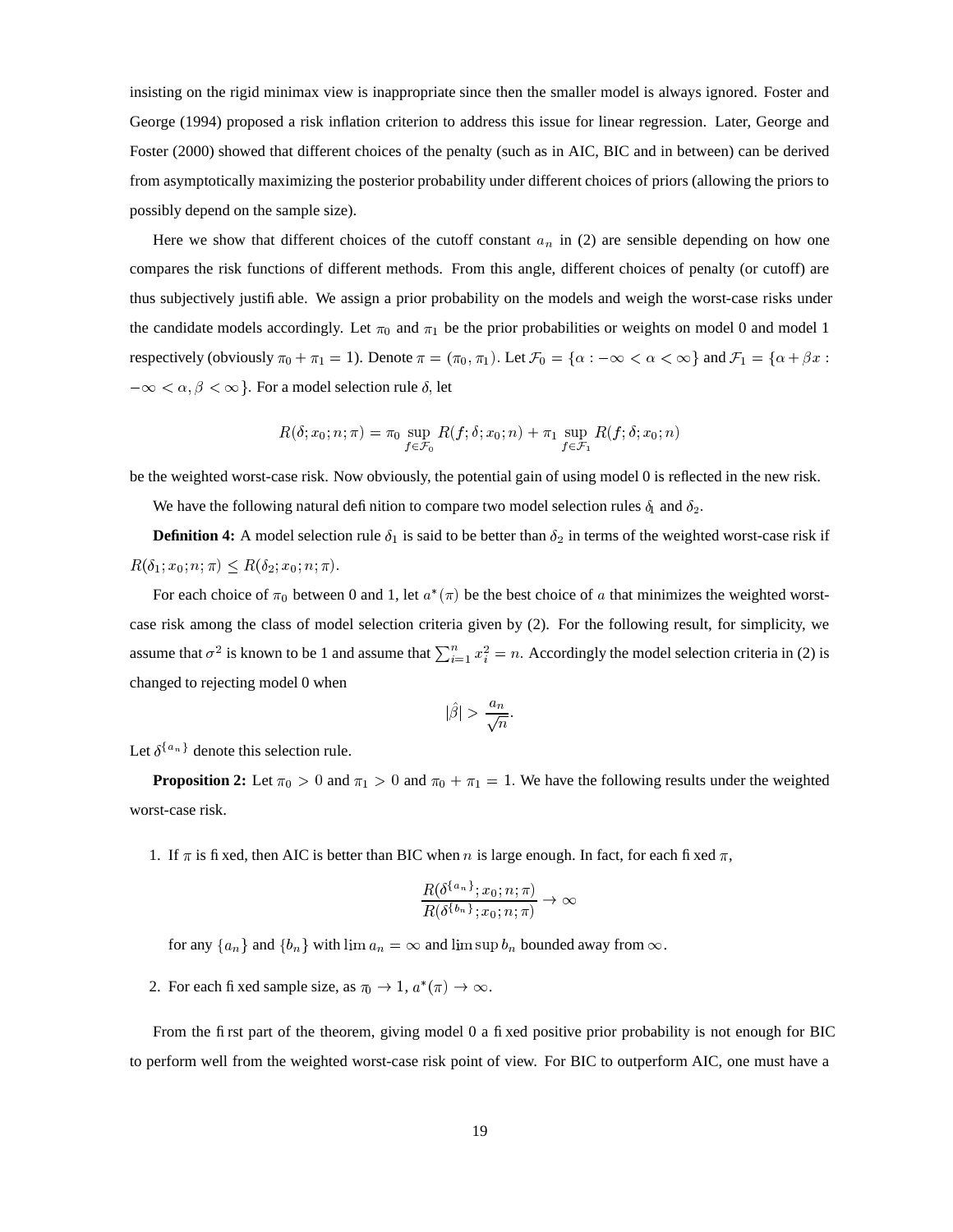insisting on the rigid minimax view is inappropriate since then the smaller model is always ignored. Foster and George (1994) proposed a risk inflation criterion to address this issue for linear regression. Later, George and Foster (2000) showed that different choices of the penalty (such as in AIC, BIC and in between) can be derived from asymptotically maximizing the posterior probability under different choices of priors (allowing the priors to possibly depend on the sample size).

Here we show that different choices of the cutoff constant  $a_n$  in (2) are sensible depending on how one compares the risk functions of different methods. From this angle, different choices of penalty (or cutoff) are thus subjectively justifiable. We assign a prior probability on the models and weigh the worst-case risks under the candidate models accordingly. Let  $\pi_0$  and  $\pi_1$  be the prior probabilities or weights on model 0 and model 1 respectively (obviously  $\pi_0 + \pi_1 = 1$ ). Denote  $\pi = (\pi_0, \pi_1)$ . Let  $\mathcal{F}_0 = \{\alpha : -\infty < \alpha < \infty\}$  and  $\mathcal{F}_1 = \{\alpha + \beta x :$  $-\infty < \alpha, \beta < \infty$  . For a model selection rule  $\delta$ , let

$$
R(\delta; x_0; n; \pi) = \pi_0 \sup_{f \in \mathcal{F}_0} R(f; \delta; x_0; n) + \pi_1 \sup_{f \in \mathcal{F}_1} R(f; \delta; x_0; n)
$$

be the weighted worst-case risk. Now obviously, the potential gain of using model 0 is reflected in the new risk.

We have the following natural definition to compare two model selection rules  $\delta_1$  and  $\delta_2$ .

**Definition 4:** A model selection rule  $\delta_1$  is said to be better than  $\delta_2$  in terms of the weighted worst-case risk if  $R(\delta_1; x_0; n; \pi) \leq R(\delta_2; x_0; n; \pi).$ 

For each choice of  $\pi_0$  between 0 and 1, let  $a^*(\pi)$  be the best choice of a that minimizes the weighted worstcase risk among the class of model selection criteria given by (2). For the following result, for simplicity, we assume that  $\sigma^2$  is known to be 1 and assume that  $\sum_{i=1}^n x_i^2 = n$ . Accordingly the model selection criteria in (2) is changed to rejecting model 0 when

$$
|\hat{\beta}| > \frac{a_n}{\sqrt{n}}.
$$

Let  $\delta^{\{a_n\}}$  denote this selection rule.

**Proposition 2:** Let  $\pi_0 > 0$  and  $\pi_1 > 0$  and  $\pi_0 + \pi_1 = 1$ . We have the following results under the weighted worst-case risk.

1. If  $\pi$  is fixed, then AIC is better than BIC when n is large enough. In fact, for each fixed  $\pi$ ,

$$
\frac{R(\delta^{\{a_n\}}; x_0; n; \pi)}{R(\delta^{\{b_n\}}; x_0; n; \pi)} \to \infty
$$

for any  $\{a_n\}$  and  $\{b_n\}$  with  $\lim a_n = \infty$  and  $\limsup b_n$  bounded away from  $\infty$ .

2. For each fixed sample size, as  $\pi_0 \to 1$ ,  $a^*(\pi) \to \infty$ .

From the first part of the theorem, giving model 0 a fixed positive prior probability is not enough for BIC to perform well from the weighted worst-case risk point of view. For BIC to outperform AIC, one must have a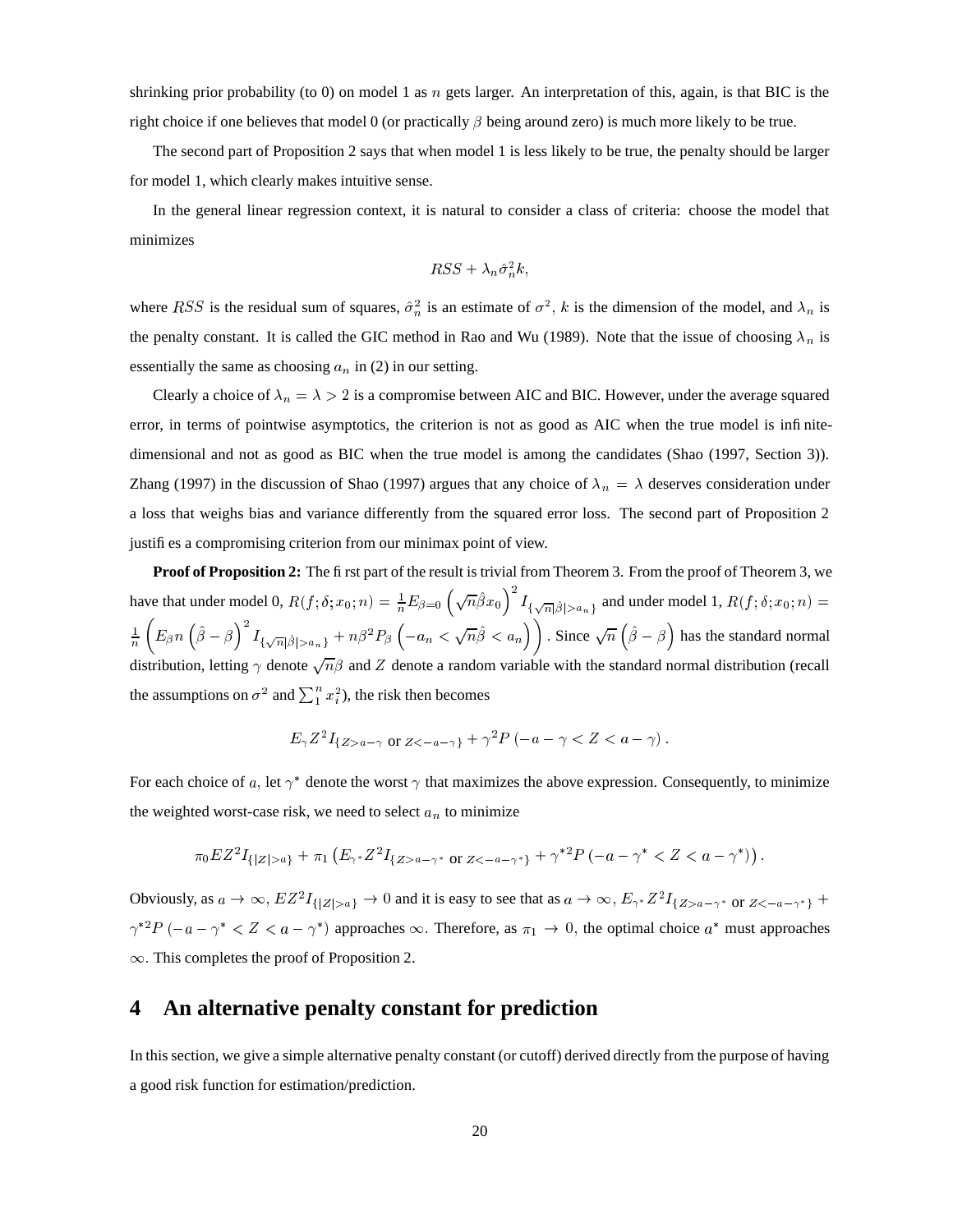shrinking prior probability (to 0) on model 1 as  $n$  gets larger. An interpretation of this, again, is that BIC is the right choice if one believes that model 0 (or practically  $\beta$  being around zero) is much more likely to be true.

The second part of Proposition 2 says that when model 1 is less likely to be true, the penalty should be larger for model 1, which clearly makes intuitive sense.

In the general linear regression context, it is natural to consider a class of criteria: choose the model that minimizes

$$
RSS + \lambda_n \hat{\sigma}_n^2 k,
$$

where RSS is the residual sum of squares,  $\hat{\sigma}_n^2$  is an estimate of  $\sigma^2$ , k is the dimension of the model, and  $\lambda_n$  is the penalty constant. It is called the GIC method in Rao and Wu (1989). Note that the issue of choosing  $\lambda_n$  is essentially the same as choosing  $a_n$  in (2) in our setting.

Clearly a choice of  $\lambda_n = \lambda > 2$  is a compromise between AIC and BIC. However, under the average squared error, in terms of pointwise asymptotics, the criterion is not as good as AIC when the true model is infinitedimensional and not as good as BIC when the true model is among the candidates (Shao (1997, Section 3)). Zhang (1997) in the discussion of Shao (1997) argues that any choice of  $\lambda_n = \lambda$  deserves consideration under a loss that weighs bias and variance differently from the squared error loss. The second part of Proposition 2 justifies a compromising criterion from our minimax point of view.

**Proof of Proposition 2:** The first part of the result is trivial from Theorem 3. From the proof of Theorem 3, we have that under model 0,  $R(f; \delta; x_0; n) = \frac{1}{n} E_{\beta=0} \left( \sqrt{n} \hat{\beta} x_0 \right)^2 I_{f, \sqrt{n} | \hat{\beta} | > q}$  and  $_1$  and under model 1,  $R(f, \delta; x_0; n) =$ <u>A series de la construcción de la construcción de la construcción de la construcción de la construcción de la </u>  $\frac{1}{n}\left(E_\beta n\left(\hat{\beta}-\beta\right)^2I_{f_\beta/\overline{n}|\hat{\beta}|>\rho-1}+n\right)$  $\frac{1}{\lambda} + n\beta^2 P_\beta$   $\left(-a_n < \sqrt{n}\beta < a_n\right)$  Since  $\sqrt{n}(\beta - \beta)$  has the standard normal distribution, letting  $\gamma$  denote  $\sqrt{n}\beta$  and Z denote a random variable with the standard normal distribution (recall the assumptions on  $\sigma^2$  and  $\sum_{i=1}^n x_i^2$ , the risk then becomes

$$
E_{\gamma}Z^2I_{\{Z>a-\gamma\text{ or }Z<-a-\gamma\}}+\gamma^2P(-a-\gamma
$$

For each choice of a, let  $\gamma^*$  denote the worst  $\gamma$  that maximizes the above expression. Consequently, to minimize the weighted worst-case risk, we need to select  $a_n$  to minimize

$$
\pi_0EZ^2I_{\{|Z|>a\}}+\pi_1(E_{\gamma^*}Z^2I_{\{Z>a-\gamma^* \text{ or } Z<-a-\gamma^*\}}+\gamma^{*2}P\left(-a-\gamma^*
$$

Obviously, as  $a \to \infty$ ,  $EZ^2I_{\{|Z|>a\}} \to 0$  and it is easy to see that as  $a \to \infty$ ,  $E_{\gamma^*}Z^2I_{\{Z>a-\gamma^* \text{ or } Z<-a-\gamma^*\}} +$  $\gamma^{*2}P(-a-\gamma^* < Z < a-\gamma^*)$  approaches  $\infty$ . Therefore, as  $\pi_1 \to 0$ , the optimal choice  $a^*$  must approaches  $\infty$ . This completes the proof of Proposition 2.

### **4 An alternative penalty constant for prediction**

In this section, we give a simple alternative penalty constant (or cutoff) derived directly from the purpose of having a good risk function for estimation/prediction.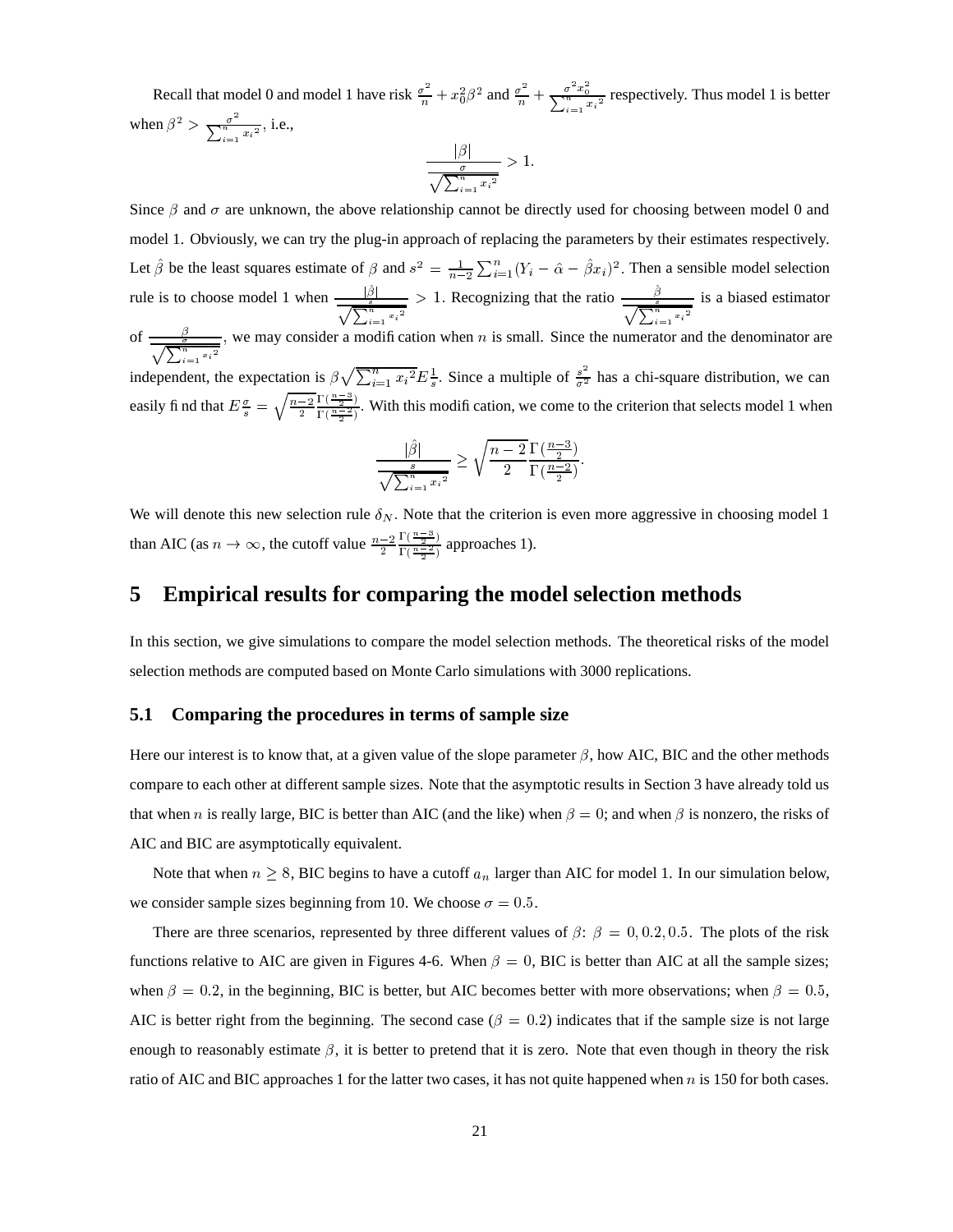Recall that model 0 and model 1 have risk  $\frac{\sigma^2}{n} + x_0^2 \beta^2$  and  $\frac{\sigma^2}{n} + \frac{\sigma^2 x_0^2}{\sum_{n=2}^{\infty}}$  re odel 0 and model 1 have risk  $\frac{\sigma^2}{n} + x_0^2 \beta^2$  and  $\frac{\sigma^2}{n} + \frac{\sigma}{\sum_{i=1}^n x_i^2}$  respectively. Thus model 1 is better when  $\beta^2 > \frac{\sigma^2}{\sqrt{n^2-2}}$ , i.e., . . the contract of the contract of the contract of the contract of the contract of the contract of the contract of and the company of the company

$$
\frac{|\beta|}{\sqrt{\sum_{i=1}^n x_i^2}} > 1.
$$

Since  $\beta$  and  $\sigma$  are unknown, the above relationship cannot be directly used for choosing between model 0 and model 1. Obviously, we can try the plug-in approach of replacing the parameters by their estimates respectively. Let  $\hat{\beta}$  be the least squares estimate of  $\beta$  and  $s^2 = \frac{1}{n-2} \sum_{i=1}^n (Y_i - \hat{\alpha} - \hat{\beta} x_i)^2$ . Then a sensible model selection rule is to choose model 1 when  $\frac{|\hat{\beta}|}{\hat{\beta}}$  >  $\overline{\sqrt{2^n} \cdot 2}$  $\frac{\hat{\beta}}{\hat{\beta}}$  > 1. Recognizing that the ratio  $\frac{\hat{\beta}}{\hat{\beta}}$  is  $\overline{\overline{\bigwedge}^n}$  <sup>5</sup>  $\equiv$  is a biased estimator of  $\frac{\frac{\beta}{\sigma}}{\sqrt{\sum_{n=1}^{n}y_n^2}},$  v — ' ' ' , we may consider a modification when  $n$  is small. Since the numerator and the denominator are independent, the expectation is  $\beta \sqrt{\sum_{i=1}^{n} x_i^2} E_{\frac{1}{2}}^{\frac{1}{2}}$ . Since a multiple of  $\frac{s^2}{\sigma^2}$  has a chi-square distribution, we can easily fi nd that  $E\frac{\sigma}{e} = \sqrt{\frac{n-2}{2}} \frac{1}{\Gamma(n-2)}$ . With ? \_\_\_\_\_\_\_\_\_  $\Gamma(\frac{n-3}{n})$  $\frac{1}{\Gamma(\frac{n-2}{n-2})}$ . With this modification, we come to the criterion that selects model 1 when . .  $\mathcal{Q}$  . The same set of  $\mathcal{Q}$  $\sim$   $\sim$   $\sim$   $\sim$   $\sim$   $\sim$ ---- $\frac{n-3}{2}$ <sup>6</sup>

$$
\frac{|\hat{\beta}|}{\sqrt{\sum_{i=1}^n x_i^2}} \ge \sqrt{\frac{n-2}{2}} \frac{\Gamma(\frac{n-3}{2})}{\Gamma(\frac{n-2}{2})}.
$$

We will denote this new selection rule  $\delta_N$ . Note that the criterion is even more aggressive in choosing model 1 than AIC (as  $n \to \infty$ , the cutoff value  $\frac{n-2}{2} \frac{\Gamma(\frac{n-3}{2})}{\Gamma(\frac{n-2}{2})}$  $\Gamma$  (  $\frac{n-3}{2}$  )  $\frac{1}{\Gamma(n-2)}$  approaches 1).

### **5 Empirical results for comparing the model selection methods**

In this section, we give simulations to compare the model selection methods. The theoretical risks of the model selection methods are computed based on Monte Carlo simulations with 3000 replications.

#### **5.1 Comparing the procedures in terms of sample size**

Here our interest is to know that, at a given value of the slope parameter  $\beta$ , how AIC, BIC and the other methods compare to each other at different sample sizes. Note that the asymptotic results in Section 3 have already told us that when n is really large, BIC is better than AIC (and the like) when  $\beta = 0$ ; and when  $\beta$  is nonzero, the risks of AIC and BIC are asymptotically equivalent.

Note that when  $n \geq 8$ , BIC begins to have a cutoff  $a_n$  larger than AIC for model 1. In our simulation below, we consider sample sizes beginning from 10. We choose  $\sigma = 0.5$ .

There are three scenarios, represented by three different values of  $\beta$ :  $\beta = 0, 0.2, 0.5$ . The plots of the risk functions relative to AIC are given in Figures 4-6. When  $\beta = 0$ , BIC is better than AIC at all the sample sizes; when  $\beta = 0.2$ , in the beginning, BIC is better, but AIC becomes better with more observations; when  $\beta = 0.5$ , AIC is better right from the beginning. The second case  $(\beta = 0.2)$  indicates that if the sample size is not large enough to reasonably estimate  $\beta$ , it is better to pretend that it is zero. Note that even though in theory the risk ratio of AIC and BIC approaches 1 for the latter two cases, it has not quite happened when  $n$  is 150 for both cases.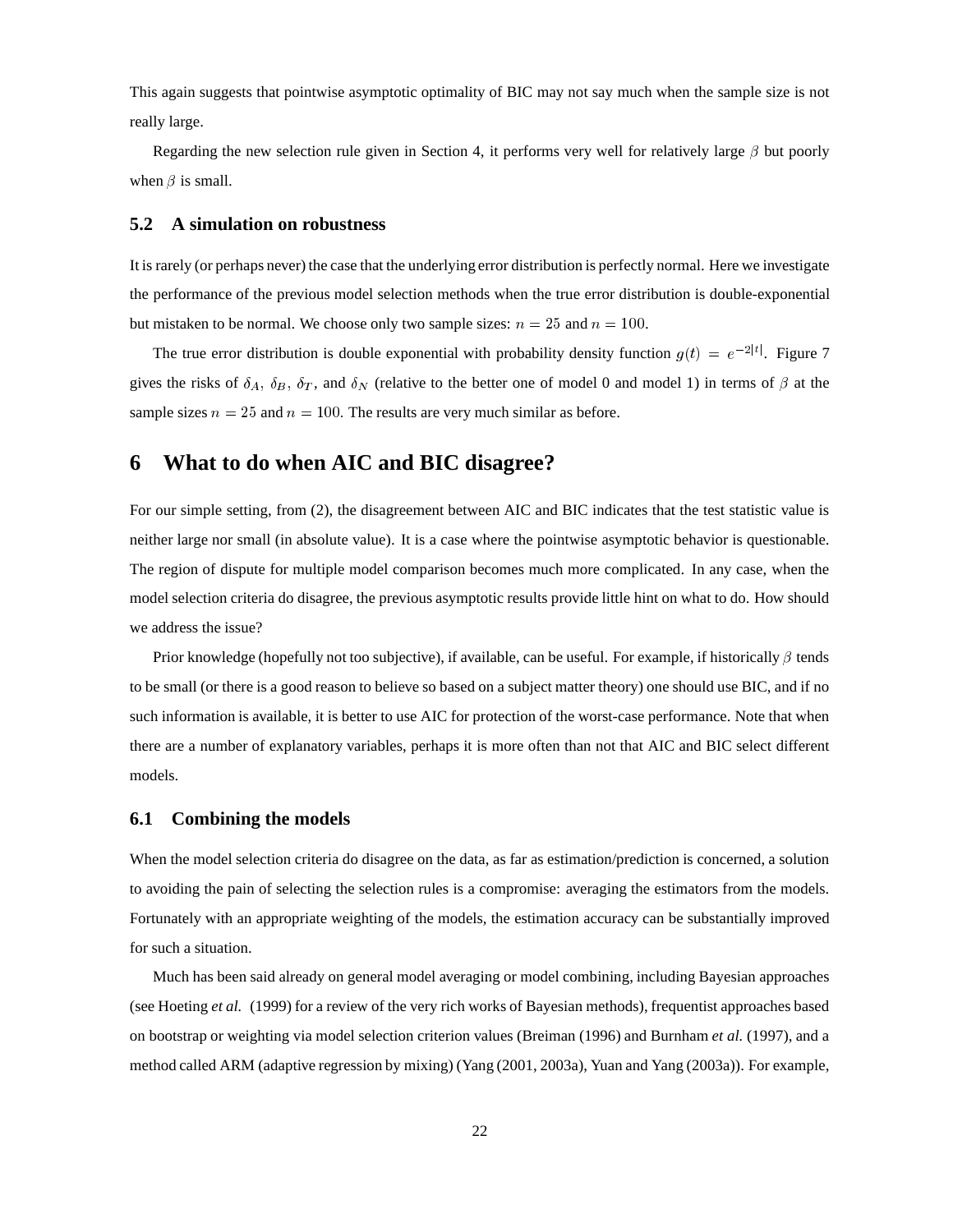This again suggests that pointwise asymptotic optimality of BIC may not say much when the sample size is not really large.

Regarding the new selection rule given in Section 4, it performs very well for relatively large  $\beta$  but poorly when  $\beta$  is small.

#### **5.2 A simulation on robustness**

It is rarely (or perhaps never) the case that the underlying error distribution is perfectly normal. Here we investigate the performance of the previous model selection methods when the true error distribution is double-exponential but mistaken to be normal. We choose only two sample sizes:  $n = 25$  and  $n = 100$ .

The true error distribution is double exponential with probability density function  $g(t) = e^{-2|t|}$ . Figure 7 gives the risks of  $\delta_A$ ,  $\delta_B$ ,  $\delta_T$ , and  $\delta_N$  (relative to the better one of model 0 and model 1) in terms of  $\beta$  at the sample sizes  $n = 25$  and  $n = 100$ . The results are very much similar as before.

### **6 What to do when AIC and BIC disagree?**

For our simple setting, from (2), the disagreement between AIC and BIC indicates that the test statistic value is neither large nor small (in absolute value). It is a case where the pointwise asymptotic behavior is questionable. The region of dispute for multiple model comparison becomes much more complicated. In any case, when the model selection criteria do disagree, the previous asymptotic results provide little hint on what to do. How should we address the issue?

Prior knowledge (hopefully not too subjective), if available, can be useful. For example, if historically  $\beta$  tends to be small (or there is a good reason to believe so based on a subject matter theory) one should use BIC, and if no such information is available, it is better to use AIC for protection of the worst-case performance. Note that when there are a number of explanatory variables, perhaps it is more often than not that AIC and BIC select different models.

#### **6.1 Combining the models**

When the model selection criteria do disagree on the data, as far as estimation/prediction is concerned, a solution to avoiding the pain of selecting the selection rules is a compromise: averaging the estimators from the models. Fortunately with an appropriate weighting of the models, the estimation accuracy can be substantially improved for such a situation.

Much has been said already on general model averaging or model combining, including Bayesian approaches (see Hoeting *et al.* (1999) for a review of the very rich works of Bayesian methods), frequentist approaches based on bootstrap or weighting via model selection criterion values (Breiman (1996) and Burnham *et al.* (1997), and a method called ARM (adaptive regression by mixing) (Yang (2001, 2003a), Yuan and Yang (2003a)). For example,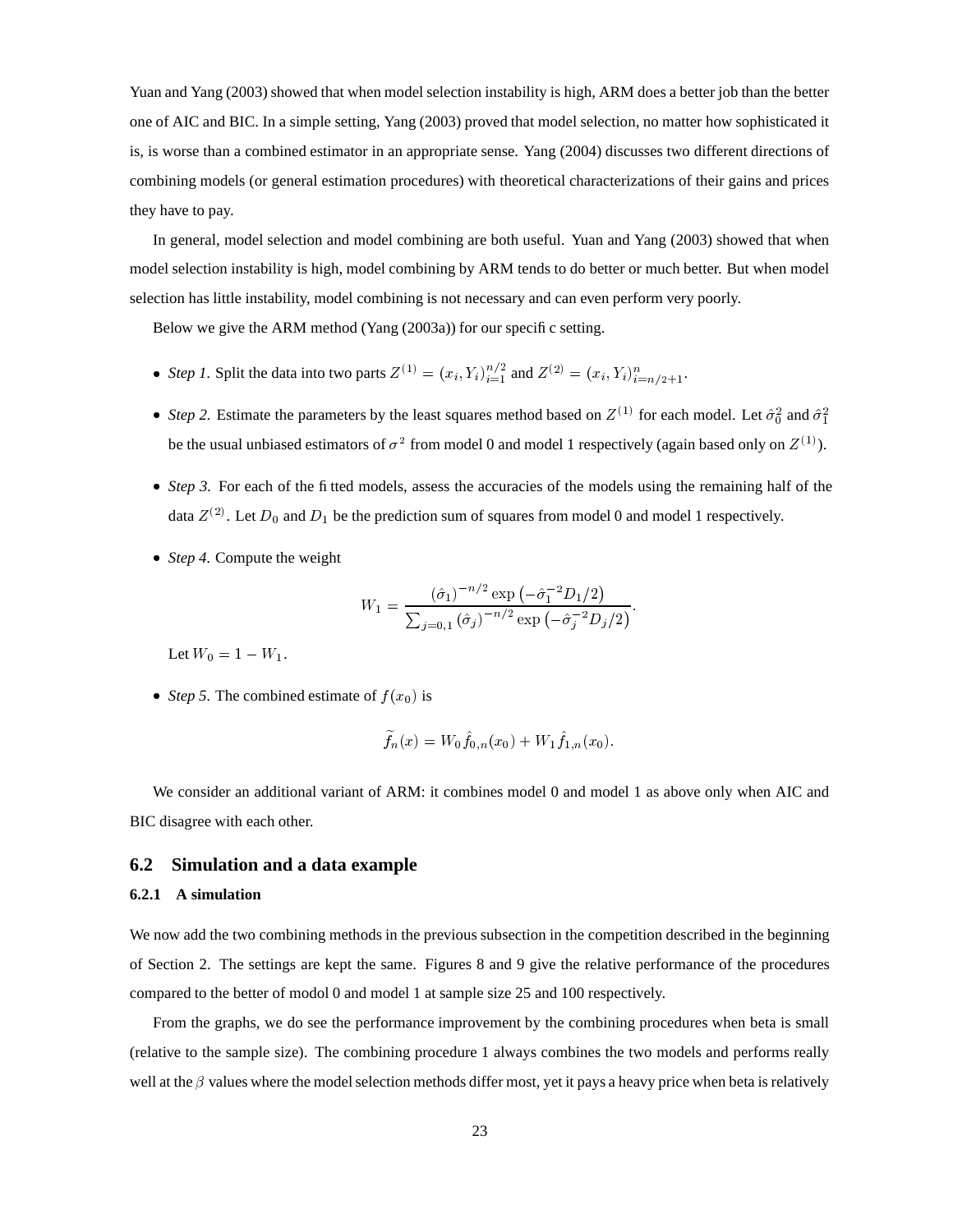Yuan and Yang (2003) showed that when model selection instability is high, ARM does a better job than the better one of AIC and BIC. In a simple setting, Yang (2003) proved that model selection, no matter how sophisticated it is, is worse than a combined estimator in an appropriate sense. Yang (2004) discusses two different directions of combining models (or general estimation procedures) with theoretical characterizations of their gains and prices they have to pay.

In general, model selection and model combining are both useful. Yuan and Yang (2003) showed that when model selection instability is high, model combining by ARM tends to do better or much better. But when model selection has little instability, model combining is not necessary and can even perform very poorly.

Below we give the ARM method (Yang (2003a)) for our specific setting.

- *Step 1.* Split the data into two parts  $Z^{(1)} = (x_i, Y_i)_{i=1}^{n/2}$  and  $Z^{(2)} = (x_i, Y_i)_{i=1}^{n/2}$  $) = (x_i, Y_i)_{i=n/2+1}^n$ .
- *Step* 2. Estimate the parameters by the least squares method based on  $Z^{(1)}$  for each model. Let  $\hat{\sigma}_0^2$  and  $\hat{\sigma}_1^2$ be the usual unbiased estimators of  $\sigma^2$  from model 0 and model 1 respectively (again based only on  $Z^{(1)}$ ).
- *Step* 3. For each of the fitted models, assess the accuracies of the models using the remaining half of the data  $Z^{(2)}$ . Let  $D_0$  and  $D_1$  be the prediction sum of squares from model 0 and model 1 respectively.
- *Step 4.* Compute the weight

$$
W_1 = \frac{(\hat{\sigma}_1)^{-n/2} \exp\left(-\hat{\sigma}_1^{-2} D_1/2\right)}{\sum_{j=0,1} (\hat{\sigma}_j)^{-n/2} \exp\left(-\hat{\sigma}_j^{-2} D_j/2\right)}.
$$

Let  $W_0 = 1 - W_1$ .

• *Step* 5. The combined estimate of  $f(x_0)$  is

$$
\widetilde{f}_n(x)=W_0\widehat{f}_{0,n}(x_0)+W_1\widehat{f}_{1,n}(x_0).
$$

We consider an additional variant of ARM: it combines model 0 and model 1 as above only when AIC and BIC disagree with each other.

#### **6.2 Simulation and a data example**

#### **6.2.1 A simulation**

We now add the two combining methods in the previous subsection in the competition described in the beginning of Section 2. The settings are kept the same. Figures 8 and 9 give the relative performance of the procedures compared to the better of modol 0 and model 1 at sample size 25 and 100 respectively.

From the graphs, we do see the performance improvement by the combining procedures when beta is small (relative to the sample size). The combining procedure 1 always combines the two models and performs really well at the  $\beta$  values where the model selection methods differ most, yet it pays a heavy price when beta is relatively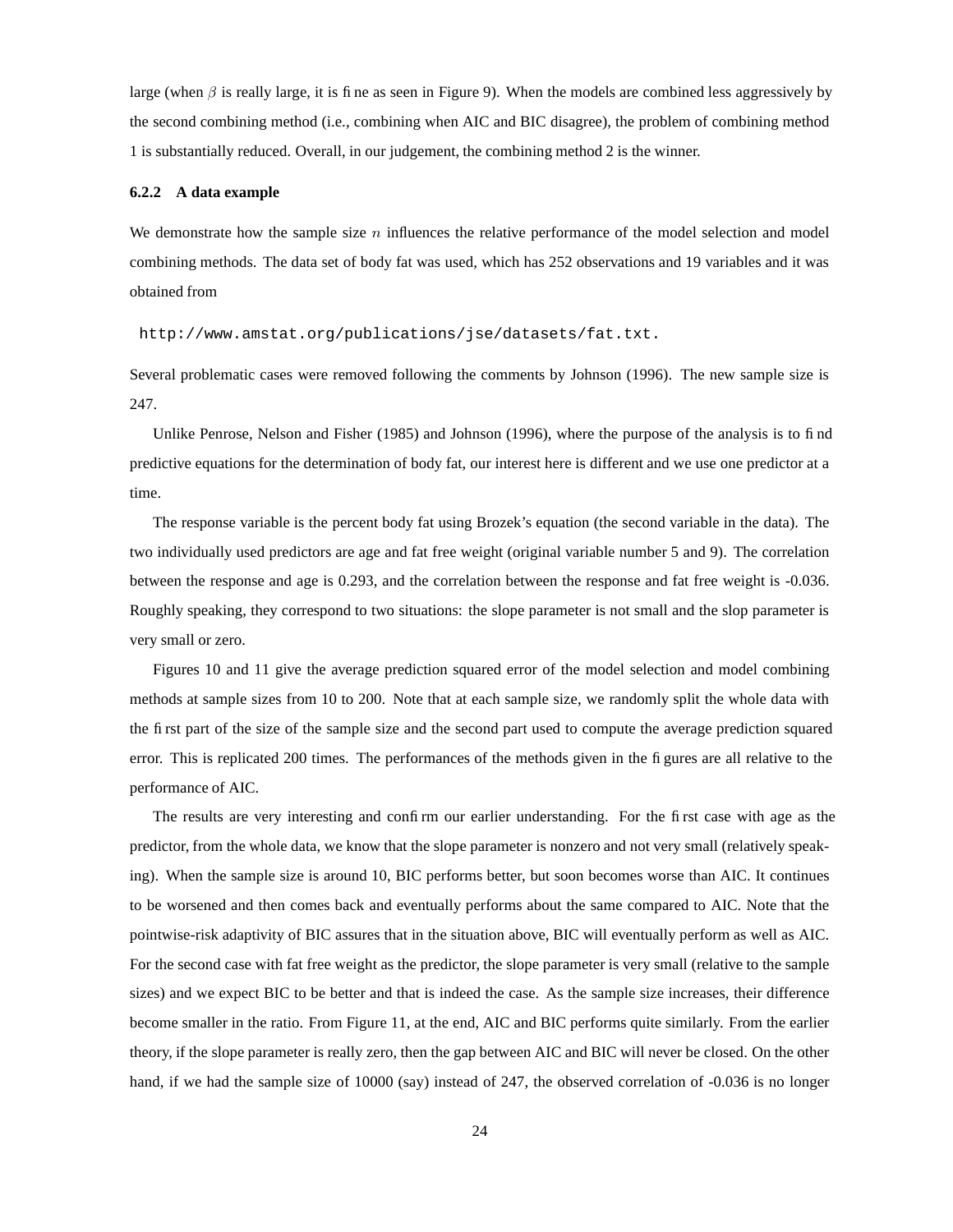large (when  $\beta$  is really large, it is fine as seen in Figure 9). When the models are combined less aggressively by the second combining method (i.e., combining when AIC and BIC disagree), the problem of combining method 1 is substantially reduced. Overall, in our judgement, the combining method 2 is the winner.

#### **6.2.2 A data example**

We demonstrate how the sample size  $n$  influences the relative performance of the model selection and model combining methods. The data set of body fat was used, which has 252 observations and 19 variables and it was obtained from

http://www.amstat.org/publications/jse/datasets/fat.txt.

Several problematic cases were removed following the comments by Johnson (1996). The new sample size is 247.

Unlike Penrose, Nelson and Fisher (1985) and Johnson (1996), where the purpose of the analysis is to find predictive equations for the determination of body fat, our interest here is different and we use one predictor at a time.

The response variable is the percent body fat using Brozek's equation (the second variable in the data). The two individually used predictors are age and fat free weight (original variable number 5 and 9). The correlation between the response and age is 0.293, and the correlation between the response and fat free weight is -0.036. Roughly speaking, they correspond to two situations: the slope parameter is not small and the slop parameter is very small or zero.

Figures 10 and 11 give the average prediction squared error of the model selection and model combining methods at sample sizes from 10 to 200. Note that at each sample size, we randomly split the whole data with the first part of the size of the sample size and the second part used to compute the average prediction squared error. This is replicated 200 times. The performances of the methods given in the figures are all relative to the performance of AIC.

The results are very interesting and confirm our earlier understanding. For the first case with age as the predictor, from the whole data, we know that the slope parameter is nonzero and not very small (relatively speaking). When the sample size is around 10, BIC performs better, but soon becomes worse than AIC. It continues to be worsened and then comes back and eventually performs about the same compared to AIC. Note that the pointwise-risk adaptivity of BIC assures that in the situation above, BIC will eventually perform as well as AIC. For the second case with fat free weight as the predictor, the slope parameter is very small (relative to the sample sizes) and we expect BIC to be better and that is indeed the case. As the sample size increases, their difference become smaller in the ratio. From Figure 11, at the end, AIC and BIC performs quite similarly. From the earlier theory, if the slope parameter is really zero, then the gap between AIC and BIC will never be closed. On the other hand, if we had the sample size of 10000 (say) instead of 247, the observed correlation of -0.036 is no longer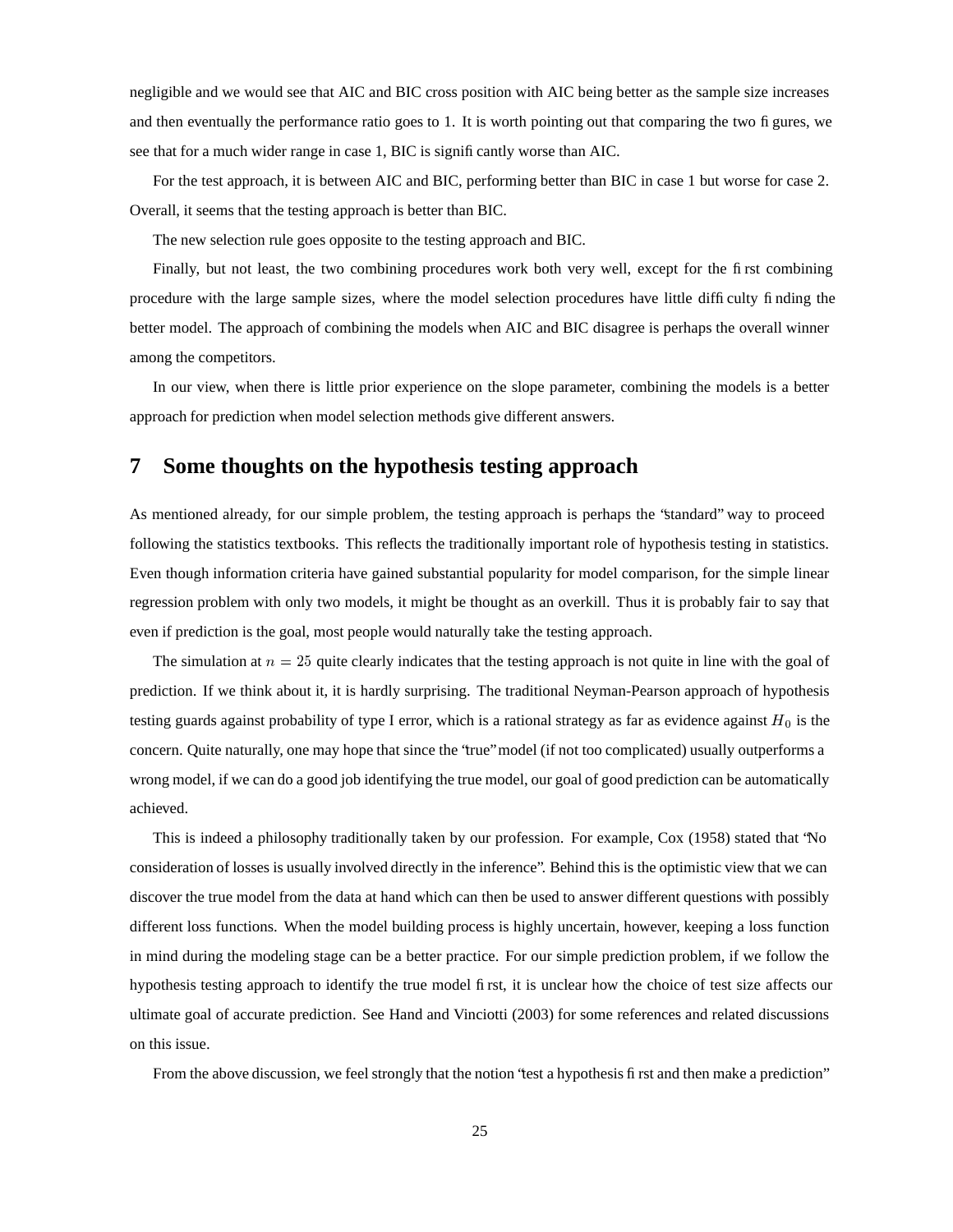negligible and we would see that AIC and BIC cross position with AIC being better as the sample size increases and then eventually the performance ratio goes to 1. It is worth pointing out that comparing the two figures, we see that for a much wider range in case 1, BIC is significantly worse than AIC.

For the test approach, it is between AIC and BIC, performing better than BIC in case 1 but worse for case 2. Overall, it seems that the testing approach is better than BIC.

The new selection rule goes opposite to the testing approach and BIC.

Finally, but not least, the two combining procedures work both very well, except for the first combining procedure with the large sample sizes, where the model selection procedures have little difficulty finding the better model. The approach of combining the models when AIC and BIC disagree is perhaps the overall winner among the competitors.

In our view, when there is little prior experience on the slope parameter, combining the models is a better approach for prediction when model selection methods give different answers.

### **7 Some thoughts on the hypothesis testing approach**

As mentioned already, for our simple problem, the testing approach is perhaps the "standard" way to proceed following the statistics textbooks. This reflects the traditionally important role of hypothesis testing in statistics. Even though information criteria have gained substantial popularity for model comparison, for the simple linear regression problem with only two models, it might be thought as an overkill. Thus it is probably fair to say that even if prediction is the goal, most people would naturally take the testing approach.

The simulation at  $n = 25$  quite clearly indicates that the testing approach is not quite in line with the goal of prediction. If we think about it, it is hardly surprising. The traditional Neyman-Pearson approach of hypothesis testing guards against probability of type I error, which is a rational strategy as far as evidence against  $H_0$  is the concern. Quite naturally, one may hope that since the "true" model (if not too complicated) usually outperforms a wrong model, if we can do a good job identifying the true model, our goal of good prediction can be automatically achieved.

This is indeed a philosophy traditionally taken by our profession. For example, Cox (1958) stated that "No consideration of losses is usually involved directly in the inference". Behind this is the optimistic view that we can discover the true model from the data at hand which can then be used to answer different questions with possibly different loss functions. When the model building process is highly uncertain, however, keeping a loss function in mind during the modeling stage can be a better practice. For our simple prediction problem, if we follow the hypothesis testing approach to identify the true model first, it is unclear how the choice of test size affects our ultimate goal of accurate prediction. See Hand and Vinciotti (2003) for some references and related discussions on this issue.

From the above discussion, we feel strongly that the notion "test a hypothesis first and then make a prediction"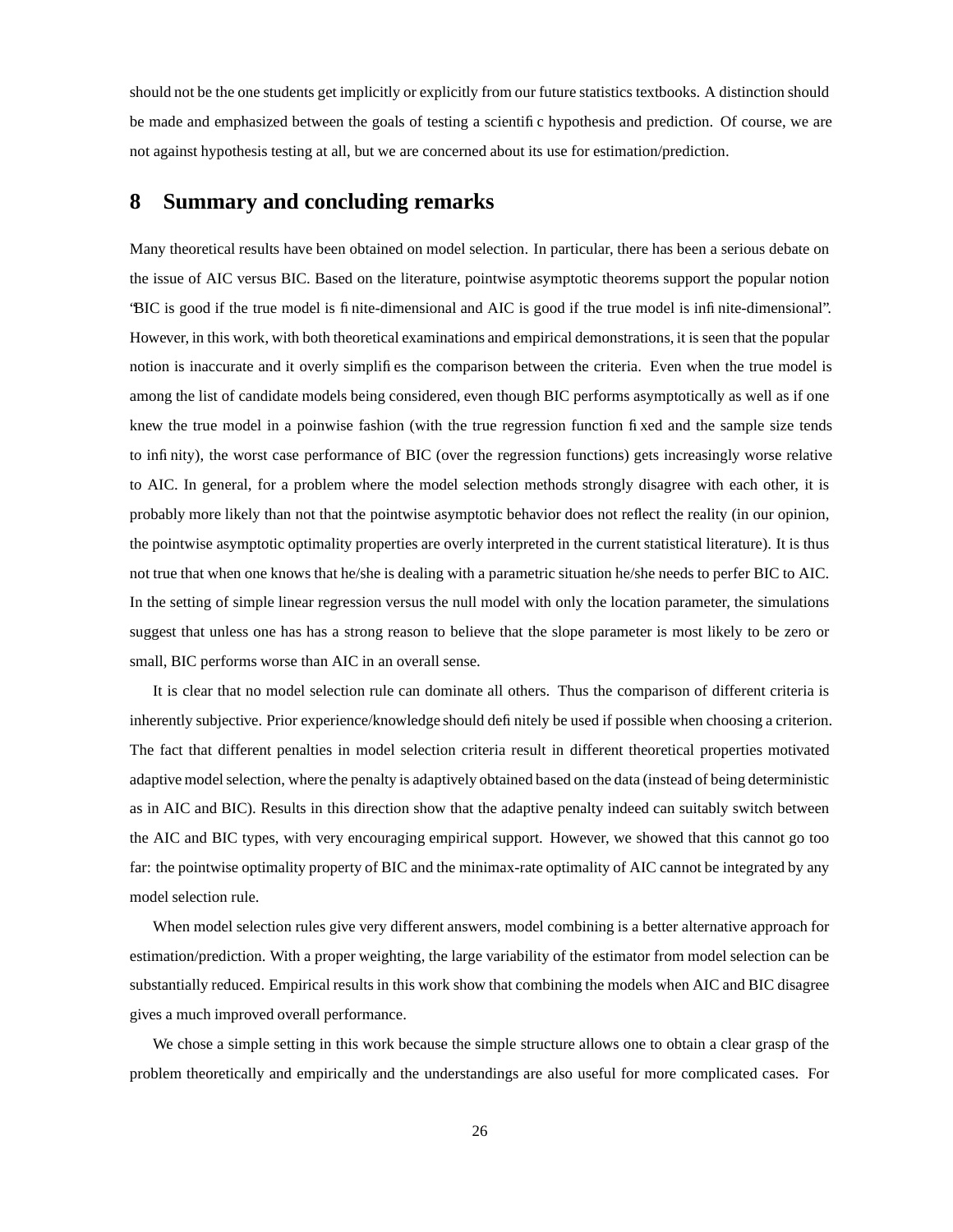should not be the one students get implicitly or explicitly from our future statistics textbooks. A distinction should be made and emphasized between the goals of testing a scientific hypothesis and prediction. Of course, we are not against hypothesis testing at all, but we are concerned about its use for estimation/prediction.

### **8 Summary and concluding remarks**

Many theoretical results have been obtained on model selection. In particular, there has been a serious debate on the issue of AIC versus BIC. Based on the literature, pointwise asymptotic theorems support the popular notion "BIC is good if the true model is finite-dimensional and AIC is good if the true model is infinite-dimensional". However, in this work, with both theoretical examinations and empirical demonstrations, it is seen that the popular notion is inaccurate and it overly simplifies the comparison between the criteria. Even when the true model is among the list of candidate models being considered, even though BIC performs asymptotically as well as if one knew the true model in a poinwise fashion (with the true regression function fixed and the sample size tends to infinity), the worst case performance of BIC (over the regression functions) gets increasingly worse relative to AIC. In general, for a problem where the model selection methods strongly disagree with each other, it is probably more likely than not that the pointwise asymptotic behavior does not reflect the reality (in our opinion, the pointwise asymptotic optimality properties are overly interpreted in the current statistical literature). It is thus not true that when one knows that he/she is dealing with a parametric situation he/she needs to perfer BIC to AIC. In the setting of simple linear regression versus the null model with only the location parameter, the simulations suggest that unless one has has a strong reason to believe that the slope parameter is most likely to be zero or small, BIC performs worse than AIC in an overall sense.

It is clear that no model selection rule can dominate all others. Thus the comparison of different criteria is inherently subjective. Prior experience/knowledge should definitely be used if possible when choosing a criterion. The fact that different penalties in model selection criteria result in different theoretical properties motivated adaptive model selection, where the penalty is adaptively obtained based on the data (instead of being deterministic as in AIC and BIC). Results in this direction show that the adaptive penalty indeed can suitably switch between the AIC and BIC types, with very encouraging empirical support. However, we showed that this cannot go too far: the pointwise optimality property of BIC and the minimax-rate optimality of AIC cannot be integrated by any model selection rule.

When model selection rules give very different answers, model combining is a better alternative approach for estimation/prediction. With a proper weighting, the large variability of the estimator from model selection can be substantially reduced. Empirical results in this work show that combining the models when AIC and BIC disagree gives a much improved overall performance.

We chose a simple setting in this work because the simple structure allows one to obtain a clear grasp of the problem theoretically and empirically and the understandings are also useful for more complicated cases. For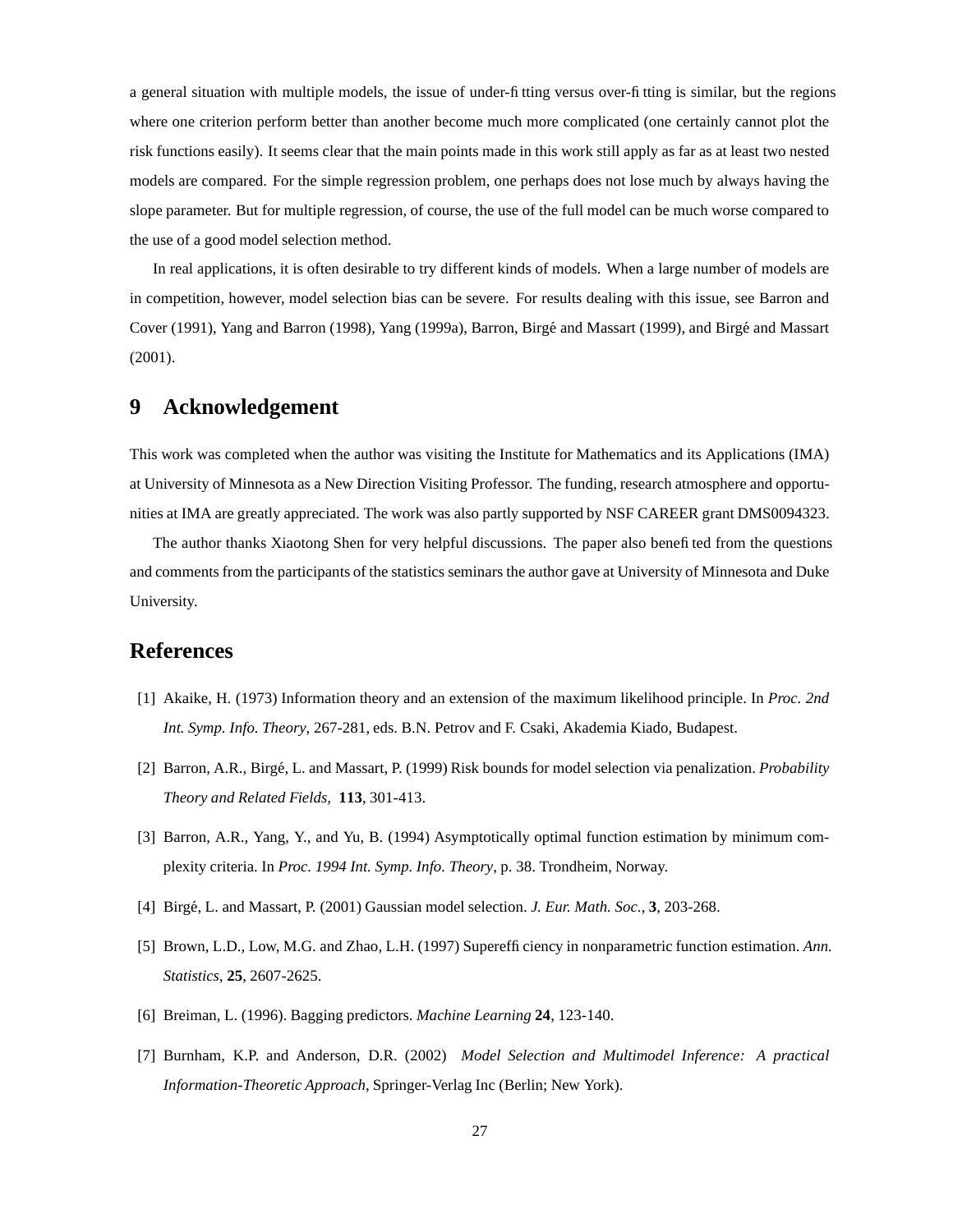a general situation with multiple models, the issue of under-fitting versus over-fitting is similar, but the regions where one criterion perform better than another become much more complicated (one certainly cannot plot the risk functions easily). It seems clear that the main points made in this work still apply as far as at least two nested models are compared. For the simple regression problem, one perhaps does not lose much by always having the slope parameter. But for multiple regression, of course, the use of the full model can be much worse compared to the use of a good model selection method.

In real applications, it is often desirable to try different kinds of models. When a large number of models are in competition, however, model selection bias can be severe. For results dealing with this issue, see Barron and Cover (1991), Yang and Barron (1998), Yang (1999a), Barron, Birge´ and Massart (1999), and Birge´ and Massart (2001).

### **9 Acknowledgement**

This work was completed when the author was visiting the Institute for Mathematics and its Applications (IMA) at University of Minnesota as a New Direction Visiting Professor. The funding, research atmosphere and opportunities at IMA are greatly appreciated. The work was also partly supported by NSF CAREER grant DMS0094323.

The author thanks Xiaotong Shen for very helpful discussions. The paper also benefited from the questions and comments from the participants of the statistics seminars the author gave at University of Minnesota and Duke University.

### **References**

- [1] Akaike, H. (1973) Information theory and an extension of the maximum likelihood principle. In *Proc. 2nd Int. Symp. Info. Theory*, 267-281, eds. B.N. Petrov and F. Csaki, Akademia Kiado, Budapest.
- [2] Barron, A.R., Birge,´ L. and Massart, P. (1999) Risk bounds for model selection via penalization. *Probability Theory and Related Fields,* **113**, 301-413.
- [3] Barron, A.R., Yang, Y., and Yu, B. (1994) Asymptotically optimal function estimation by minimum complexity criteria. In *Proc. 1994 Int. Symp. Info. Theory*, p. 38. Trondheim, Norway.
- [4] Birge,´ L. and Massart, P. (2001) Gaussian model selection. *J. Eur. Math. Soc.*, **3**, 203-268.
- [5] Brown, L.D., Low, M.G. and Zhao, L.H. (1997) Superefficiency in nonparametric function estimation. *Ann. Statistics*, **25**, 2607-2625.
- [6] Breiman, L. (1996). Bagging predictors. *Machine Learning* **24**, 123-140.
- [7] Burnham, K.P. and Anderson, D.R. (2002) *Model Selection and Multimodel Inference: A practical Information-Theoretic Approach*, Springer-Verlag Inc (Berlin; New York).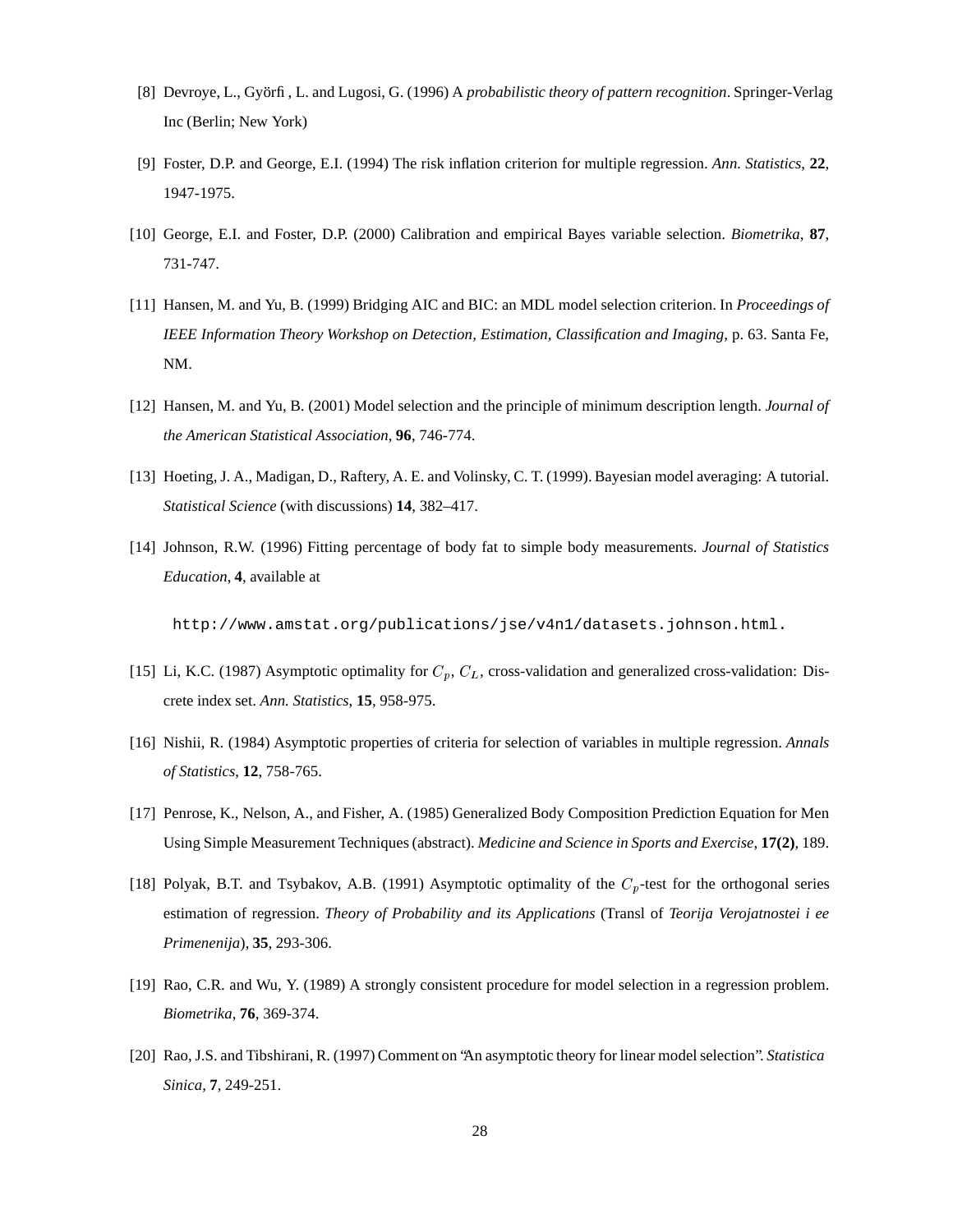- [8] Devroye, L., Györfi, L. and Lugosi, G. (1996) A *probabilistic theory of pattern recognition*. Springer-Verlag Inc (Berlin; New York)
- [9] Foster, D.P. and George, E.I. (1994) The risk inflation criterion for multiple regression. *Ann. Statistics*, **22**, 1947-1975.
- [10] George, E.I. and Foster, D.P. (2000) Calibration and empirical Bayes variable selection. *Biometrika*, **87**, 731-747.
- [11] Hansen, M. and Yu, B. (1999) Bridging AIC and BIC: an MDL model selection criterion. In *Proceedings of IEEE Information Theory Workshop on Detection, Estimation, Classification and Imaging*, p. 63. Santa Fe, NM.
- [12] Hansen, M. and Yu, B. (2001) Model selection and the principle of minimum description length. *Journal of the American Statistical Association*, **96**, 746-774.
- [13] Hoeting, J. A., Madigan, D., Raftery, A. E. and Volinsky, C. T. (1999). Bayesian model averaging: A tutorial. *Statistical Science* (with discussions) **14**, 382–417.
- [14] Johnson, R.W. (1996) Fitting percentage of body fat to simple body measurements. *Journal of Statistics Education*, **4**, available at

http://www.amstat.org/publications/jse/v4n1/datasets.johnson.html.

- [15] Li, K.C. (1987) Asymptotic optimality for  $C_p$ ,  $C_L$ , cross-validation and generalized cross-validation: Discrete index set. *Ann. Statistics*, **15**, 958-975.
- [16] Nishii, R. (1984) Asymptotic properties of criteria for selection of variables in multiple regression. *Annals of Statistics*, **12**, 758-765.
- [17] Penrose, K., Nelson, A., and Fisher, A. (1985) Generalized Body Composition Prediction Equation for Men Using Simple Measurement Techniques (abstract). *Medicine and Science in Sports and Exercise*, **17(2)**, 189.
- [18] Polyak, B.T. and Tsybakov, A.B. (1991) Asymptotic optimality of the  $C_p$ -test for the orthogonal series estimation of regression. *Theory of Probability and its Applications* (Transl of *Teorija Verojatnostei i ee Primenenija*), **35**, 293-306.
- [19] Rao, C.R. and Wu, Y. (1989) A strongly consistent procedure for model selection in a regression problem. *Biometrika*, **76**, 369-374.
- [20] Rao, J.S. and Tibshirani, R. (1997) Comment on "An asymptotic theory for linear modelselection". *Statistica Sinica*, **7**, 249-251.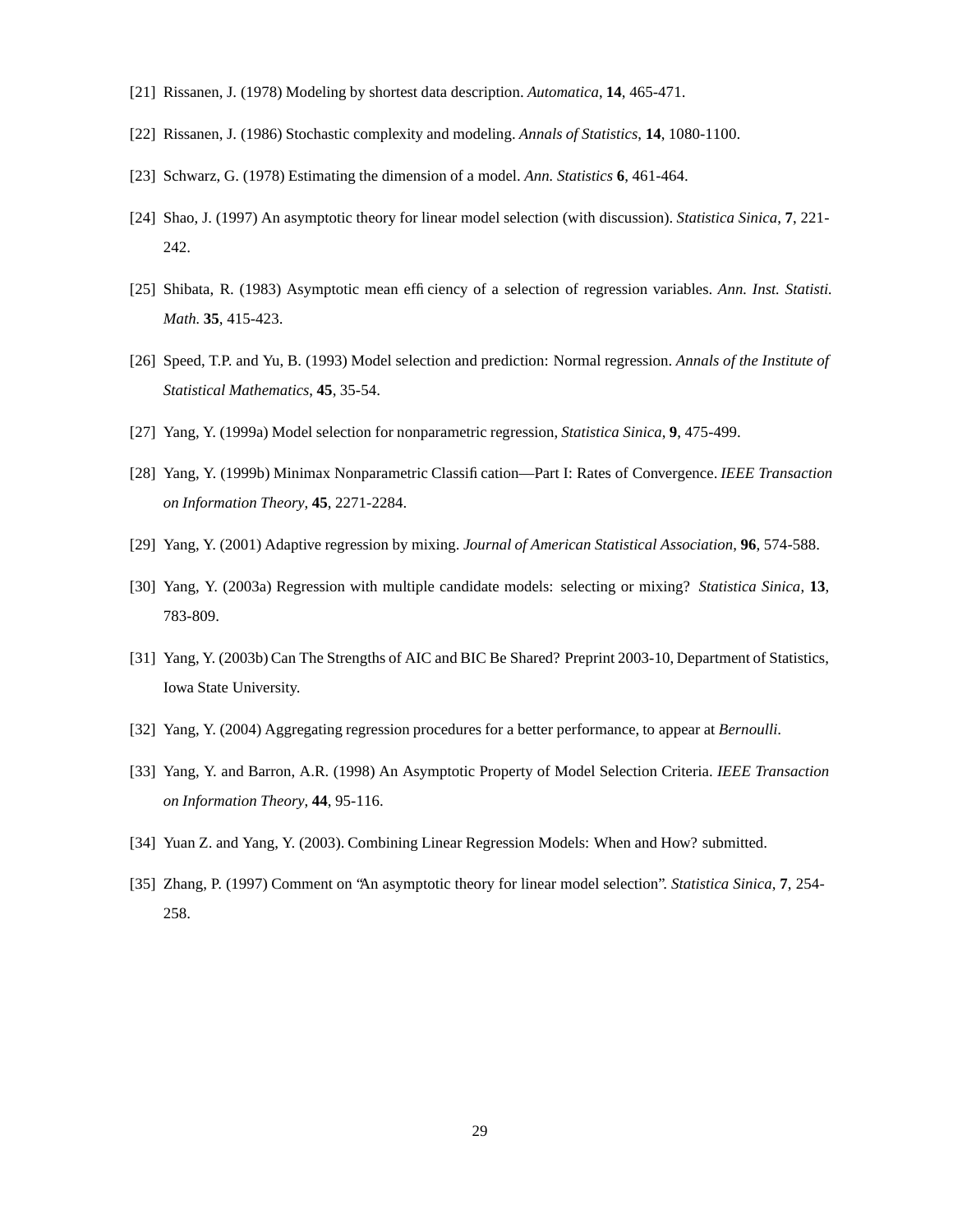- [21] Rissanen, J. (1978) Modeling by shortest data description. *Automatica*, **14**, 465-471.
- [22] Rissanen, J. (1986) Stochastic complexity and modeling. *Annals of Statistics*, **14**, 1080-1100.
- [23] Schwarz, G. (1978) Estimating the dimension of a model. *Ann. Statistics* **6**, 461-464.
- [24] Shao, J. (1997) An asymptotic theory for linear model selection (with discussion). *Statistica Sinica*, **7**, 221- 242.
- [25] Shibata, R. (1983) Asymptotic mean efficiency of a selection of regression variables. *Ann. Inst. Statisti. Math.* **35**, 415-423.
- [26] Speed, T.P. and Yu, B. (1993) Model selection and prediction: Normal regression. *Annals of the Institute of Statistical Mathematics*, **45**, 35-54.
- [27] Yang, Y. (1999a) Model selection for nonparametric regression, *Statistica Sinica*, **9**, 475-499.
- [28] Yang, Y. (1999b) Minimax Nonparametric Classification—Part I: Rates of Convergence. *IEEE Transaction on Information Theory*, **45**, 2271-2284.
- [29] Yang, Y. (2001) Adaptive regression by mixing. *Journal of American Statistical Association*, **96**, 574-588.
- [30] Yang, Y. (2003a) Regression with multiple candidate models: selecting or mixing? *Statistica Sinica*, **13**, 783-809.
- [31] Yang, Y. (2003b) Can The Strengths of AIC and BIC Be Shared? Preprint 2003-10, Department of Statistics, Iowa State University.
- [32] Yang, Y. (2004) Aggregating regression procedures for a better performance, to appear at *Bernoulli*.
- [33] Yang, Y. and Barron, A.R. (1998) An Asymptotic Property of Model Selection Criteria. *IEEE Transaction on Information Theory*, **44**, 95-116.
- [34] Yuan Z. and Yang, Y. (2003). Combining Linear Regression Models: When and How? submitted.
- [35] Zhang, P. (1997) Comment on "An asymptotic theory for linear model selection". *Statistica Sinica*, **7**, 254- 258.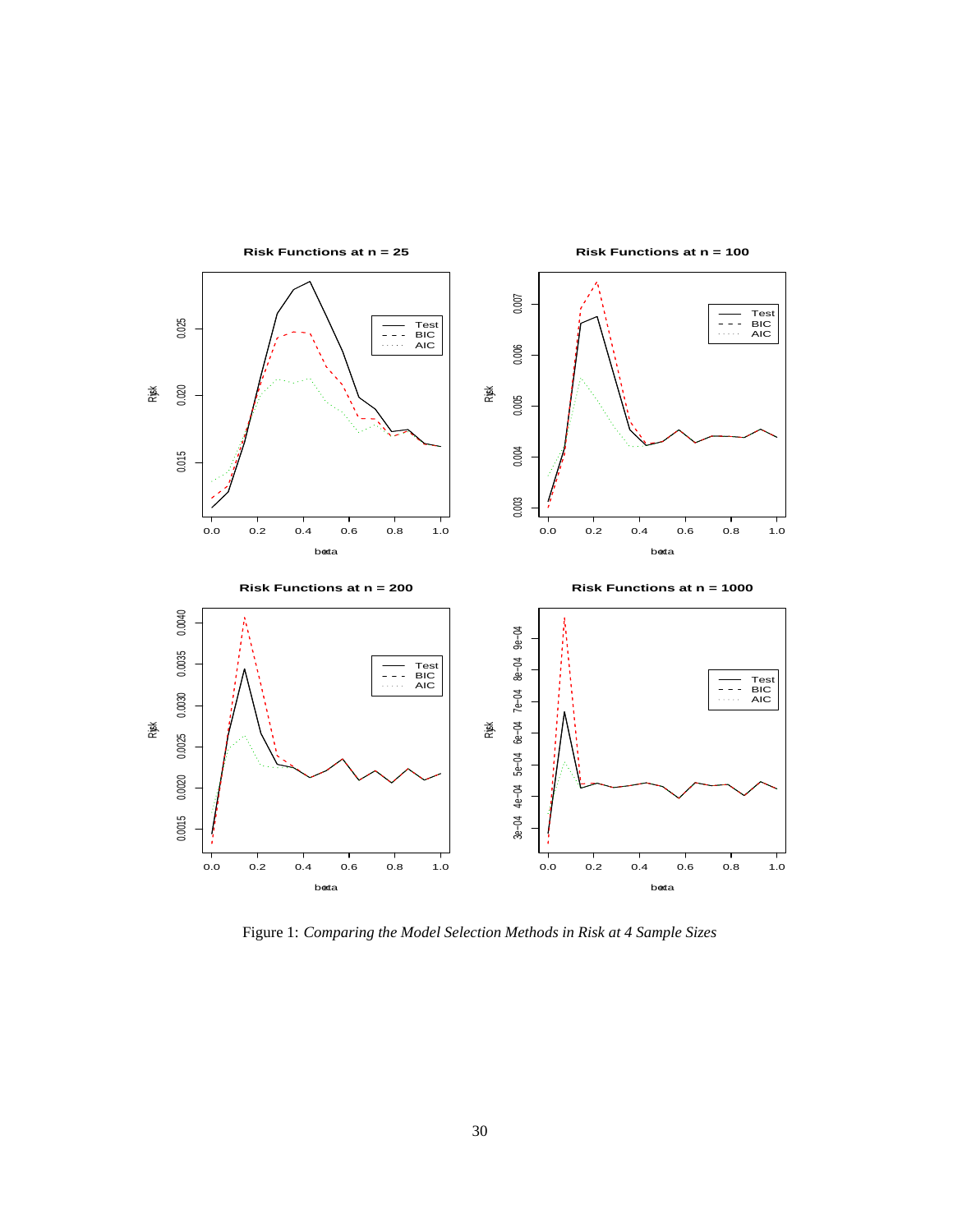

**Risk Functions at n = 25**

**Risk Functions at n = 100**

Figure 1: *Comparing the Model Selection Methods in Risk at 4 Sample Sizes*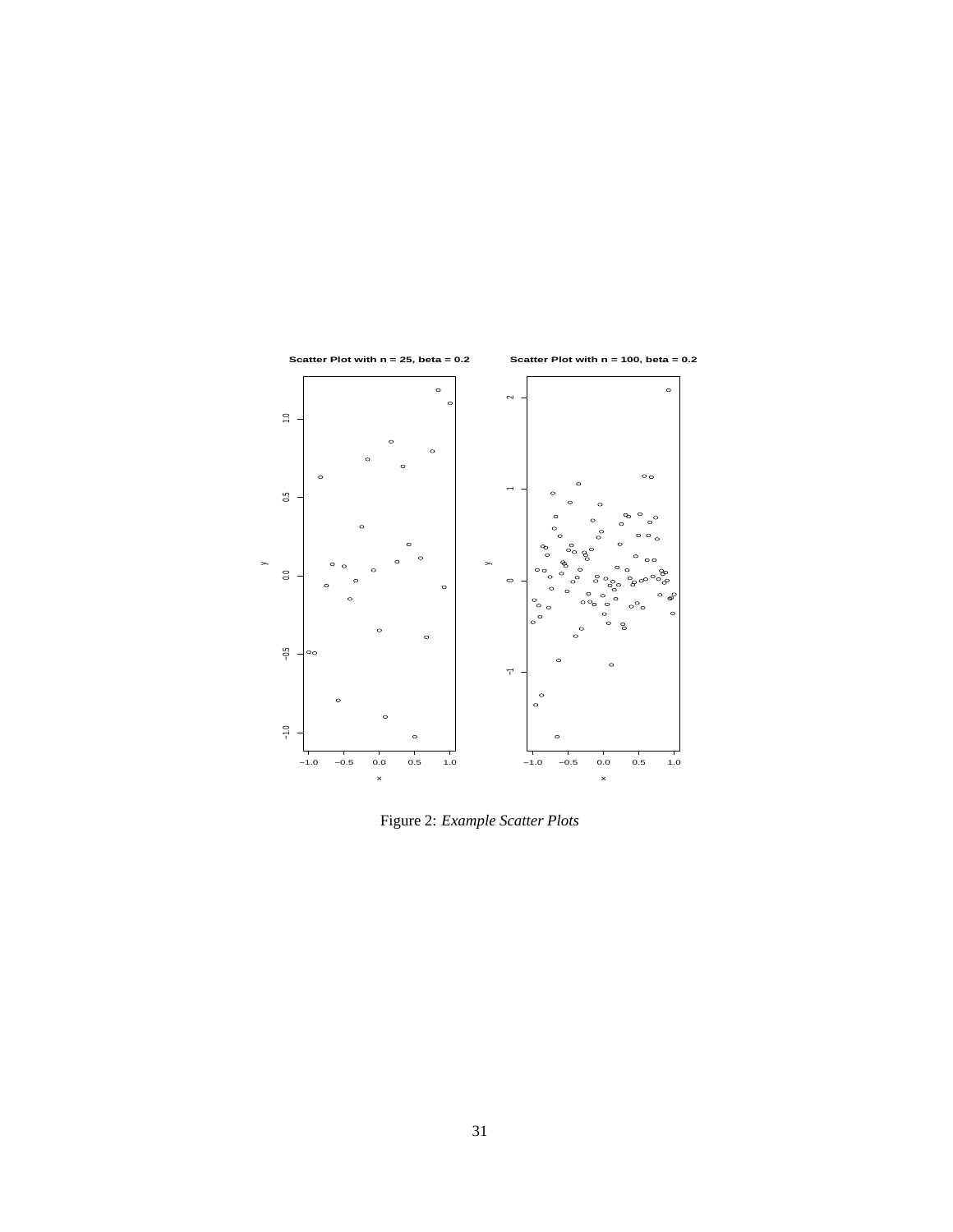

Figure 2: *Example Scatter Plots*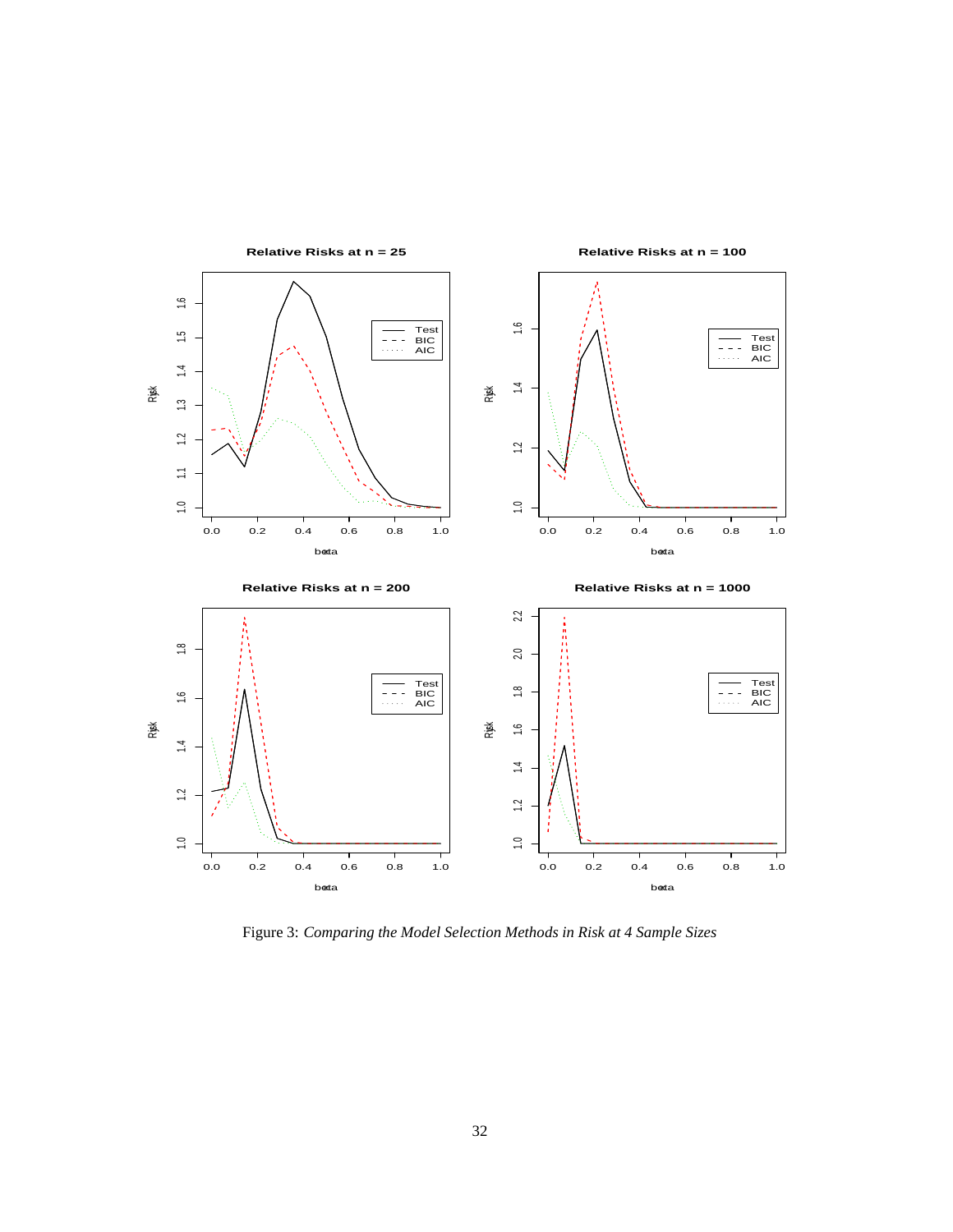

Figure 3: *Comparing the Model Selection Methods in Risk at 4 Sample Sizes*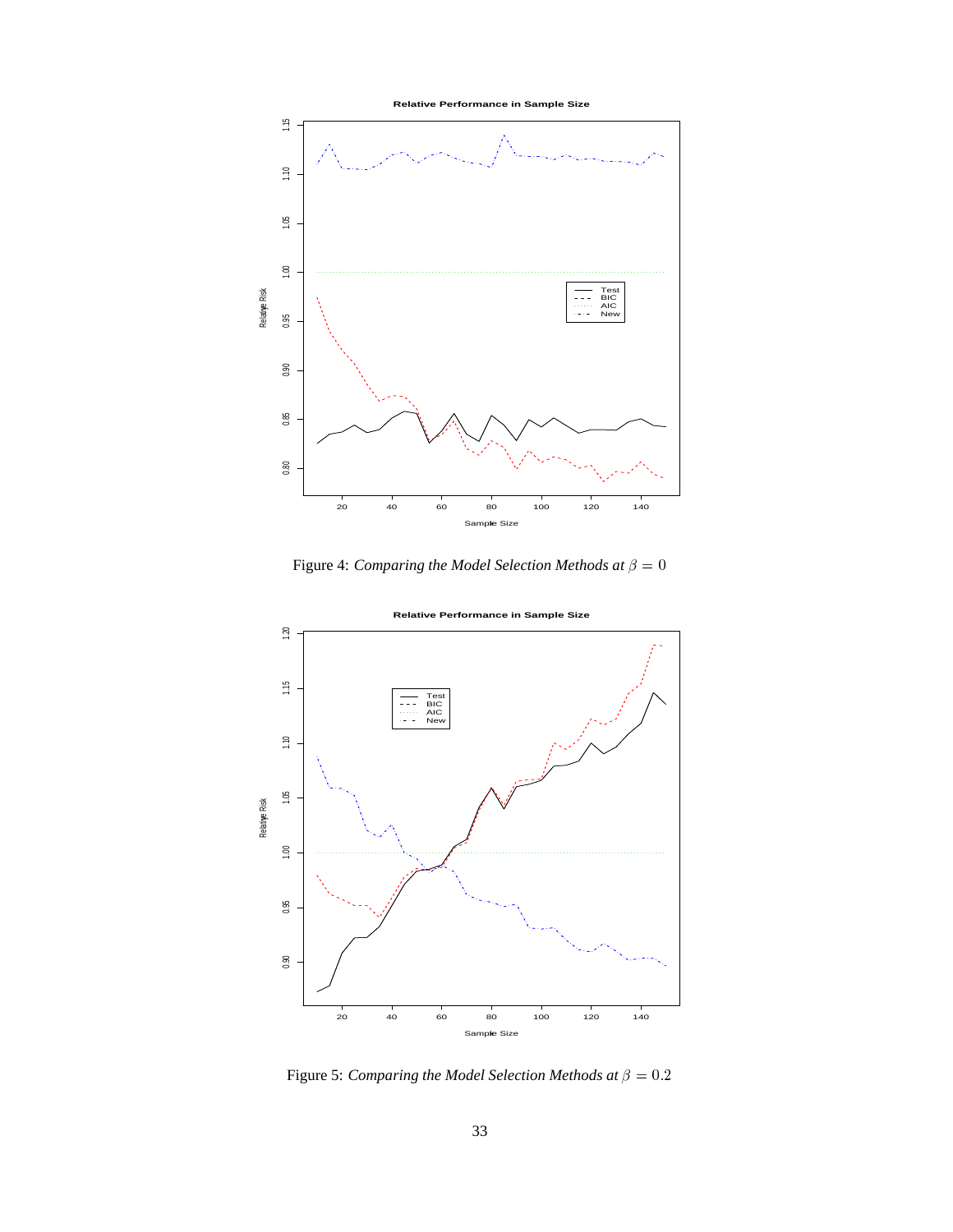

Figure 4: *Comparing the Model Selection Methods at*  $\beta = 0$ 



**Relative Performance in Sample Size**

Figure 5: *Comparing the Model Selection Methods at*  $\beta = 0.2$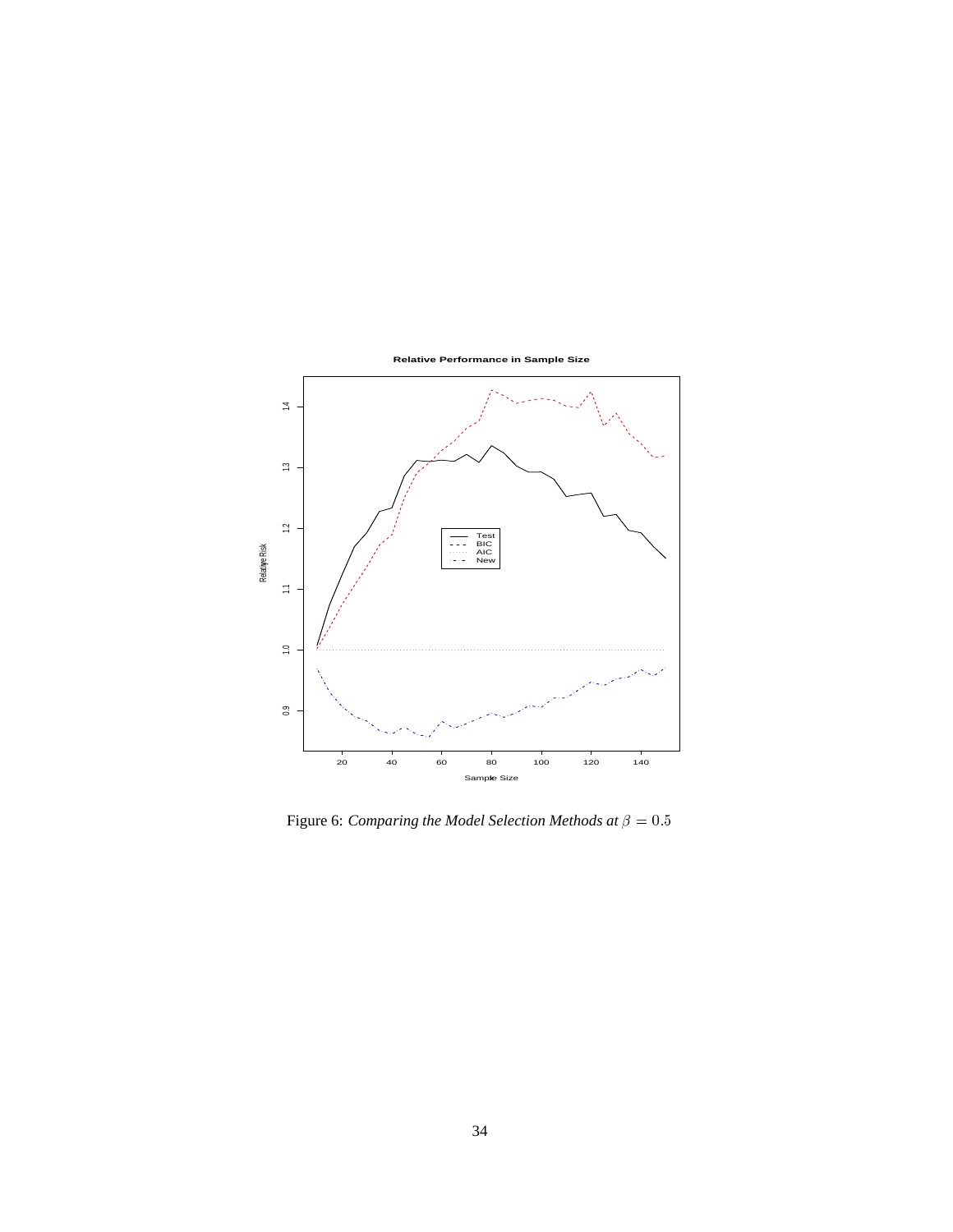

Figure 6: *Comparing the Model Selection Methods at*  $\beta = 0.5$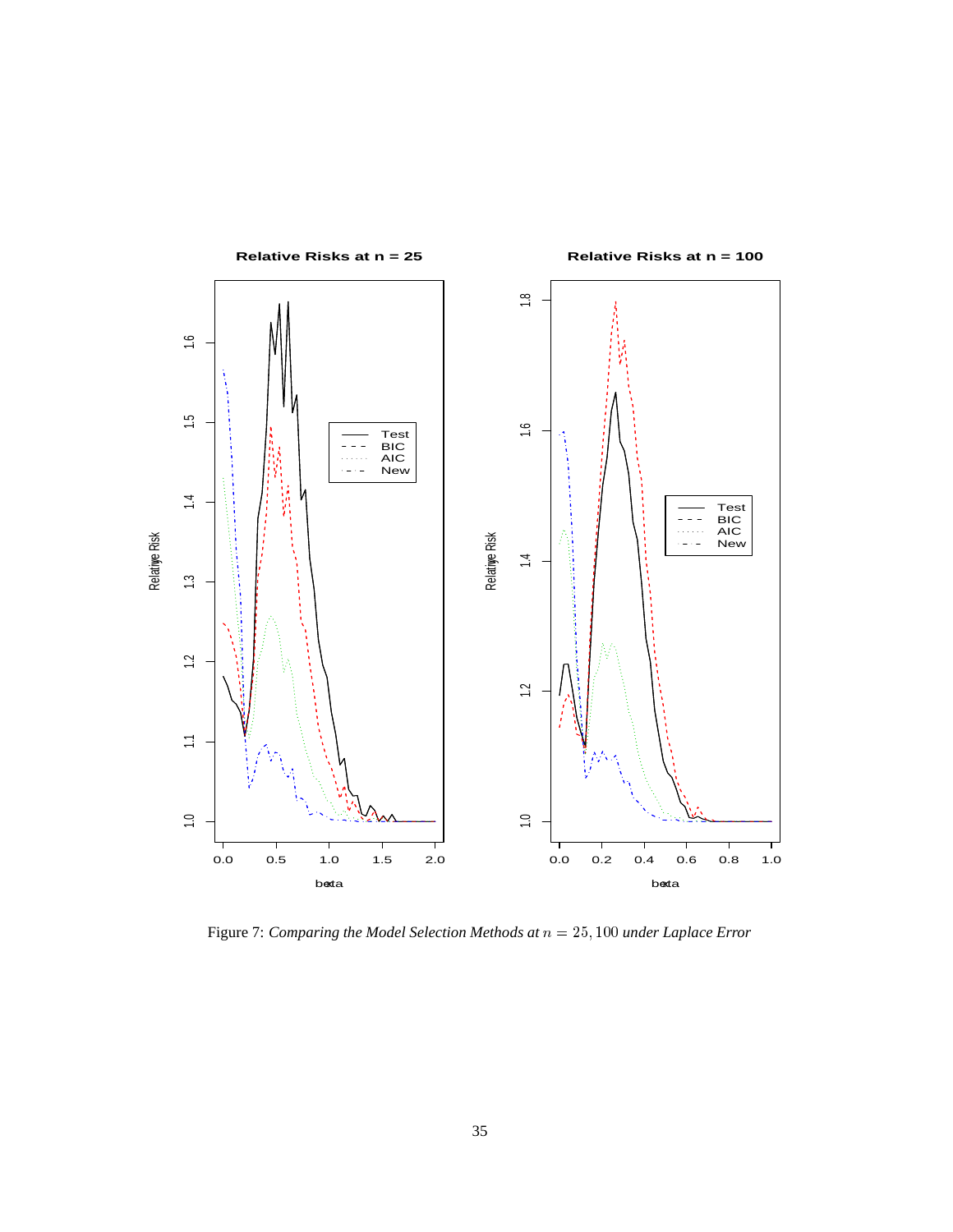

Figure 7: *Comparing the Model Selection Methods at*  $n = 25,100$  *under Laplace Error*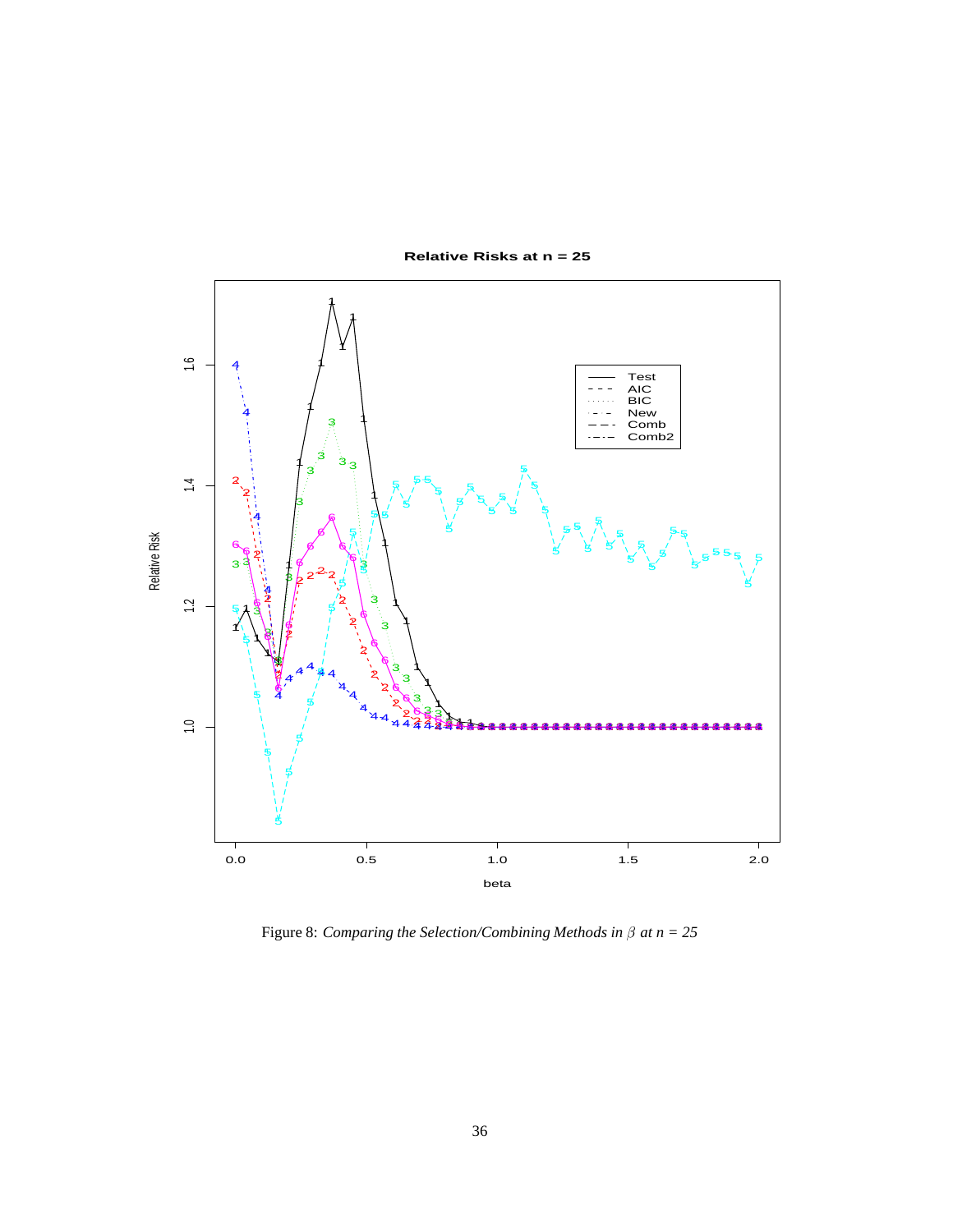

Figure 8: *Comparing the Selection/Combining Methods in*  $\beta$  *at*  $n = 25$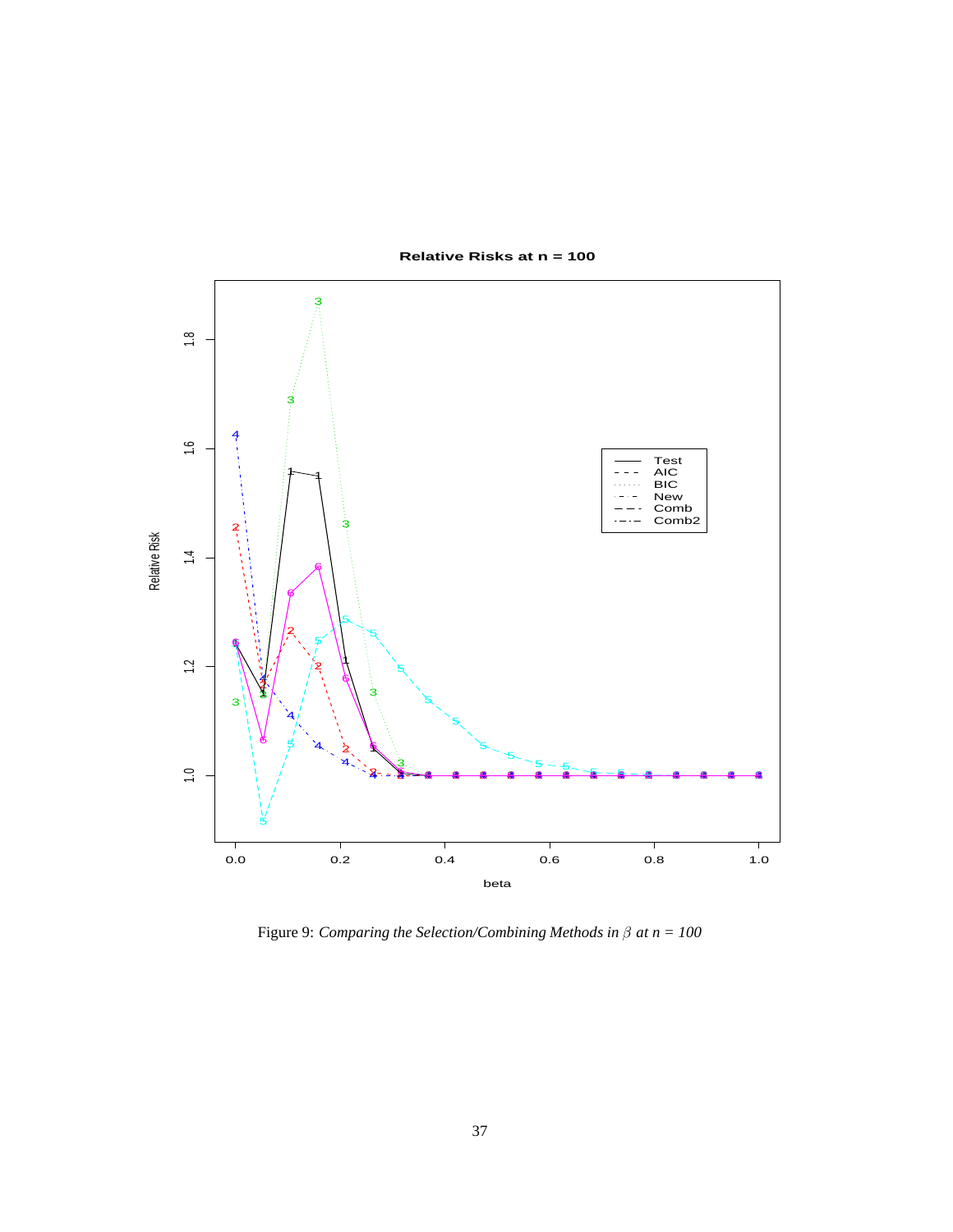

Figure 9: *Comparing the Selection/Combining Methods in*  $\beta$  *at*  $n = 100$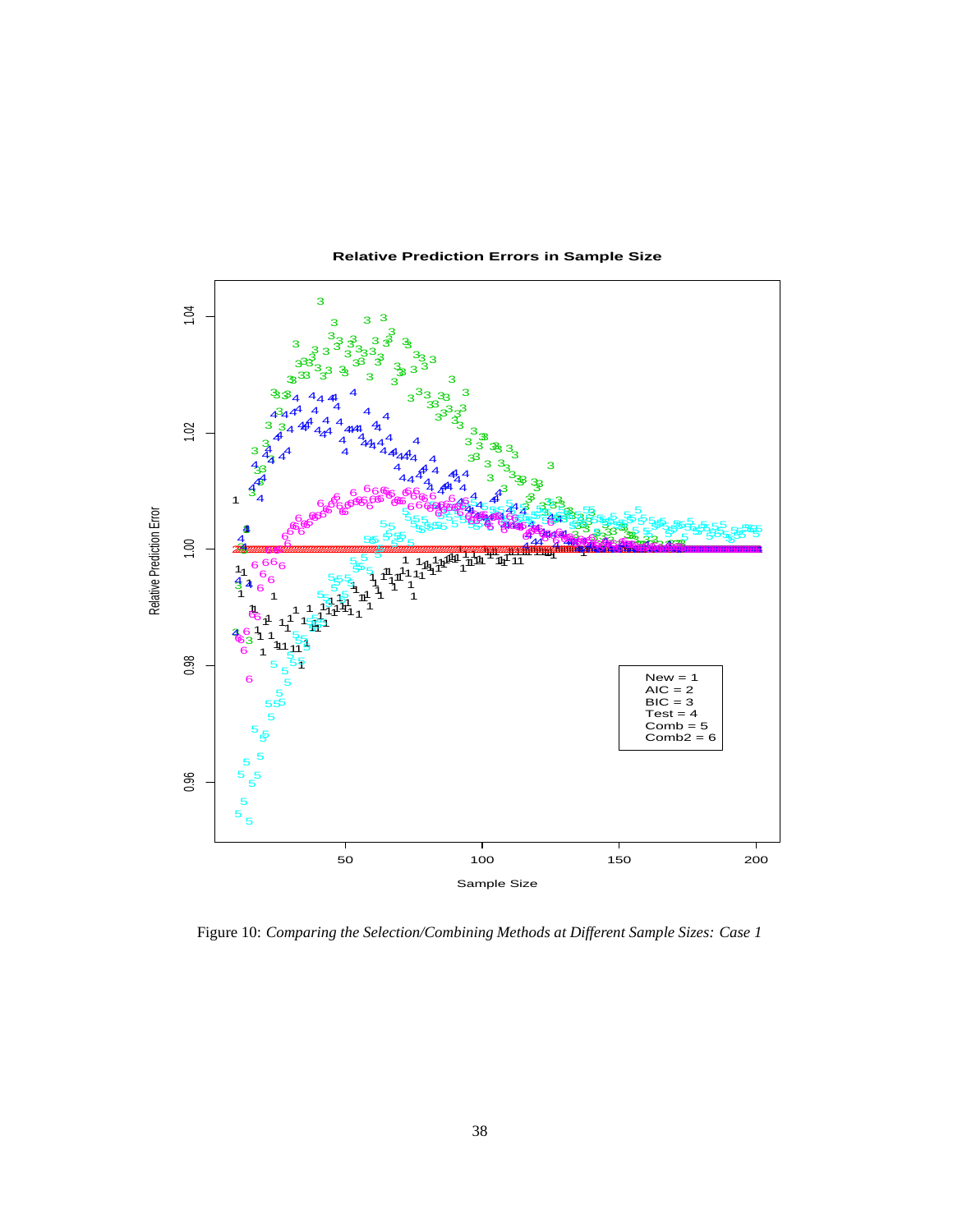

Figure 10: *Comparing the Selection/Combining Methods at Different Sample Sizes: Case 1*